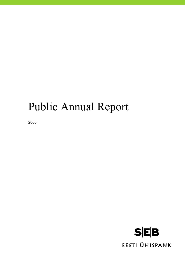# Public Annual Report

2006

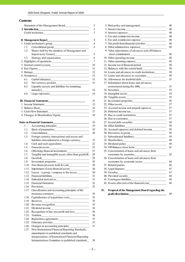#### **Contents**

|       | Statement of the Management Board                        | 2               |     | 2. Risk policy and management                                                                                                                  |
|-------|----------------------------------------------------------|-----------------|-----|------------------------------------------------------------------------------------------------------------------------------------------------|
|       | I. Introduction                                          | 3               |     |                                                                                                                                                |
|       | Credit institution <u>___________________</u>            | 3               |     |                                                                                                                                                |
|       |                                                          |                 |     | 5. Fee and commission income                                                                                                                   |
|       |                                                          | 4               |     |                                                                                                                                                |
|       |                                                          | $\overline{4}$  |     |                                                                                                                                                |
| 1.1.  |                                                          | $\overline{4}$  |     |                                                                                                                                                |
| 1.2.  | Shares held by the members of Management and             |                 |     | 9. Value adjustments of advances and off-balance                                                                                               |
|       |                                                          | 5               |     |                                                                                                                                                |
| 1.3.  |                                                          | 6               |     | 10. Other operating income                                                                                                                     |
|       |                                                          | $7\phantom{.0}$ |     |                                                                                                                                                |
|       |                                                          | 10              |     |                                                                                                                                                |
|       |                                                          | 11              |     |                                                                                                                                                |
|       |                                                          | 12              |     | 14. Loans and advances to credit institutions________                                                                                          |
|       |                                                          | 13              |     |                                                                                                                                                |
|       |                                                          |                 |     |                                                                                                                                                |
| 6.1.  |                                                          | 13              |     | 16. Allowances for doubtful debt                                                                                                               |
| 6.2.  | Net currency position                                    | 13              |     | 17. Information about loans and advances,                                                                                                      |
| 6.3.  | Liquidity (assets and liabilities by remaining           |                 |     |                                                                                                                                                |
|       | matrix)                                                  | 14              |     |                                                                                                                                                |
| 6.4.  |                                                          | 14              |     |                                                                                                                                                |
|       |                                                          |                 |     |                                                                                                                                                |
|       |                                                          | 15              |     | 21. Investment properties                                                                                                                      |
|       |                                                          | 15              |     | 22. Other assets $\frac{1}{2}$                                                                                                                 |
|       | 2. Balance Sheet                                         | 16              |     | 23. Accrued income and prepaid expenses                                                                                                        |
|       |                                                          | 17              |     |                                                                                                                                                |
|       |                                                          | 18              |     |                                                                                                                                                |
|       |                                                          |                 |     |                                                                                                                                                |
|       |                                                          | 19              |     | 27. Issued debt securities                                                                                                                     |
| 1.    |                                                          | 19              |     | 28. Other liabilities<br><u> 1980 - Jan James James, martin amerikan basar dalam personal dan personal dan personal dan personal dan perso</u> |
| 1.1.  |                                                          | 19              |     | 29. Accrued expenses and deferred income                                                                                                       |
| 1.2.  | Consolidation                                            | 20              |     |                                                                                                                                                |
| 1.3.  | Foreign currency transactions and assets and             |                 |     |                                                                                                                                                |
|       |                                                          |                 |     |                                                                                                                                                |
|       | liabilities denominated in a foreign currency______      | 21              |     |                                                                                                                                                |
| 1.4.  |                                                          | 22              |     |                                                                                                                                                |
| 1.5.  |                                                          | 22              |     | 34. Off-Balance sheet items                                                                                                                    |
| 1.6.  |                                                          | 27              |     | 35. Concentration of loans and advances from                                                                                                   |
| 1.7.  | Tangible and intangible assets other than goodwill       | 28              |     |                                                                                                                                                |
| 1.8.  | Goodwill                                                 | 29              |     | 36. Concentration of loans and advances from                                                                                                   |
| 1.9.  | Investment properties                                    | 29              |     |                                                                                                                                                |
|       |                                                          | 30              |     | 37. Related parties                                                                                                                            |
| 1.11. | Impairment of non-financial assets_________________      | 30              |     |                                                                                                                                                |
|       | 1.12. Leases - a group / company is the lessee__________ | 30              |     | 39. Overdue                                                                                                                                    |
|       |                                                          | 31              |     |                                                                                                                                                |
|       |                                                          | 31              |     |                                                                                                                                                |
|       | 1.15. Financial Guarantee                                | $32\,$          |     | 42. Events after end of the financial year_____________                                                                                        |
|       |                                                          | 32              |     |                                                                                                                                                |
|       | 1.17. Classification and accounting principles of life   | 34              | IV. | Proposal of the Management Board regarding the                                                                                                 |
|       | 1.18. Capitalisation of acquisition costs                | 35              |     |                                                                                                                                                |
|       |                                                          | 35              |     |                                                                                                                                                |
|       |                                                          | 35              |     |                                                                                                                                                |
|       |                                                          |                 |     |                                                                                                                                                |
|       |                                                          | 36              |     |                                                                                                                                                |
|       | 1.22. Recognition of day one profit and loss___________  | 36              |     |                                                                                                                                                |
| 1.23. |                                                          | 36              |     |                                                                                                                                                |
|       |                                                          | 37              |     |                                                                                                                                                |
|       |                                                          | 37              |     |                                                                                                                                                |
|       |                                                          | 37              |     |                                                                                                                                                |
|       | 1.27. New International Financial Reporting Standards,   |                 |     |                                                                                                                                                |
|       | amendments to published standards and                    |                 |     |                                                                                                                                                |
|       | interpretations of International Financial Reporting     |                 |     |                                                                                                                                                |
|       | Interpretations Committee to published standards         | 38              |     |                                                                                                                                                |

|      | Statement of the Management Board                                        | $\overline{2}$ |     |                                                                                                                                          | 40 |
|------|--------------------------------------------------------------------------|----------------|-----|------------------------------------------------------------------------------------------------------------------------------------------|----|
|      | <b>Introduction</b>                                                      | 3              |     | 3. Interest income                                                                                                                       | 48 |
|      |                                                                          | 3              |     |                                                                                                                                          | 48 |
|      |                                                                          |                |     | 5. Fee and commission income                                                                                                             | 48 |
|      | Management Report_<br>________________________________                   | 4              |     |                                                                                                                                          | 48 |
|      |                                                                          | $\overline{4}$ |     | 7. Net profit from financial activities                                                                                                  | 48 |
| 1.1. | Consolidated group<br><u> 1980 - Jan James James, martin amerikan ba</u> | $\overline{4}$ |     |                                                                                                                                          | 49 |
| 1.2. | Shares held by the members of Management and                             |                |     | 9. Value adjustments of advances and off-balance                                                                                         |    |
|      | Supervisory Council                                                      | 5              |     | sheet commitments                                                                                                                        | 49 |
| 1.3. |                                                                          | 6              |     |                                                                                                                                          | 49 |
|      |                                                                          | $\tau$         |     |                                                                                                                                          | 49 |
|      |                                                                          | 10             |     |                                                                                                                                          | 50 |
|      |                                                                          | 11             |     |                                                                                                                                          | 50 |
|      |                                                                          | 12             |     | 14. Loans and advances to credit institutions________                                                                                    | 50 |
|      |                                                                          | 13             |     |                                                                                                                                          | 50 |
| 6.1. |                                                                          | 13             |     |                                                                                                                                          | 51 |
| 6.2. |                                                                          | 13             |     | 17. Information about loans and advances,                                                                                                |    |
| 6.3. | Liquidity (assets and liabilities by remaining                           |                |     |                                                                                                                                          | 51 |
|      | matrix)                                                                  | 14             |     | 18. Securities                                                                                                                           | 52 |
| 6.4. |                                                                          | 14             |     |                                                                                                                                          | 54 |
|      |                                                                          |                |     |                                                                                                                                          | 55 |
|      |                                                                          | 15             |     |                                                                                                                                          | 56 |
|      |                                                                          | 15             |     | 22. Other assets $\frac{1}{2}$                                                                                                           | 57 |
|      |                                                                          | 16             |     | 23. Accrued income and prepaid expenses__________                                                                                        | 57 |
|      | Cash Flow Statement                                                      | 17             |     |                                                                                                                                          | 57 |
|      |                                                                          | 18             |     |                                                                                                                                          | 57 |
|      |                                                                          |                |     |                                                                                                                                          | 57 |
|      |                                                                          | 19             |     |                                                                                                                                          | 58 |
| 1.   |                                                                          | 19             |     |                                                                                                                                          | 58 |
| 1.1. |                                                                          | 19             |     | 29. Accrued expenses and deferred income__________                                                                                       | 59 |
| 1.2. | Consolidation                                                            | 20             |     |                                                                                                                                          | 59 |
| 1.3. | Foreign currency transactions and assets and                             |                |     |                                                                                                                                          | 59 |
|      | liabilities denominated in a foreign currency______                      | 21             |     | 32. Shareholders<br><u> 2000 - 2000 - 2000 - 2000 - 2000 - 2000 - 2000 - 2000 - 2000 - 2000 - 2000 - 2000 - 2000 - 2000 - 2000 - 200</u> | 60 |
| 1.4. |                                                                          | 22             |     |                                                                                                                                          | 60 |
| 1.5. |                                                                          | 22             |     |                                                                                                                                          | 61 |
| 1.6. | Offsetting financial instruments                                         | 27             |     | 35. Concentration of loans and advances from                                                                                             |    |
| 1.7. | Tangible and intangible assets other than goodwill                       | 28             |     |                                                                                                                                          | 62 |
| 1.8. | Goodwill                                                                 | 29             |     | 36. Concentration of loans and advances from                                                                                             |    |
| 1.9. | Investment properties                                                    | 29             |     | customers by economic sector                                                                                                             | 64 |
|      | 1.10. Non-financial assets held for sale                                 | 30             |     | 37. Related parties                                                                                                                      | 66 |
|      | 1.11. Impairment of non-financial assets________________                 | 30             |     | 38. Legal disputes                                                                                                                       | 67 |
|      | 1.12. Leases - a group / company is the lessee                           | 30             |     | 39. Overdue                                                                                                                              | 67 |
|      |                                                                          | 31             |     |                                                                                                                                          | 68 |
|      |                                                                          | 31             |     |                                                                                                                                          | 68 |
|      | 1.15. Financial Guarantee                                                | 32             |     | 42. Events after end of the financial year                                                                                               | 68 |
|      | 1.16. Provisions                                                         | 32             |     |                                                                                                                                          |    |
|      | 1.17. Classification and accounting principles of life                   |                | IV. | Proposal of the Management Board regarding the                                                                                           |    |
|      |                                                                          | 34             |     |                                                                                                                                          | 69 |

- 1 -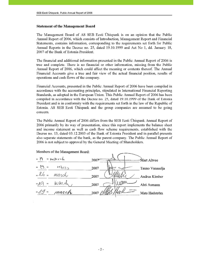#### **Statement of the Management Board**

The Management Board of AS SEB Eesti Ühispank is on an opinion that the Public Annual Report of 2006, which consists of Introduction, Management Report and Financial Statements, contains information, corresponding to the requirements set forth for Public Annual Reports in the Decree no. 25, dated 19.10.1999 and Act No 1, dd. January 18, 2007 of the Bank of Estonia President.

The financial and additional information presented in the Public Annual Report of 2006 is true and complete. There is no financial or other information, missing from the Public Annual Report of 2006, which could affect the meaning or contents thereof. The Annual Financial Accounts give a true and fair view of the actual financial position, results of operations and cash flows of the company.

Financial Accounts, presented in the Public Annual Report of 2006 have been compiled in accordance with the accounting principles, stipulated in International Financial Reporting Standards, as adopted in the European Union. This Public Annual Report of 2006 has been compiled in accordance with the Decree no. 25, dated 19.10.1999 of the Bank of Estonia President and is in conformity with the requirements set forth in the law of the Republic of Estonia. AS SEB Eesti Ühispank and the group companies are assumed to be going concern.

The Public Annual Report of 2006 differs from the SEB Eesti Ühispank Annual Report of 2006 primarily by its way of presentation, since this report implements the balance sheet and income statement as well as cash flow scheme requirements, established with the Decree no. 13, dated 03.12.2003 of the Bank of Estonia President and in parallel presents also separate statements of the bank, as the parent company. The Public Annual Report of 2006 is not subject to approval by the General Meeting of Shareholders.

Members of the Management Board:

| $\mathfrak{c}_1$<br>$\omega$    | $m$ $w$ $b$ $c$ h | 2007               | Mart Altvee     |
|---------------------------------|-------------------|--------------------|-----------------|
| $\epsilon$ .<br>46              | MARTS             | 2007               | Tauno Vanaselja |
| "26"                            | march             | 2007               | Andrus Kimber   |
| $\alpha$ / $C^4$<br>$\,{}^{35}$ | March             | 2007               | Ahti Asmann     |
| (19)<br>$\;$                    | march             | $2007$ <i>plle</i> | Mats Hedström   |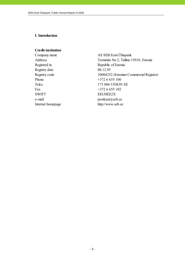### **I. Introduction**

#### **Credit institution**

Registry date 08.12.95 Phone  $+3726655100$ Fax  $+3726655102$ SWIFT EEUHEE2X e-mail postkast@seb.ee

Company name AS SEB Eesti Ühispank Address Tornimäe Str.2, Tallinn 15010, Estonia Registred in Republic of Estonia Registry code 10004252 (Estonian Commercial Register) Telex 173 006 UNION EE Internet homepage http://www.seb.ee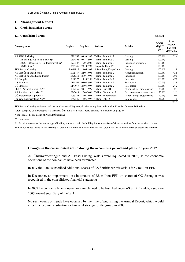#### **II. Management Report**

#### **1. Credit institution's group**

#### **1.1. Consolidated group 31.12.06**

| -                                      |           |            |                            |                             |                          |                                             |
|----------------------------------------|-----------|------------|----------------------------|-----------------------------|--------------------------|---------------------------------------------|
| Company name                           | Register  | Reg.date   | <b>Address</b>             | Activity                    | Owner-<br>ship***<br>(%) | At an<br>acquisi-<br>tion cost<br>(EEK mio) |
| AS SEB Ühisliising                     | 10281767  | 03.10.1997 | Tallinn, Tornimäe 2        | Leasing                     | 100.0%                   | 23.4                                        |
| HF Liisingu AS (in liquidation) $*$    | 10304592  | 07.11.1997 | Tallinn, Tornimäe 2        | Leasing                     | 100.0%                   |                                             |
| AS SEB Ühisliisingu Kindlustusmaakler* | 10723587  | 16.01.2001 | Tallinn, Tornimäe 2        | Insurance brokerage         | 100.0%                   |                                             |
| AS Rentacar*                           | 10303546  | 20.10.1997 | Haapsalu, Karja 27         | Leasing                     | 100.0%                   |                                             |
| SEB Russian Leasing                    | R-6603.16 | 19.06.1997 | St.Peterburg, Kropotkina 1 | Leasing                     | 100.0%                   | 1.9                                         |
| AS SEB Ühispanga Fondid                | 10035169  | 22.05.1996 | Tallinn, Tornimäe 2        | Asset management            | 100.0%                   | 42.5                                        |
| AS SEB Ühispanga Elukindlustus         | 10525330  | 21.01.1999 | Tallinn, Tornimäe 2        | Insurance                   | 100.0%                   | 30.0                                        |
| AS Bangalo                             | 10088272  | 18.10.1996 | Tallinn, Tornimäe 2        | Real estate                 | 100.0%                   | 47.0                                        |
| AS Tomimägi                            | 10198768  | 05.05.1997 | Tallinn, Tornimäe 2        | Real estate                 | 100.0%                   | 132.9                                       |
| OÜ Strongler                           | 10141919  | 23.04.1997 | Tallinn, Tornimäe 2        | Real estate                 | 100.0%                   | 26.2                                        |
| SEB IT Partner Estonia OÜ**            | 10002566  | 20.11.1995 | Tallinn, Liimi 1B          | IT consulting, programming  | 35.0%                    | 0.3                                         |
| AS Sertifits eerimis kes kus**         | 10747013  | 27.03.2001 | Tallinn, Pärnu mnt 12      | Data communication services | 25.0%                    | 15.1                                        |
| OÜ TietoEnator Support **              | 11065244  | 30.08.2004 | Tallinn, Roosikrantsi 11   | IT consulting, programming  | 20.0%                    | 0.6                                         |
| Pankade Kaardikeskuse AS**             | 10452335  | 19.05.1998 | Tallinn, Laki 12           | Card centre                 | 41.5%                    | 4.0                                         |
|                                        |           |            |                            |                             |                          | 323.9                                       |

SEB Russian Leasing registered in Russian Commercial Register, all other enterprises registered in Estonian Commercial Register.

Parent company of the Group is AS SEB Eesti Ühispank, it's activity being banking (information on page 3).

\* consolidated subsidaries of AS SEB Ühisliising

\*\* associates

\*\*\*For all investments the percentage of holding equals to both, the holding from the number of shares as well as from the number of votes.

The 'consolidated group' in the meaning of Credit Institutions Law in Estonia and the 'Group' for IFRS consolidation purposes are identical.

#### **Changes in the consolidated group during the accounting period and plans for year 2007**

AS Ühisinvesteeringud and AS Eesti Liisingukeskus were liquidated in 2006, as the economic operations of the companies have been terminated.

In July the Bank subscribed additional shares of AS Sertifitseerimiskeskus for 7 million EEK.

In December, an impairment loss in amount of 8,8 million EEK on shares of OÜ Strongler was recognised in the consolidated financial statements.

In 2007 the corporate finance operations are planned to be launched under AS SEB Enskilda, a separate 100% owned subsidiary of the bank.

No such events or trends have occurred by the time of publishing the Annual Report, which would affect the economic situation or financial strategy of the group in 2007.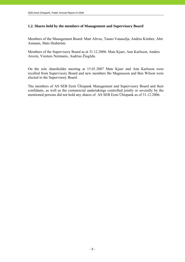# **1.2. Shares held by the members of Management and Supervisory Board**

Members of the Management Board: Mart Altvee, Tauno Vanaselja, Andrus Kimber, Ahti Asmann, Mats Hedström.

Members of the Supervisory Board as at 31.12.2006: Mats Kjaer, Ann Karlsson, Anders Arozin, Viesturs Neimanis, Audrius Žiugžda.

On the sole shareholder meeting at 15.01.2007 Mats Kjaer and Ann Karlsson were recalled from Supervisory Board and new members Bo Magnusson and Ben Wilson were elected to the Supervisory Board.

The members of AS SEB Eesti Ühispank Management and Supervisory Board and their confidants, as well as the commercial undertakings controlled jointly or severally by the mentioned persons did not hold any shares of AS SEB Eesti Ühispank as of 31.12.2006.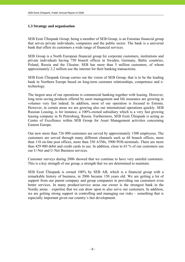#### **1.3 Strategy and organisation**

SEB Eesti Ühispank Group, being a member of SEB Group, is an Estonian financial group that serves private individuals, companies and the public sector. The bank is a universal bank that offers its customers a wide range of financial services.

SEB Group is a North European financial group for corporate customers, institutions and private individuals having 750 branch offices in Sweden, Germany, Baltic countries, Poland, Russia and the Ukraine. SEB has more than 5 million customers, of whom approximately 2.2 million use the internet for their banking transactions.

SEB Eesti Ühispank Group carries out the vision of SEB Group, that is to be the leading bank in Northern Europe based on long-term customer relationships, competence and etechnology.

The largest area of our operations is commercial banking together with leasing. However, long term saving products offered by asset management and life insurance are growing in volumes very fast indeed. In addition, most of our operation is focused to Estonia. However, in certain areas we are growing also our international operations quickly. SEB Russian Leasing, is for instance, a 100%-owned subsidiary which is a very fast growing leasing company in St Petersburg, Russia. Furthermore, SEB Eesti Ühispank is acting as Centre of Excellence within SEB Group for Asset Management activities concerning Eastern Europe.

Our now more than 726 000 customers are served by approximately 1500 employees. The customers are served through many different channels such as 68 branch offices, more than 110 on-line post offices, more than 350 ATMs, 5900 POS-terminals. There are more than 429 000 debit and credit cards in use. In addition, close to 63 % of our customers use our U-Net and U-Net Business services.

Customer surveys during 2006 showed that we continue to have very satisfed customers. This is a key strength of our group, a strength that we are determined to maintain.

SEB Eesti Ühispank is owned 100% by SEB AB, which is a financial group with a remarkable history of business, in 2006 became 150 years old. We are getting a lot of support from our parent company and group companies in providing our customers even better services. In many product/service areas our owner is the strongest bank in the Nordic arena – expertise that we can draw upon to also serve our customers. In addition, we are getting strong support in controlling and managing our risks – something that is especially important given our country´s fast development.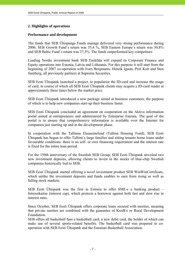# **2. Highlights of operations**

### **Performance and development**

The funds that SEB Ühispanga Funds manage delivered very strong performance during 2006; SEB Growth Fund´s return was 35,4 %, SEB Eastern Europe´s return was 30,8% and SEB Baltic Fund´s return was 27,3%. The funds outperformed key competitors

Leading Nordic investment bank SEB Enskilda will expand its Corporate Finance and Equity operations into Estonia, Latvia and Lithuania. For this purpose it will start from the beginning of 2007 co-operation with Ivars Bergmanis, Henrik Igasta, Priit Koit and Sten Sumberg, all previously partners at Suprema Securities.

SEB Eesti Ühispank launched a project, to popularise the ID-card and increase the usage of card, in course of which all SEB Eesti Ühispank clients may acquire a ID-card reader at approximately three times below the market price.

SEB Eesti Ühispank introduced a new package aimed at business customers, the purpose of which is to help new companies start-up their business faster.

SEB Eesti Ühispank concluded an agreement on cooperation on the Aktiva information portal aimed at entrepreneurs and administered by Enterprise Estonia. The goal of the portal is to ensure that comprehensive information is available over the Internet for companies just starting up and in the development phase.

In cooperation with the Tallinna Eluasemefond (Tallinn Housing Fund), SEB Eesti Ühispank has begun to offer Tallinn's large families and sitting tenants home loans under favourable conditions: there is no self- or own financing requirement and the interest rate is fixed for the entire loan period.

For the 150th anniversary of the Swedish SEB Group, SEB Eesti Ühispank unveiled two new investment deposits, allowing clients to invest in the stocks of blue-chip Swedish companies historically tied to SEB.

SEB Eesti Ühispank started offering a novel investment product SEB WinWinCertificate, which unlike the investment deposits and funds enables to earn from rising as well as falling stock markets.

SEB Eesti Ühispank was the first in Estonia to offer SME-s a banking product – Intressikaitse (interest cap), which protects a borrower against both fast and slow rise in interest rates.

Since October, SEB Eesti Ühispank offers corporate loans secured with sureties, meaning that private sureties are combined with the guarantee of KredEx or Rural Development Foundation.

SEB offers all basketball fans a basketball card, a new debit card, the holder of which can make use of several sports-related benefits. The basketball card was prepared in cooperation with SEB Eesti Ühispank and the Estonian Basketball Association.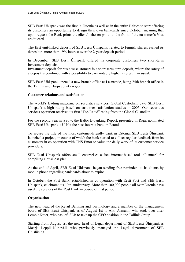SEB Eesti Ühispank was the first in Estonia as well as in the entire Baltics to start offering its customers an opportunity to design their own bankcards since October, meaning that upon request the Bank prints the client's chosen photo to the front of the customer's Visa credit card.

The first unit-linked deposit of SEB Eesti Ühispank, related to Finnish shares, earned its depositors more than 19% interest over the 2-year deposit period.

In December, SEB Eesti Ühispank offered its corporate customers two short-term investment deposits

Investment deposit for business customers is a short-term term deposit, where the safety of a deposit is combined with a possibility to earn notably higher interest than usual.

SEB Eesti Ühispank opened a new branch office at Lasnamäe, being 24th branch office in the Tallinn and Harju county region.

#### **Customer relations and satisfaction**

The world's leading magazine on securities services, Global Custodian, gave SEB Eesti Ühispank a high rating based on customer satisfaction studies in 2005. Our securities services operation received its first "Top Rated" rating from the Global Custodian.

For the second year in a row, the Baltic E-banking Report, presented in Riga, nominated SEB Eesti Ühispank's U-Net the best Internet bank in Estonia.

To secure the title of the most customer-friendly bank in Estonia, SEB Eesti Ühispank launched a project, in course of which the bank started to collect regular feedback from its customers in co-operation with TNS Emor to value the daily work of its customer service providers.

SEB Eesti Ühispank offers small enterprises a free internet-based tool "iPlanner" for compiling a business plan.

At the end of April, SEB Eesti Ühispank began sending free reminders to its clients by mobile phone regarding bank cards about to expire.

In October, the Post Bank, established in co-operation with Eesti Post and SEB Eesti Ühispank, celebrated its 10th anniversary. More than 100,000 people all over Estonia have used the services of the Post Bank in course of that period.

#### **Organisation**

The new head of the Retail Banking and Technology and a member of the management board of SEB Eesti Ühispank as of August 1st is Ahti Asmann, who took over after Lembit Kitter, who has left SEB to take up the CEO position in the Tallink Group.

Starting from August 1st the new head of Legal department of SEB Eesti Ühispank is Maarja Leppik-Niineväli, who previously managed the Legal department of SEB Ühisliising.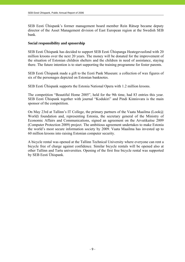SEB Eesti Ühispank's former management board member Rein Rätsep became deputy director of the Asset Management division of East European region at the Swedish SEB bank.

### **Social responsibility and spnsorship**

SEB Eesti Ühispank has decided to support SEB Eesti Ühispanga Heategevusfond with 20 million kroons over the next 20 years. The money will be donated for the improvement of the situation of Estonian children shelters and the children in need of assistance, staying there. The future intention is to start supporting the training programme for foster parents.

SEB Eesti Ühispank made a gift to the Eesti Pank Museum: a collection of wax figures of six of the personages depicted on Estonian banknotes.

SEB Eesti Ühispank supports the Estonia National Opera with 1.2 million kroons.

The competition "Beautiful Home 2005", held for the 9th time, had 83 entries this year. SEB Eesti Ühispank together with journal "Kodukiri" and Pindi Kinnisvara is the main sponsor of the competition.

On May 23rd at Tallinn's IT College, the primary partners of the Vaata Maailma (Look@ World) foundation and, representing Estonia, the secretary general of the Ministry of Economic Affairs and Communications, signed an agreement on the Arvutikaitse 2009 (Computer Protection 2009) project. The ambitious agreement undertakes to make Estonia the world's most secure information society by 2009. Vaata Maailma has invested up to 60 million kroons into raising Estonian computer security.

A bicycle rental was opened at the Tallinn Technical University where everyone can rent a bicycle free of charge against confidence. Similar bicycle rentals will be opened also at other Tallinn and Tartu universities. Opening of the first free bicycle rental was supported by SEB Eesti Ühispank.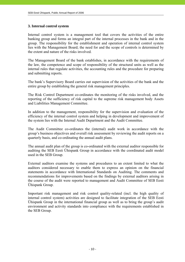#### **3. Internal control system**

Internal control system is a management tool that covers the activities of the entire banking group and forms an integral part of the internal processes in the bank and in the group. The responsibility for the establishment and operation of internal control system lies with the Management Board; the need for and the scope of controls is determined by the extent and nature of the risks involved.

The Management Board of the bank establishes, in accordance with the requirements of the law, the competence and scope of responsibility of the structural units as well as the internal rules that regulate activities, the accounting rules and the procedure for preparing and submitting reports.

The bank's Supervisory Board carries out supervision of the activities of the bank and the entire group by establishing the general risk management principles.

The Risk Control Department co-ordinates the monitoring of the risks involved, and the reporting of the sufficiency of risk capital to the supreme risk management body Assets and Liabilities Management Committee.

In addition to the management, responsibility for the supervision and evaluation of the efficiency of the internal control system and helping in development and improvement of the system lies with the Internal Audit Department and the Audit Committee.

The Audit Committee co-ordinates the (internal) audit work in accordance with the group's business objectives and overall risk assessment by reviewing the audit reports on a quarterly basis, and co-ordinating the annual audit plans.

The annual audit plan of the group is co-ordinated with the external auditor responsible for auditing the SEB Eesti Ühispank Group in accordance with the coordinated audit model used in the SEB Group.

External auditors examine the systems and procedures to an extent limited to what the auditors considered necessary to enable them to express an opinion on the financial statements in accordance with International Standards on Auditing. The comments and recommendations for improvements based on the findings by external auditors arising in the course of the audit were reported to management and Audit Committee of SEB Eesti Ühispank Group.

Important risk management and risk control quality-related (incl. the high quality of internal control system) activities are designed to facilitate integration of the SEB Eesti Ühispank Group in the international financial group as well as to bring the group's audit environment and activity standards into compliance with the requirements established in the SEB Group.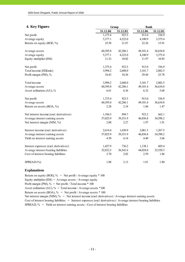| 4. Key Figures                          | Group    | <b>Bank</b> |          |          |  |
|-----------------------------------------|----------|-------------|----------|----------|--|
|                                         | 31.12.06 | 31.12.05    | 31.12.06 | 31.12.05 |  |
| Net profit                              | 1,375.4  | 923.5       | 913.0    | 536.9    |  |
| Average equity                          | 5,377.1  | 4,222.0     | 4,100.9  | 3,375.4  |  |
| Return on equity (ROE, %)               | 25.58    | 21.87       | 22.26    | 15.91    |  |
| Average assets                          | 60,395.0 | 42,286.1    | 49,101.4 | 36,634.8 |  |
| Average equity                          | 5,377.1  | 4,222.0     | 4,100.9  | 3,375.4  |  |
| Equity multiplier (EM)                  | 11.23    | 10.02       | 11.97    | 10.85    |  |
| Net profit                              | 1,375.4  | 923.5       | 913.0    | 536.9    |  |
| Total income (EEKmio)                   | 3,994.2  | 2,688.0     | 3,101.7  | 2,082.5  |  |
| Profit margin (PM), %                   | 34.43    | 34.36       | 29.44    | 25.78    |  |
| Total income                            | 3,994.2  | 2,688.0     | 3,101.7  | 2,082.5  |  |
| Average assets                          | 60,395.0 | 42,286.1    | 49,101.4 | 36,634.8 |  |
| Asset utilization (AU), %               | 6.61     | 6.36        | 6.32     | 5.68     |  |
| Net profit                              | 1,375.4  | 923.5       | 913.0    | 536.9    |  |
| Average assets                          | 60,395.0 | 42,286.1    | 49,101.4 | 36,634.8 |  |
| Return on assets (ROA, %)               | 2.28     | 2.18        | 1.86     | 1.47     |  |
| Net interest income (excl. derivatives) | 1,186.5  | 894.7       | 923.2    | 662.1    |  |
| Average interest earning assets         | 57,025.9 | 39,351.9    | 46,856.8 | 34,598.2 |  |
| Net interest margin (NIM, %)            | 2.08     | 2.27        | 1.97     | 1.91     |  |
| Interest income (excl. derivatives)     | 2,614.4  | 1,630.9     | 2,061.3  | 1,267.5  |  |
| Average interest earning assets         | 57,025.9 | 39,351.9    | 46,856.8 | 34,598.2 |  |
| Yield on interest earning assets        | 4.59     | 4.14        | 4.40     | 3.66     |  |
| Interest expenses (excl. derivatives)   | 1,427.9  | 736.2       | 1,138.1  | 605.4    |  |
| Average interest bearing liabilities    | 52,832.3 | 36,541.6    | 44,024.0 | 32,558.3 |  |
| Cost of interest bearing liabilities    | 2.70     | 2.02        | 2.59     | 1.86     |  |
| SPREAD (%)                              | 1.88     | 2.13        | 1.81     | 1.80     |  |

#### **Explanations**

Return on equity (ROE),  $\%$  = Net profit / Average equity \* 100 Equity multiplier (EM) = Average assets / Average equity Profit margin (PM),  $\%$  = Net profit / Total income  $*$  100 Asset utilization (AU),  $\%$  = Total income / Average assets \*100 Return on assets (ROA),  $\%$  = Net profit / Average assets \* 100 Net interest margin (NIM), % = Net interest income (excl. derivatives) / Average interest earning assets Cost of interest bearing liabilities = Interest expenses (excl. derivatives) / Average interest bearing liabilities SPREAD,  $\%$  = Yield on interest earning assets - Cost of interest bearing liabilities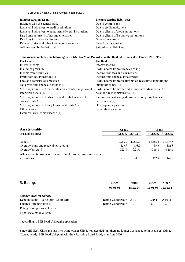Balances with the central bank Due to central bank Loans and advances to credit institutions Due to credit institutions Loans and advances to customers of credit institutions Due to clients of credit institutions Due from customers of leasing enterprises Due to clients of insurance institutions Due from insurance institutions Other commitments Debt securities and other fixed income securities Issued debt securities -Allowances for doubtful debt Subordinated liabilities

#### **Interest earning assets: Interest bearing liabilities:**

# For Group: **For Bank: Total income includes the following items (Act No 25 of President of the Bank of Estonia, dd. October 19, 1999):**

| Interest income                                            | Interest income                                             |
|------------------------------------------------------------|-------------------------------------------------------------|
| Insurance premium                                          | Profit/income from currency dealing                         |
| Income from securities                                     | Income from fees and commissions                            |
| Profit from equity method $(+)$                            | Income from financial investments                           |
| Fees and commissions received                              | Profit/income from adjustments of real estate, tangible and |
| Net profit from financial activities $(+)$                 | intangible assets $(+)$                                     |
| Value adjustments of real estate investments, tangible and | Profit/income from value adjustments of advances and off-   |
| intangible assets $(+/-)$                                  | balance sheet commitments $(+)$                             |
| Value adjustments of advances and off-balance sheet        | Income from value adjustements of long term financial       |
| commitments $(+/-)$                                        | investments $(+)$                                           |
| Value adjustments of long term investments $(+)$           | Other operating income                                      |
| Other income                                               | Extraordinary income                                        |
| Extraordinary income/expense (+)                           |                                                             |

| <b>Assets quality</b>                                          | Group    |                   | <b>Bank</b> |          |  |
|----------------------------------------------------------------|----------|-------------------|-------------|----------|--|
| (millions of EEK)                                              |          | 31.12.06 31.12.05 | 31.12.06    | 31.12.05 |  |
| Assets                                                         | 70.950.9 | 49.839.0          | 58,483.2    | 39,719.6 |  |
| Overdue loans and receivables (gross)                          | 153.7    | 138.5             | 93.3        | 102.5    |  |
| Overdue/assets, %                                              | $0.22\%$ | $0.28\%$          | 0.16%       | $0.26\%$ |  |
| Allowances for losses on amounts due from customers and credit |          |                   |             |          |  |
| institutions                                                   | 235.6    | 203.7             | 152.9       | 146.1    |  |

| 5. Ratings                            | since                       | since    | since    | since    |
|---------------------------------------|-----------------------------|----------|----------|----------|
|                                       | 09.06.06                    | 18.02.04 | 10.01.03 | 12.12.02 |
|                                       |                             |          |          |          |
| <b>Moody's Investor Service</b>       |                             |          |          |          |
| Deposit rating (Long term/Short term) | Rating withdrawal* $A1/P-1$ |          | $A2/P-1$ | $A3/P-2$ |
| Financial strength rating             | Rating withdrawal*          | $C-$     | $C-$     | $C-$     |
| Rating descriptions in Internet:      |                             |          |          |          |
| http://www.moodys.com                 |                             |          |          |          |

\*according to SEB Eesti Ühispank application

Since SEB Eesti Ühispank has the strong owner SEB, it was decided that there no longer was a need to have a local rating. Consequently, SEB Eesti Uhispank withdrew its rating from Moody´s in June 2006.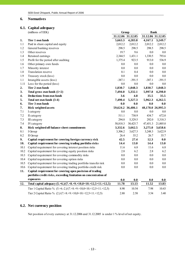#### **6. Normatives**

# **6.1. Capital adequacy**

|      | (millions of EEK)                                                                               | Group             |          | <b>Bank</b>       |          |  |  |
|------|-------------------------------------------------------------------------------------------------|-------------------|----------|-------------------|----------|--|--|
|      |                                                                                                 | 31.12.06 31.12.05 |          | 31.12.06 31.12.05 |          |  |  |
| 1.   | Tier 1 own funds                                                                                | 5,663.3           | 4,283.8  | 4,167.1           | 3,249.7  |  |  |
| 1.1  | Paid in share capital and equity                                                                | 2,012.2           | 2,012.2  | 2,012.2           | 2,012.2  |  |  |
| 1.2  | General banking reserves                                                                        | 298.5             | 298.5    | 298.5             | 298.5    |  |  |
| 1.3  | Other reserves                                                                                  | 19.7              | 9.6      | 0.0               | 0.0      |  |  |
| 1.4  | Retained earnings                                                                               | 2,344.5           | 1,431.1  | 1,330.5           | 793.6    |  |  |
| 1.5  | Profit for the period after auditing                                                            | 1,375.4           | 923.5    | 913.0             | 536.9    |  |  |
| 1.6  | Other primary own funds                                                                         | 0.0               | 0.0      | 0.0               | 0.0      |  |  |
| 1.7  | Minority interest                                                                               | 0.0               | 0.0      | 0.0               | 0.0      |  |  |
| 1.8  | Translation reserve                                                                             | 0.1               | 0.4      | 0.0               | 0.0      |  |  |
| 1.9  | Treasury stock (less)                                                                           | 0.0               | 0.0      | 0.0               | 0.0      |  |  |
| 1.1  | Intangible assets (less)                                                                        | $-387.1$          | $-391.5$ | $-387.1$          | $-391.5$ |  |  |
| 1.11 | Loss for the period (less)                                                                      | 0.0               | 0.0      | 0.0               | 0.0      |  |  |
| 2.   | Tier 2 own funds                                                                                | 1,830.7           | 1,048.3  | 1,830.7           | 1,048.3  |  |  |
| 3.   | Total gross own funds $(1+2)$                                                                   | 7,494.0           | 5,332.1  | 5,997.8           | 4,298.0  |  |  |
| 4.   | <b>Deductions from own funds</b>                                                                | 3.6               | 4.8      | 35.5              | 35.5     |  |  |
| 5.   | Total net own funds (3-4)                                                                       | 7,490.4           | 5,327.3  | 5,962.3           | 4,262.5  |  |  |
| 6.   | Tier 3 own funds                                                                                | 0.0               | 0.0      | 0.0               | 0.0      |  |  |
| 7.   | <b>Risk weighted assets</b>                                                                     | 59,624.2 36,486.1 |          | 48,178.0 26,995.3 |          |  |  |
| 7.1  | I category                                                                                      | 0.0               | 0.0      | 0.0               | 0.0      |  |  |
| 7.2  | II category                                                                                     | 511.1             | 730.9    | 434.7             | 672.0    |  |  |
| 7.3  | III category                                                                                    | 294.8             | 5,329.5  | 292.0             | 5,318.3  |  |  |
| 7.4  | IV category                                                                                     | 58,818.3          | 30,425.7 | 47,451.3          | 21,005.0 |  |  |
| 8.   | Risk weighted off-balance sheet commitments                                                     | 3,332.6           | 3,662.5  | 3,275.0           | 3,658.6  |  |  |
| 8.1  | I Group                                                                                         | 3,306.2           | 3,627.3  | 3,248.3           | 3,622.9  |  |  |
| 8.2  | II Group                                                                                        | 26.4              | 35.2     | 26.7              | 35.7     |  |  |
| 9.   | Capital requirement for covering foreign currency risk                                          | 42.5              | 27.4     | 12.3              | 0.0      |  |  |
| 10.  | Capital requirement for covering trading portfolio risks                                        | 14.4              | 13.0     | 14.4              | 13.0     |  |  |
| 10.1 | Capital requirement for covering interest position risks                                        | 11.6              | 6.8      | 11.6              | 6.8      |  |  |
| 10.2 | Capital requirement for covering equity position risks                                          | 2.8               | 6.2      | 2.8               | 6.2      |  |  |
| 10.3 | Capital requirement for covering commodity risks                                                | 0.0               | 0.0      | 0.0               | 0.0      |  |  |
| 10.4 | Capital requirement for covering option risks                                                   | 0.0               | 0.0      | 0.0               | 0.0      |  |  |
| 10.5 | Capital requirement for covering trading portfolio transfer risk                                | 0.0               | 0.0      | 0.0               | 0.0      |  |  |
| 10.6 | Capital requirement for covering trading portfolio credit risk                                  | 0.0               | 0.0      | 0.0               | 0.0      |  |  |
| 11.  | Capital requirement for covering open positsion of trading                                      |                   |          |                   |          |  |  |
|      | portfolio credit risks, exceeding limitation on concentration of                                |                   |          |                   |          |  |  |
|      | exposures                                                                                       | 0.0               | $0.0\,$  | 0.0               | 0.0      |  |  |
| 12.  | Total capital adequacy $(5. +6.)/(7. +8. +9. \times 10, 0 +10. \times 12, 5 +11. \times 12, 5)$ | 11.78             | 13.13    | 11.52             | 13.83    |  |  |
|      | Tier 1 Capital Ratio % $(5.+6.-2)/(7.+8.+9)\times10,0+10)\times12,5+11\times12,5)$              | 8.90              | 10.54    | 7.98              | 10.43    |  |  |
|      | Tier 2 Capital Ratio % $(2.)/(7. +8. +9. \times 10.0 + 10. \times 12.5 + 11. \times 12.5)$      | 2.88              | 2.58     | 3.54              | 3.40     |  |  |
|      |                                                                                                 |                   |          |                   |          |  |  |

# **6.2. Net currency position**

Net position of every currency at 31.12.2006 and 31.12.2005 is under 1 % level of net equity.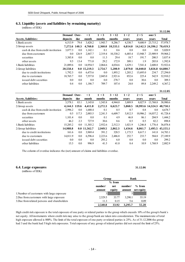#### **6.3. Liquidity (assets and liabilities by remaining maturity)**

(millions of EEK)

|                                    |                     |         |              |         |          |         |          |                   | 31.12.06     |
|------------------------------------|---------------------|---------|--------------|---------|----------|---------|----------|-------------------|--------------|
|                                    | <b>Demand Over-</b> |         | $\leq 1$     | 1 < 3   | 3 < 12   | 1 < 2   | 2 < 5    | over 5            |              |
| Assets, liabilities:               | deposits            | due     | month        | months  | months   | years   | vears    | vears             | <b>Total</b> |
| 1. Bank assets                     | 6,513.9             | 79.4    | 3,428.2      | 1,943.7 | 8,286.7  | 4,330.7 | 9,680.9  | 23,715.2          | 57,978.7     |
| 2. Group assets                    | 7.272.6             | 140.3   | 4.760.8      | 2,360.0 | 10,533.1 | 6,814.0 |          | 14.142.3 24.396.2 | 70.419.3     |
| cash & due from credit institution | 3,877.3             | 0.0     | 1,142.1      | 0.1     | 0.6      | 0.8     | 0.0      | 0.0               | 5,020.9      |
| due from customers                 | 0.0                 | 126.9   | 2.847.7      | 2,319.4 | 10,330.2 | 6,485.4 | 13,948.7 | 23,909.9          | 59,968.2     |
| securities                         | 3,385.8             | 0.0     | 0.0          | 11.3    | 29.4     | 18.7    | 191.7    | 200.5             | 3,837.4      |
| other assets                       | 9.5                 | 13.4    | 771.0        | 29.2    | 172.9    | 309.1   | 1.9      | 285.8             | 1,592.8      |
| 1. Bank liabilities                | 21,089.6            | $0.0\,$ | 14.954.5     | 2.064.6 | 4,034.6  | 1.629.1 | 7.541.4  | 2,608.8           | 53,922.6     |
| 2. Group liabilities               | 20,558.4            |         | 0.0 15,219.3 | 2,754.7 | 5,200.9  | 2,079.8 | 16,040.8 | 3,026.8           | 64,880.7     |
| due to credit institutions         | 1,792.3             | 0.0     | 6,475.6      | 0.0     | 1,893.2  | 1,203.2 | 15,695.0 | 234.7             | 27,294.0     |
| due to customers                   | 18,765.7            | 0.0     | 7.557.0      | 2,045.0 | 2,921.6  | 852.6   | 225.4    | 542.9             | 32,910.2     |
| issued debt securities             | 0.0                 | 0.0     | 0.0          | 0.0     | 278.7    | 0.0     | 30.6     | 0.0               | 309.3        |
| other liabilities                  | 0.4                 | 0.0     | 1,186.7      | 709.7   | 107.4    | 24.0    | 89.8     | 2.249.2           | 4,367.2      |

#### **31.12.05**

|                                    | Demand Over- |         | < 1          | 1 < 3   | 3 < 12  | 1 < 2   | 2 < 5    | over 5            |                  |
|------------------------------------|--------------|---------|--------------|---------|---------|---------|----------|-------------------|------------------|
| Assets, liabilities:               | deposits     | due     | month        | months  | months  | vears   | vears    | vears             | <b>Total</b>     |
| 1.Bank assets                      | 3,578.1      | 83.1    | 3,145.0      | 1,543.8 | 4,944.0 | 3,889.9 | 8.027.9  | 13,768.8          | 38,980.6         |
| 2. Group assets                    | 4.144.3      | 119.6   | 4,411.8      | 2,272.3 | 6.623.7 | 5,860.5 |          | 10,993.6 14,324.3 | 48,750.1         |
| cash & due from credit institution | 2,996.2      | 0.0     | 1,680.4      | 0.1     | 0.5     | 0.7     | 0.8      | 0.0               | 4,678.7          |
| due from customers                 | 0.5          | 117.3   | 2,003.5      | 2,241.5 | 6,609.7 | 5,812.5 | 10,906.2 | 14,037.2          | 41,728.4         |
| securities                         | 1.101.4      | 0.0     | 0.0          | 0.1     | 4.9     | 46.8    | 86.1     | 204.9             | 1,444.2          |
| other assets                       | 46.2         | 2.3     | 727.9        | 30.6    | 8.6     | 0.5     | 0.5      | 82.2              | 898.8            |
| 1. Bank liabilities                | 15,285.2     | $0.0\,$ | 11,303.2     | 2,932.6 | 2,512.3 | 1,021.9 | 1,246.8  | 1.776.4           | 36,078.4         |
| 2. Group liabilities               | 14,988.8     |         | 0.0 11,562.7 | 2,949.5 | 2,862.3 | 1,434.6 | 8.861.7  |                   | 2,495.5 45,155.1 |
| due to credit institutions         | 161.6        | 0.0     | 3,969.4      | 391.2   | 328.5   | 1,173.5 | 8,617.1  | 141.8             | 14,783.1         |
| due to customers                   | 14.811.9     | 0.0     | 6.596.4      | 2,223.6 | 2.486.8 | 252.7   | 233.7    | 584.8             | 27.189.9         |
| issued debt securities             | 0.0          | 0.0     | 0.0          | 293.2   | 6.0     | 0.0     | 0.0      | 0.0               | 299.2            |
| other liabilities                  | 15.3         | 0.0     | 996.9        | 41.5    | 41.0    | 8.4     | 10.9     | 1.768.9           | 2.882.9          |

The column of overdue indicates the (net) amount of claims and liabilities overdue.

#### **6.4. Large exposures 31.12.06**

(millions of EEK)

|                                              |         | Group    |         | Bank       |  |
|----------------------------------------------|---------|----------|---------|------------|--|
|                                              |         | $%$ from |         |            |  |
|                                              | number/ | net      | number/ | $%$ from   |  |
|                                              | amount  | equity   | amount  | net equity |  |
| 1. Number of customers with large exposure   |         |          |         |            |  |
| 2. Due from customers with large exposure    | 2.529.5 | 33.77    | 3.290.1 | 55.19      |  |
| 3. Due from related persons and shareholders | 11.3    | 0.15     | 5.6     | 0.09       |  |
|                                              | 2.540.8 | 33.92    | 3.295.7 | 55.28      |  |

High credit risk exposure is the total exposure of one party or related parties to the group which exceeds 10% of the group's/bank´s net equity. All instruments where credit risk may arise to the group/bank are taken into consideration. The maximum rate of total high exposure allowed is 800%. The limit of the total exposure of one party or related parties is 25%. As of 31.12.2006 the group had 3 and the bank had 5 high risk exposures. Total exposure of any group of related parties did not exceed the limit of 25%.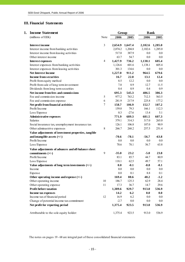# **III. Financial Statements**

| 1.<br><b>Income Statement</b> |                                                      |                | Group   |                 | <b>B</b> ank |         |  |
|-------------------------------|------------------------------------------------------|----------------|---------|-----------------|--------------|---------|--|
|                               | (millions of EEK)                                    | Note           | 2006    | 2005            | 2006         | 2005    |  |
|                               | <b>Interest income</b>                               | 3              |         | 2,654.9 1,647.4 | 2,102.6      | 1,285.0 |  |
|                               | Interest income from banking activities              |                | 2,074.2 | 1,204.8         | 2,102.6      | 1,285.0 |  |
|                               | Interest income from leasing activities              |                | 517.0   | 387.9           | $0.0\,$      | $0.0\,$ |  |
|                               | Other interest income                                |                | 63.7    | 54.7            | 0.0          | $0.0\,$ |  |
|                               | <b>Interest expenses</b>                             | $\overline{4}$ | 1,427.9 | 736.2           | 1,138.1      | 605.4   |  |
|                               | Interest expenses from banking activities            |                | 1,126.6 | 601.6           | 1,138.1      | 605.4   |  |
|                               | Interest expenses from leasing activities            |                | 301.3   | 134.6           | $0.0\,$      | $0.0\,$ |  |
|                               | <b>Net Interest Income</b>                           |                | 1,227.0 | 911.2           | 964.5        | 679.6   |  |
|                               | <b>Income from securities</b>                        |                | 16.7    | 22.0            | 13.1         | 12.4    |  |
|                               | Profit from equity method                            |                | 8.5     | 12.2            | $0.0\,$      | 0.0     |  |
|                               | Profit from sale of long term investment             |                | 7.8     | 8.9             | 12.7         | 11.5    |  |
|                               | Dividends from long term securities                  |                | 0.4     | 0.9             | 0.4          | 0.9     |  |
|                               | Net income from fees and commissions                 |                | 695.3   | 545.3           | 486.5        | 386.3   |  |
|                               | Fee and commission income                            | 5              | 977.2   | 763.2           | 712.3        | 563.5   |  |
|                               | Fee and commission expense                           | 6              | 281.9   | 217.9           | 225.8        | 177.2   |  |
|                               | Net profit from financial activities                 | $\tau$         | 158.7   | 106.9           | 152.7        | 107.2   |  |
|                               | Profit/Income                                        |                | 159.0   | 79.3            | 166.1        | 112.3   |  |
|                               | Loss/Expense                                         |                | 0.3     | $-27.6$         | 13.4         | 5.1     |  |
|                               | Administrative expenses                              |                | 771.9   | 689.3           | 681.5        | 607.3   |  |
|                               | <b>Salaries</b>                                      |                | 379.1   | 314.3           | 317.0        | 265.0   |  |
|                               | Social insurance tax, unemployment insurance tax     |                | 126.1   | 106.8           | 107.0        | 90.9    |  |
|                               | Other adminastrive expenses                          | 8              | 266.7   | 268.2           | 257.5        | 251.4   |  |
|                               | Value adjustments of investment properties, tangible |                |         |                 |              |         |  |
|                               | and intangible assets $(+/-)$                        |                | -70.6   | $-78.1$         | $-56.7$      | $-63.8$ |  |
|                               | Profit/Income                                        |                | 0.0     | 0.0             | 0.0          | $0.0\,$ |  |
|                               | Loss/Expense                                         |                | 70.6    | 78.1            | 56.7         | 63.8    |  |
|                               | Value adjustments of advances and off-balance sheet  |                |         |                 |              |         |  |
|                               | commitments $(+/-)$                                  | 9              | $-35.0$ | 23.2            | $-5.0$       | 23.8    |  |
|                               | Profit/Income                                        |                | 83.1    | 85.7            | 44.7         | 80.9    |  |
|                               | Loss/Expense                                         |                | 118.1   | 62.5            | 49.7         | 57.1    |  |
|                               | Value adjustments of long term investments $(+/-)$   |                | 0.0     | $-0.1$          | $-8.8$       | $-0.1$  |  |
|                               | Income                                               |                | 0.0     | 0.0             | 0.0          | 0.0     |  |
|                               | Expense                                              |                | 0.0     | 0.1             | 8.8          | 0.1     |  |
|                               | Other operating income and expense $(+/-)$           |                | 169.4   | 88.6            | 48.2         | $-1.2$  |  |
|                               | Other operating income                               | 10             | 186.7   | 125.3           | 62.9         | 28.4    |  |
|                               | Other operating expense                              | 11             | 17.3    | 36.7            | 14.7         | 29.6    |  |
|                               | <b>Profit before taxation</b>                        |                | 1,389.6 | 929.7           | 913.0        | 536.9   |  |
|                               | Income tax expenses                                  |                | 14.2    | 6.2             | 0.0          | 0.0     |  |
|                               | Income tax of financial period                       | 12             | 16.9    | 6.2             | 0.0          | $0.0\,$ |  |
|                               | Change of potential income tax commitment            |                | $-2.7$  | 0.0             | 0.0          | $0.0\,$ |  |
|                               | Net profit for reporting period                      |                | 1,375.4 | 923.5           | 913.0        | 536.9   |  |
|                               | Attributable to the sole equity holder:              |                | 1,375.4 | 923.5           | 913.0        | 536.9   |  |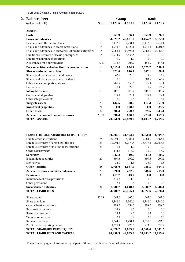SEB Eesti Ühispank, Public Annual Report of 2006

| <b>Balance sheet</b>                                                                                                 |        | Group                |                      | <b>B</b> ank      |                              |
|----------------------------------------------------------------------------------------------------------------------|--------|----------------------|----------------------|-------------------|------------------------------|
| (millions of EEK)                                                                                                    | Note   | 31.12.06             | 31.12.05             | 31.12.06 31.12.05 |                              |
|                                                                                                                      |        |                      |                      |                   |                              |
| <b>ASSETS</b><br>$\mathbf{Cash}$                                                                                     |        | 667.9                | 526.1                | 667.9             | 526.1                        |
| Loans and advances                                                                                                   |        | 64,321.2             | 45,881.0             |                   | 53,464.7 37,072.3            |
| Balances with the central bank                                                                                       | 13     | 2,412.8              | 2,231.1              | 2,412.8           | 2,231.1                      |
| Loans and advances to credit institutions                                                                            | 14     | 1,943.8              | 1,924.1              | 1,941.1           | 1,904.5                      |
| Loans and advances to customers of credit institutions                                                               | 15     | 49,283.4             | 33,493.1             | 49,263.7          | 33,082.8                     |
|                                                                                                                      | 15     | 10,914.9             | 8,434.5              | 0.0               | 0.0                          |
| Due from customers of leasing enterprises<br>Due from insurance institutions                                         |        | 1.9                  | 1.9                  | 0.0               | 0.0                          |
| Allowances for doubtful debt                                                                                         | 16, 17 | $-235.6$             | $-203.7$             | $-152.9$          | $-146.1$                     |
|                                                                                                                      |        |                      |                      |                   |                              |
| Debt securities and other fixed income securities                                                                    | 18     | 3,015.4              | 834.1                | 2,625.7           | 550.9                        |
| <b>Shares and other securities</b>                                                                                   | 18     | 822.0                | 610.1                | 367.1             | 420.4                        |
| Shares and participations in affiliates                                                                              |        | 42.9                 | 28.5                 | 19.9              | 12.9                         |
| Shares and participations in subsidaries                                                                             |        | 0.0                  | 0.0                  | 303.9             | 346.7                        |
| Other shares and participations                                                                                      |        | 761.7                | 559.6                | 25.4              | 38.1                         |
| Derivatives                                                                                                          |        | 17.4                 | 22.0                 | 17.9              | 22.7                         |
| <b>Intangible assets</b>                                                                                             | 19     | 387.1                | 391.5                | 387.1             | 391.5                        |
| Consolidated goodwill                                                                                                |        | 379.1                | 379.1                | 379.1             | 379.1                        |
| Other intagible assets                                                                                               |        | 8.0                  | 12.4                 | 8.0               | 12.4                         |
| <b>Tangible assets</b>                                                                                               | 20     | 144.5                | 588.6                | 117.4             | 261.9                        |
| <b>Investment properties</b>                                                                                         | 21     | 0.0                  | 108.8                | 0.0               | 85.6                         |
| <b>Other assets</b>                                                                                                  | 22     | 896.4                | 270.3                | 579.5             | 243.4                        |
| Accrued income and prepaid expenses                                                                                  | 23, 24 | 696.4                | 628.5                | 273.8             | 167.5                        |
| <b>TOTAL ASSETS</b>                                                                                                  |        | 70,950.9             | 49,839.0             |                   | 58,483.2 39,719.6            |
| <b>LIABILITIES AND SHAREHOLDERS' EQUITY</b><br>Due to credit institutions<br>Due to customers of credit institutions | 25     | 60,204.1<br>27,294.0 | 41,973.0<br>14,783.1 | 17,284.2          | 50,660.8 33,899.7<br>6,463.4 |
|                                                                                                                      | 26     | 32,794.7             | 27,074.8             | 33,337.4          | 27,387.4                     |
| Due to customers of insurance institutions                                                                           | 26     | 1.1                  | 1.2                  | 0.0               | 0.0                          |
| Other commitments                                                                                                    |        | 114.3                | 113.9                | 39.2              | 48.9                         |
| <b>Securities</b>                                                                                                    |        | 342.2                | 310.5                | 343.2             | 310.5                        |
| Issued debt securities                                                                                               | 27     | 309.3                | 299.2                | 309.3             | 299.2                        |
| Derivatives<br><b>Other liabilities</b>                                                                              |        | 32.9                 | 11.3                 | 33.9              | 11.3                         |
|                                                                                                                      | 28     | 1,466.0              | 1,087.0              | 738.5             | 604.1                        |
| Accrued expenses and deferred income                                                                                 | 29     | 620.0                | 422.6                | 348.6             | 215.0                        |
| <b>Provisions</b>                                                                                                    | 30     | 417.7                | 313.7                | 0.8               | 0.8                          |
| Insurance technical provisions                                                                                       |        | 415.3                | 311.3                | 0.0               | 0.0                          |
| Other provisions                                                                                                     |        | 2.4                  | 2.4                  | 0.8               | 0.8                          |
| <b>Subordinated liabilities</b>                                                                                      | 31     | 1,830.7              | 1,048.3              | 1,830.7           | 1,048.3                      |
| <b>TOTAL LIABILITIES</b>                                                                                             |        | 64,880.7             | 45,155.1             |                   | 53,922.6 36,078.4            |
| Share capital                                                                                                        | 32,33  | 665.6                | 665.6                | 665.6             | 665.6                        |
| Share premium                                                                                                        |        | 1,346.6              | 1,346.6              | 1,346.6           | 1,346.6                      |
| General banking reserve                                                                                              |        | 298.5                | 298.5                | 298.5             | 298.5                        |
| Revaluation reserve                                                                                                  |        | 19.8                 | 8.6                  | 0.0               | 0.0                          |
| Statutory reserve                                                                                                    |        | 19.7                 | 9.6                  | 6.4               | 0.0                          |
| Translation reserve                                                                                                  |        | 0.1                  | 0.4                  | 0.0               | 0.0                          |
| Retained earnings                                                                                                    |        | 2,344.5              | 1,431.1              | 1,330.5           | 793.6                        |
| Profit for the reporting period                                                                                      |        | 1,375.4              | 923.5                | 913.0             | 536.9                        |
| <b>TOTAL SHAREHOLDERS' EQUITY</b>                                                                                    |        | 6,070.2              | 4,683.9              | 4,560.6           | 3,641.2                      |
| <b>TOTAL LIABILITIES AND CAPITAL</b>                                                                                 |        | 70,950.9             | 49,839.0             |                   | 58,483.2 39,719.6            |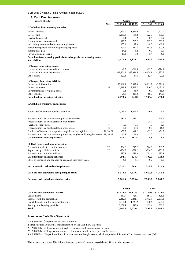|  | SEB Eesti Uhispank, Public Annual Report of 2006 |
|--|--------------------------------------------------|
|--|--------------------------------------------------|

| 3. Cash Flow Statement                                                      |            |             |             |              |            |
|-----------------------------------------------------------------------------|------------|-------------|-------------|--------------|------------|
| (millions of EEK)                                                           |            | Group       |             | <b>Bank</b>  |            |
|                                                                             | Note       | 31.12.06    | 31.12.05    | 31.12.06     | 31.12.05   |
| I. Cash flows from operating activities                                     |            |             |             |              |            |
| Interest received                                                           |            | 2,471.0     | 1,544.0     | 1,947.7      | 1,201.0    |
| Interest paid                                                               |            | $-1,133.8$  | $-584.2$    | $-923.0$     | $-500.5$   |
| Dividends received                                                          |            | 0.4         | 0.9         | 0.4          | 0.9        |
| Fee and commission received                                                 |            | 977.2       | 763.2       | 712.3        | 563.5      |
| Net trading income and other operating income                               |            | 137.1       | 92.3        | $-8.3$       | $-60.9$    |
| Personnel expenses and other operating expenses                             |            | $-771.9$    | $-689.3$    | $-681.5$     | $-607.3$   |
| Income taxes paid                                                           |            | $-14.2$     | $-6.2$      | 0.0          | $0.0\,$    |
| Revaluation adjustments                                                     |            | 11.2        | 0.0         | 6.4          | $-5.2$     |
| Cash flows from operating profits before changes in the operating assets    |            |             |             |              |            |
| and liabilities                                                             |            | 1,677.0     | 1,120.7     | 1,054.0      | 591.5      |
| Changes in operating assets:                                                |            |             |             |              |            |
| Loans and advances to credit institutions                                   |            | $-1.2$      | $-218.8$    | $-19.3$      | $-214.9$   |
| Loans and advances to customers                                             |            | $-18,356.9$ | $-13,934.5$ | $-16, 179.1$ | $-5,335.5$ |
| Other assets                                                                |            | 120.6       | 67.8        | 53.4         | 23.1       |
| Changes of operating liabilities:                                           |            |             |             |              |            |
| Due to credit institutions                                                  |            | 12,889.9    | 5,392.6     | 10,955.2     | $-3,326.8$ |
| Due to customers                                                            | 26         | 5,719.8     | 8,592.7     | 5,950.0      | 8,695.1    |
| Government and foreign aid funds                                            |            | 0.4         | $-53.9$     | $-9.7$       | $-16.5$    |
| Other liabilities                                                           |            | 28.9        | $-225.8$    | $-58.9$      | $-143.0$   |
| Cash flow from operating activities                                         |            | 2,078.5     | 740.8       | 1,745.6      | 273.0      |
| II. Cash flows from investing activities                                    |            |             |             |              |            |
| Purchase of investment portfolio securities                                 | 18         | $-1,013.1$  | $-1,097.4$  | $-16.1$      | $-3.2$     |
| Proceeds from sale of investment portfolio securities                       | 18         | 680.6       | 887.1       | 1.4          | 253.6      |
| Proceeds from sale and liquidation of subsidaries                           |            |             |             | 38.9         | $0.0\,$    |
| Purchase of associates                                                      | 18         | $-7.0$      | $-0.6$      | $-7.0$       | $-0.6$     |
| Proceeds from sale and liquidation of associates                            | 18         | 1.1         | 16.3        | 0.0          | 16.3       |
| Purchase of investment properties, tangible and intangible assets           | 19, 20, 21 | $-52.5$     | $-81.2$     | $-39.0$      | $-56.2$    |
| Proceeds from sale of investment properties, tangible and intangible assets | 19, 20, 21 | 45.8        | 14.3        | 13.0         | 5.6        |
| Cash flow from investing activities                                         |            | $-345.1$    | $-261.5$    | -8.8         | 215.5      |
| III. Cash flows from financing activities                                   |            |             |             |              |            |
| Proceeds from debt securities (issuing)                                     | 27         | 764.6       | 293.2       | 764.6        | 293.2      |
| Repurchasing of debt securities                                             | 27         | $-754.5$    | $-751.2$    | $-754.5$     | $-751.2$   |
| Proceeds from subordinated loans                                            | 31         | 782.4       | 782.3       | 782.4        | 782.3      |
| <b>Cash flow from financing activities</b>                                  |            | 792.5       | 324.3       | 792.5        | 324.3      |
| Effect of exchange rate changes on cash and cash equivalents                |            | 5.2         | $-3.5$      | 0.2          | $0.0\,$    |
| Net increase in cash and cash equivalents                                   |            | 2,531.1     | 800.1       | 2,529.5      | 812.8      |
| Cash and cash equivalents at beginning of period                            |            | 5,070.4     | 4,270.3     | 5,069.2      | 4,256.4    |
| Cash and cash equivalents at end of period                                  |            | 7,601.5     | 5,070.4     | 7,598.7      | 5,069.2    |
|                                                                             |            |             |             |              |            |

|                                              | Group    |          |          | Bank     |  |
|----------------------------------------------|----------|----------|----------|----------|--|
| Cash and cash equivalents includes:          | 31.12.06 | 31.12.05 | 31.12.06 | 31.12.05 |  |
| Cash on hand                                 | 667.9    | 526.1    | 667.9    | 526.1    |  |
| Balances with the central bank               | 2.412.8  | 2.231.1  | 2.412.8  | 2.231.1  |  |
| Liquid deposits in other credit institutions | 1.881.4  | 1.730.2  | 1.878.6  | 1.729.0  |  |
| Trading- and liquidity portfolio             | 2.639.4  | 583.0    | 2.639.4  | 583.0    |  |
| <b>Total</b>                                 | 7.601.5  | 5.070.4  | 7.598.7  | 5.069.2  |  |

#### **Annexes to Cash Flow Statement**

1. AS SEB Eesti Ühispank has not paid income tax.

2. Financial transactions that are not reflected on the Cash Flow Statement:

2.1. AS SEB Eesti Ühispank has not made investments with nonmonetary payment.

2.2. AS SEB Eesti Ühispank has not received nonmonetary dividends paid in other assets.

3. AS SEB Eesti Ühispank and his subsidaries have not bought assets, which acquired with Estonian Privatisation Vouchers (EVP)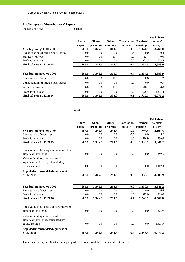# **4. Changes in Shareholders' Equity**

(millions of EEK) **Group**

|                                      |                         |                         |                          |                               |                             | Total share        |
|--------------------------------------|-------------------------|-------------------------|--------------------------|-------------------------------|-----------------------------|--------------------|
|                                      | <b>Share</b><br>capital | <b>Share</b><br>premium | <b>Other</b><br>reserves | <b>Translation</b><br>reserve | <b>Retained</b><br>earnings | holders'<br>equity |
| Year beginning $01.01.2005$          | 665.6                   | 1,346.6                 | 303.0                    | 0.0                           | 1,444.8                     | 3,760.0            |
| Consolidation of foreign subsidaries | 0.0                     | 0.0                     | 0.0                      | 0.4                           | 0.0                         | 0.4                |
| Statutory reserve                    | 0.0                     | 0.0                     | 13.7                     | 0.0                           | $-13.7$                     | 0.0                |
| Profit for the year                  | 0.0                     | $0.0\,$                 | 0.0                      | 0.0                           | 923.5                       | 923.5              |
| <b>Final balance 31.12.2005</b>      | 665.6                   | 1,346.6                 | 316.7                    | 0.4                           | 2,354.6                     | 4,683.9            |
| Year beginning $01.01.2006$          | 665.6                   | 1,346.6                 | 316.7                    | 0.4                           | 2,354.6                     | 4,683.9            |
| Revaluation of securities            | 0.0                     | 0.0                     | 11.2                     | 0.0                           | 0.0                         | 11.2               |
| Consolidation of foreign subsidaries | 0.0                     | 0.0                     | 0.0                      | $-0.3$                        | 0.0                         | $-0.3$             |
| Statutory reserve                    | 0.0                     | 0.0                     | 10.1                     | 0.0                           | $-10.1$                     | 0.0                |
| Profit for the year                  | 0.0                     | 0.0                     | 0.0                      | 0.0                           | 1,375.4                     | 1,375.4            |
| <b>Final balance 31.12.2006</b>      | 665.6                   | 1.346.6                 | 338.0                    | 0.1                           | 3.719.9                     | 6.070.2            |

**Bank**

|                                                       |              |              |              |                    |                 | Total share- |
|-------------------------------------------------------|--------------|--------------|--------------|--------------------|-----------------|--------------|
|                                                       | <b>Share</b> | <b>Share</b> | <b>Other</b> | <b>Translation</b> | <b>Retained</b> | holders'     |
|                                                       | capital      | premium      | reserves     | reserve            | earnings        | equity       |
| Year beginning $01.01.2005$                           | 665.6        | 1,346.6      | 298.5        | 5.2                | 798.8           | 3,109.5      |
| Revaluation of securities                             | 0.0          | 0.0          | 0.0          | $-5.2$             | 0.0             | $-5.2$       |
| Profit for the year                                   | 0.0          | 0.0          | 0.0          | 0.0                | 536.9           | 536.9        |
| <b>Final balance 31.12.2005</b>                       | 665.6        | 1,346.6      | 298.5        | 0.0                | 1,330.5         | 3,641.2      |
| Book value of holdings under control or               |              |              |              |                    |                 |              |
| significant influence                                 | 0.0          | 0.0          | 0.0          | 0.0                | 0.0             | $-359.6$     |
| Value of holdings under control or                    |              |              |              |                    |                 |              |
| significant influence, calculated by                  |              |              |              |                    |                 |              |
| equity method                                         | 0.0          | 0.0          | 0.0          | 0.0                | 0.0             | 1,402.3      |
| Adjusted unconsolidated equity as at                  |              |              |              |                    |                 |              |
| 31.12.2005                                            | 665.6        | 1,346.6      | 298.5        | 0.0                | 1,330.5         | 4,683.9      |
|                                                       |              |              |              |                    |                 |              |
| Year beginning $01.01.2006$                           | 665.6        | 1,346.6      | 298.5        | 0.0                | 1,330.5         | 3,641.2      |
| Revaluation of securities                             | 0.0          | 0.0          | 0.0          | 6.4                | 0.0             | 6.4          |
| Profit for the year                                   | 0.0          | 0.0          | 0.0          | 0.0                | 913.0           | 913.0        |
| <b>Final balance 31.12.2006</b>                       | 665.6        | 1,346.6      | 298.5        | 6.4                | 2,243.5         | 4,560.6      |
| Book value of holdings under control or               |              |              |              |                    |                 |              |
| significant influence                                 | 0.0          | 0.0          | 0.0          | 0.0                | 0.0             | $-323.9$     |
| Value of holdings under control or                    |              |              |              |                    |                 |              |
| significant influence, calculated by<br>equity method | 0.0          | 0.0          | 0.0          | 0.0                | 0.0             | 1,833.5      |
|                                                       |              |              |              |                    |                 |              |
| Adjusted unconsolidated equity as at<br>31.12.2006    | 665.6        | 1,346.6      | 298.5        | 6.4                | 2.243.5         | 6,070.2      |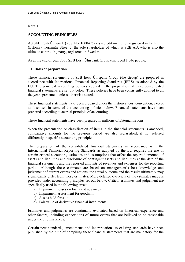# **Note 1**

# **ACCOUNTING PRINCIPLES**

AS SEB Eesti Ühispank (Reg. No. 10004252) is a credit institution registered in Tallinn (Estonia), Tornimäe Street 2, the sole shareholder of which is SEB AB, who is also the ultimate controlling party, registered in Sweden.

As at the end of year 2006 SEB Eesti Ühispank Group employed 1 546 people.

# **1.1. Basis of preparation**

These financial statements of SEB Eesti Ühispank Group (the Group) are prepared in accordance with International Financial Reporting Standards (IFRS) as adopted by the EU. The principal accounting policies applied in the preparation of these consolidated financial statements are set out below. These policies have been consistently applied to all the years presented, unless otherwise stated.

These financial statements have been prepared under the historical cost convention, except as disclosed in some of the accounting policies below. Financial statements have been prepared according to accrual principle of accounting.

These financial statements have been prepared in millions of Estonian kroons.

When the presentation or classification of items in the financial statements is amended, comparative amounts for the previous period are also reclassified, if not referred differently in specific accounting principle.

The preparation of the consolidated financial statements in accordance with the International Financial Reporting Standards as adopted by the EU requires the use of certain critical accounting estimates and assumptions that affect the reported amounts of assets and liabilities and disclosure of contingent assets and liabilities at the date of the financial statements and the reported amounts of revenues and expenses for the reporting period. Although these estimates are based on management's best knowledge and judgement of current events and actions, the actual outcome and the results ultimately may significantly differ from those estimates. More detailed overview of the estimates made is provided under accounting principles set out below. Critical estimates and judgement are specifically used in the following areas:

- a) Impairment losses on loans and advances
- b) Impairment assessment for goodwill
- c) Assets held for sale
- d) Fair value of derivative financial instruments

Estimates and judgments are continually evaluated based on historical experience and other factors, including expectations of future events that are believed to be reasonable under the circumstances.

Certain new standards, amendments and interpretations to existing standards have been published by the time of compiling these financial statements that are mandatory for the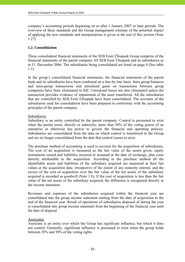company's accounting periods beginning on or after 1 January 2007 or later periods. The overview of these standards and the Group management estimate of the potential impact of applying the new standards and interpretations is given at the end of this section (Note 1.27).

# **1.2. Consolidation**

These consolidated financial statements of the SEB Eesti Ühispank Group comprise of the financial statements of the parent company AS SEB Eesti Ühispank and its subsidiaries as at 31. December 2006. The subsidiaries being consolidated are listed on page 4 (See table 1.1).

In the group's consolidated financial statements, the financial statements of the parent bank and its subsidiaries have been combined on a line-by-line basis. Intra-group balances and intra-group transactions and unrealised gains on transactions between group companies have been eliminated in full. Unrealised losses are also eliminated unless the transaction provides evidence of impairment of the asset transferred. All the subsidiaries that are controlled by SEB Eesti Ühispank have been consolidated. The accounts of the subsidiaries used for consolidation have been prepared in conformity with the accounting principles of the parent company.

# Subsidiaries

Subsidiary is an entity controlled by the parent company. Control is presumed to exist when the parent owns, directly or indirectly, more than 50% of the voting power of an enterprise or otherwise has power to govern the financial and operating policies. Subsidiaries are consolidated from the date on which control is transferred to the Group and are no longer consolidated from the date that control ceases to exist.

The purchase method of accounting is used to account for the acquisition of subsidiaries. The cost of an acquisition is measured as the fair value of the assets given, equity instruments issued and liabilities incurred or assumed at the date of exchange, plus costs directly attributable to the acquisition. According to the purchase method all the identifiable assets and liabilities of the subsidiary acquired are measured at their fair values at the acquisition date, irrespective of the extent of any minority interest, and the excess of the cost of acquisition over the fair value of the net assets of the subsidiary acquired is recorded as goodwill (Note 1.8). If the cost of acquisition is less than the fair value of the net assets of the subsidiary acquired, the difference is recognised directly in the income statement.

Revenues and expenses of the subsidiaries acquired within the financial year are consolidated into the group income statement starting from the date of acquisition to the end of the financial year. Result of operations of subsidiaries disposed of during the year is consolidated into group income statement from the beginning of the financial year until the date of disposal.

# Associates

Associate is an entity over which the Group has significant influence, but which it does not control. Generally, significant influence is presumed to exist when the group holds between 20% and 50% of the voting rights.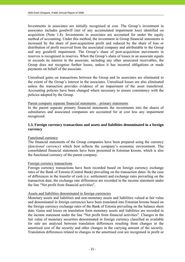Investments in associates are initially recognised at cost. The Group's investment in associates includes goodwill (net of any accumulated impairment loss) identified on acquisition (Note 1.8). Investments in associates are accounted for under the equity method of accounting. Under this method, the investment in Group financial statements is increased by the share of post-acquisition profit and reduced by the share of loss or distribution of profit received from the associated company and attributable to the Group and any goodwill impairment. The Group's share of post-acquisition movements in reserves is recognised in reserves. When the Group's share of losses in an associate equals or exceeds its interest in the associate, including any other unsecured receivables, the Group does not recognise further losses, unless it has incurred obligations or made payments on behalf of the associate.

Unrealised gains on transactions between the Group and its associates are eliminated to the extent of the Group's interest in the associates. Unrealised losses are also eliminated unless the transaction provides evidence of an impairment of the asset transferred. Accounting policies have been changed where necessary to ensure consistency with the policies adopted by the Group.

#### Parent company separate financial statements – primary statements

In the parent separate primary financial statements the investments into the shares of subsidiaries and associated companies are accounted for at cost less any impairment recognized.

# **1.3. Foreign currency transactions and assets and liabilities denominated in a foreign currency**

#### Functional currency

The financial statements of the Group companies have been prepared using the currency (*functional currency*) which best reflects the company's economic environment. The consolidated financial statements have been presented in Estonian kroons, which is also the functional currency of the parent company.

#### Foreign currency transactions

Foreign currency transactions have been recorded based on foreign currency exchange rates of the Bank of Estonia (Central Bank) prevailing on the transaction dates. In the case of differences in the transfer of cash (i.e. settlement) and exchange rates prevailing on the transaction date, the exchange rate differences are recorded in the income statement under the line "Net profit from financial activities".

#### Assets and liabilities denominated in foreign currencies

Monetary assets and liabilities and non-monetary assets and liabilities valued at fair value and denominated in foreign currencies have been translated into Estonian kroons based on the foreign currency exchange rates of the Bank of Estonia prevailing on the balance sheet date. Gains and losses on translation form monetary assets and liabilities are recorded in the income statement under the line "Net profit from financial activities". Changes in the fair value of monetary securities denominated in foreign currency classified as available for sale are analysed between translation differences resulting from changes in the amortised cost of the security and other changes in the carrying amount of the security. Translation differences related to changes in the amortised cost are recognised in profit or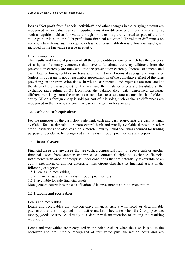loss as "Net profit from financial activities", and other changes in the carrying amount are recognised in fair value reserve in equity. Translation differences on non-monetary items, such as equities held at fair value through profit or loss, are reported as part of the fair value gain or loss on line "Net profit from financial activities". Translation differences on non-monetary items, such as equities classified as available-for-sale financial assets, are included in the fair value reserve in equity.

#### Group companies

The results and financial position of all the group entities (none of which has the currency of a hyperinflationary economy) that have a functional currency different from the presentation currency are translated into the presentation currency. Income statements and cash flows of foreign entities are translated into Estonian kroons at average exchange rates (unless this average is not a reasonable approximation of the cumulative effect of the rates prevailing on the transaction dates, in which case income and expenses are translated at the dates of the transactions) for the year and their balance sheets are translated at the exchange rates ruling on 31 December, the balance sheet date. Unrealised exchange differences arising from the translation are taken to a separate account in shareholders' equity. When a foreign entity is sold (or part of it is sold), such exchange differences are recognised in the income statement as part of the gain or loss on sale.

# **1.4. Cash and cash equivalents**

For the purposes of the cash flow statement, cash and cash equivalents are cash at hand, available for use deposits due from central bank and readily available deposits in other credit institutions and also less than 3-month maturity liquid securities acquired for trading purpose or decided to be recognized at fair value through profit or loss at inception.

# **1.5. Financial assets**

Financial assets are any assets that are cash, a contractual right to receive cash or another financial asset from another enterprise, a contractual right to exchange financial instruments with another enterprise under conditions that are potentially favourable or an equity instrument of another enterprise. The Group classifies its financial assets in the following categories:

- 1.5.1. loans and receivables,
- 1.5.2. financial assets at fair value through profit or loss,
- 1.5.3. available for sale financial assets.

Management determines the classification of its investments at initial recognition.

# **1.5.1. Loans and receivables**

# Loans and receivables

Loans and receivables are non-derivative financial assets with fixed or determinable payments that are not quoted in an active market. They arise when the Group provides money, goods or services directly to a debtor with no intention of trading the resulting receivable.

Loans and receivables are recognized in the balance sheet when the cash is paid to the borrower and are initially recognized at fair value plus transaction costs and are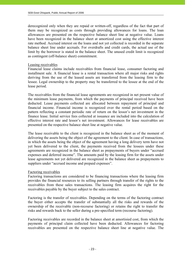derecognized only when they are repaid or written-off, regardless of the fact that part of them may be recognized as costs through providing allowances for loans. The loan allowances are presented on the respective balance sheet line at negative value. Loans have been recognized in the balance sheet at amortized cost using the effective interest rate method. Accrued interest on the loans and not yet collected is recorded in the separate balance sheet line under accruals. For overdrafts and credit cards, the actual use of the limit by the borrower is stated in the balance sheet. The unused credit limit is recognized as contingent (off-balance sheet) commitment.

#### Leasing receivables

Financial lease claims include receivables from financial lease, consumer factoring and installment sale. A financial lease is a rental transaction where all major risks and rights deriving from the use of the leased assets are transferred from the leasing firm to the lessee. Legal ownership to the property may be transferred to the lessee at the end of the lease period.

The receivables from the financial lease agreements are recognized in net present value of the minimum lease payments, from which the payments of principal received have been deducted. Lease payments collected are allocated between repayment of principal and financial income. Financial income is recognized over the rental period based on the pattern reflecting a constant periodic rate of return on the lessor's net investment in the finance lease. Initial service fees collected at issuance are included into the calculation of effective interest rate and lessor's net investment. Allowances for lease receivables are presented on the respective balance sheet line at negative value.

The lease receivable to the client is recognized in the balance sheet as of the moment of delivering the assets being the object of the agreement to the client. In case of transactions, in which the assets being the object of the agreement having a long delivery term have not yet been delivered to the client, the payments received from the lessees under these agreements are recognized in the balance sheet as prepayments of buyers under "accrued expenses and deferred income". The amounts paid by the leasing firm for the assets under lease agreements not yet delivered are recognized in the balance sheet as prepayments to suppliers under "accrued income and prepaid expenses".

#### Factoring receivables

Factoring transactions are considered to be financing transactions where the leasing firm provides the financial resources to its selling partners through transfer of the rights to the receivables from these sales transactions. The leasing firm acquires the right for the receivables payable by the buyer subject to the sales contract.

Factoring is the transfer of receivables. Depending on the terms of the factoring contract the buyer either accepts the transfer of substantially all the risks and rewards of the ownership of the receivable (non-recourse factoring) or retains the right to transfer the risks and rewards back to the seller during a pre-specified term (recourse factoring).

Factoring receivables are recorded in the balance sheet at amortisied cost, from which the payments of principal claim collected have been deducted. Allowances for factoring receivables are presented on the respective balance sheet line at negative value. The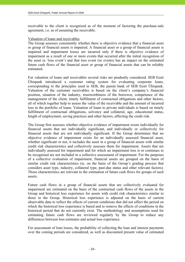receivable to the client is recognized as of the moment of factoring the purchase-sale agreement, i.e. as of assuming the receivable.

#### Valuation of loans and receivables

The Group assesses consistently whether there is objective evidence that a financial asset or group of financial assets is impaired. A financial asset or a group of financial assets is impaired and impairment losses are incurred only if there is objective evidence of impairment as a result of one or more events that occurred after the initial recognition of the asset (a 'loss event') and that loss event (or events) has an impact on the estimated future cash flows of the financial asset or group of financial assets that can be reliably estimated.

For valuation of loans and receivables several risks are prudently considered. SEB Eesti Ühispank introduced a customer rating system for evaluating corporate loans, corresponding to the principles used in SEB, the parent bank of SEB Eesti Ühispank. Valuation of the customer receivables is based on the client's company's financial position, situation of the industry, trustworthiness of the borrower, competence of the management of the client, timely fulfillment of contractual obligations and other factors, all of which together help to assess the value of the receivable and the amount of incurred loss in the portfolio of loans. Valuation of loans to private individuals is based on timely fulfillment of contractual obligations, solvency and collateral, age, educational status, length of employment, saving practices and other factors, affecting the credit risk.

The Group first assesses whether objective evidence of impairment exists individually for financial assets that are individually significant, and individually or collectively for financial assets that are not individually significant. If the Group determines that no objective evidence of impairment exists for an individually assessed financial asset, whether significant or not, it includes the asset in a group of financial assets with similar credit risk characteristics and collectively assesses them for impairment. Assets that are individually assessed for impairment and for which an impairment loss is or continues to be recognised are not included in a collective assessment of impairment. For the purposes of a collective evaluation of impairment, financial assets are grouped on the basis of similar credit risk characteristics (ie, on the basis of the Group's grading process that considers asset type, industry, collateral type, past-due status and other relevant factors). Those characteristics are relevant to the estimation of future cash flows for groups of such assets.

Future cash flows in a group of financial assets that are collectively evaluated for impairment are estimated on the basis of the contractual cash flows of the assets in the Group and historical loss experience for assets with credit risk characteristics similar to those in the Group. Historical loss experience is adjusted on the basis of current observable data to reflect the effects of current conditions that did not affect the period on which the historical loss experience is based and to remove the effects of conditions in the historical period that do not currently exist. The methodology and assumptions used for estimating future cash flows are reviewed regularly by the Group to reduce any differences between loss estimates and actual loss experience.

For assessment of loan losses, the probability of collecting the loan and interest payments over the coming periods are considered, as well as discounted present value of estimated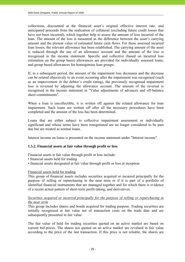collections, discounted at the financial asset's original effective interest rate, and anticipated proceeds from the realization of collateral (excluding future credit losses that have not been incurred), which together help to assess the amount of loss incurred of the loan. The amount of the loss is measured as the difference between the asset's carrying amount and the present value of estimated future cash flows. For these assessed incurred loan losses, the relevant allowance has been established. The carrying amount of the asset is reduced through the use of an allowance account and the amount of the loss is recognised in the income statement. Specific and collective (based on incurred loss estimation on the group basis) allowances are provided for individually assessed loans, and group based allowances for homogenous loan groups.

If, in a subsequent period, the amount of the impairment loss decreases and the decrease can be related objectively to an event occurring after the impairment was recognised (such as an improvement in the debtor's credit rating), the previously recognised impairment loss is reversed by adjusting the allowance account. The amount of the reversal is recognised in the income statement in "Value adjustments of advances and off-balance sheet commitments".

When a loan is uncollectible, it is written off against the related allowance for loan impairment. Such loans are written off after all the necessary procedures have been completed and the amount of the loss has been determined.

Loans that are either subject to collective impairment assessment or individually significant and whose terms have been renegotiated are no longer considered to be past due but are treated as normal loans.

Interest income on loans is presented on the income statement under "Interest income".

#### **1.5.2. Financial assets at fair value through profit or loss**

Financial assets at fair value through profit or loss include:

- financial assets held for trading
- financial assets designated at fair value through profit or loss at inception

#### Financial assets held for trading

This group of financial assets includes securities acquired or incurred principally for the purpose of selling or repurchasing in the near term or if it is part of a portfolio of identified financial instruments that are managed together and for which there is evidence of a recent actual pattern of short-term profit-taking, and derivatives.

#### *Securities acquired or incurred principally for the purpose of selling or repurchasing in the near term*

This group includes shares and bonds acquired for trading purpose. Trading securities are initially recognized at fair value net of transaction costs on the trade date and are subsequently presented in fair value.

The fair value of held for trading securities quoted on an active market are based on current bid prices. The shares not quoted on an active market are revalued in fair value according to the price of the last transaction. If this price is not reliable, the shares are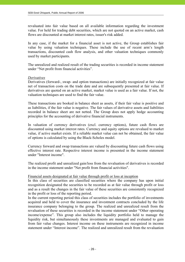revaluated into fair value based on all available information regarding the investment value. For held for trading debt securities, which are not quoted on an active market, cash flows are discounted at market interest rates, issuer's risk added.

In any case, if the market for a financial asset is not active, the Group establishes fair value by using valuation techniques. These include the use of recent arm's length transactions, discounted cash flow analysis, and other valuation techniques commonly used by market participants.

The unrealized and realized result of the trading securities is recorded in income statement under "Net profit from financial activities".

#### *Derivatives*

Derivatives (forward-, swap- and option transactions) are initially recognized at fair value net of transaction costs on the trade date and are subsequently presented at fair value. If derivatives are quoted on an active market, market value is used as a fair value. If not, the valuation techniques are used to find the fair value.

These transactions are booked in balance sheet as assets, if their fair value is positive and as liabilities, if the fair value is negative. The fair values of derivative assets and liabilities recorded in balance sheet are not netted. The Group does not apply hedge accounting principles for the accounting of derivative financial instruments.

In valuation of currency derivatives (excl. currency options), future cash flows are discounted using market interest rates. Currency and equity options are revalued to market value, if active market exists. If a reliable market value can not be obtained, the fair value of options is calculated by using the Black-Scholes model.

Currency forward and swap transactions are valued by discounting future cash flows using effective interest rate. Respective interest income is presented in the income statement under "Interest income".

The realized profit and unrealized gain/loss from the revaluation of derivatives is recorded in the income statement under "Net profit from financial activities".

#### Financial assets designated at fair value through profit or loss at inception

In this class of securities are classified securities where the company has upon initial recognition designated the securities to be recorded as at fair value through profit or loss and as a result the changes in the fair value of these securities are consistently recognized in the profit or loss of the reporting period.

In the current reporting period this class of securities includes the portfolio of investments acquired and held to cover the insurance and investment contracts concluded by the life insurance company belonging to the group. The realized and unrealized result from the revaluation of these securities is recorded in the income statement under "Other operating income/expense". This group also includes the liquidity portfolio held to manage the liquidity risk, but simultaneously these investments are managed and evaluated to gain from fair value changes. Interest income on these instruments are recognized in income statement under "Interest income". The realized and unrealized result from the revaluation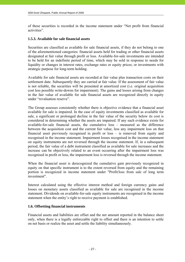of these securities is recorded in the income statement under "Net profit from financial activities".

# **1.5.3. Available for sale financial assets**

Securities are classified as available for sale financial assets, if they do not belong to one of the aforementioned categories: financial assets held for trading or other financial assets designated at fair value through profit or loss. Available-for-sale investments are intended to be held for an indefinite period of time, which may be sold in response to needs for liquidity or changes in interest rates, exchange rates or equity prices; or investments with strategic purpose for long-term holding.

Available for sale financial assets are recorded at fair value plus transaction costs on their settlement date. Subsequently they are carried at fair value. If the assessment of fair value is not reliable, the securities will be presented at amortized cost (i.e. original acquisition cost less possible write-downs for impairment). The gains and losses arising from changes in the fair value of available for sale financial assets are recognized directly in equity under "revaluation reserve".

The Group assesses consistently whether there is objective evidence that a financial asset available for sale is impaired. In the case of equity investments classified as available for sale, a significant or prolonged decline in the fair value of the security below its cost is considered in determining whether the assets are impaired. If any such evidence exists for available-for-sale financial assets, the cumulative loss – measured as the difference between the acquisition cost and the current fair value, less any impairment loss on that financial asset previously recognised in profit or loss – is removed from equity and recognised in the income statement. Impairment losses recognised in the income statement on equity instruments are not reversed through the income statement. If, in a subsequent period, the fair value of a debt instrument classified as available for sale increases and the increase can be objectively related to an event occurring after the impairment loss was recognised in profit or loss, the impairment loss is reversed through the income statement.

When the financial asset is derecognized the cumulative gain previously recognized in equity on that specific instrument is to the extent reversed from equity and the remaining portion is recognized in income statement under "Profit/loss from sale of long term investment".

Interest calculated using the effective interest method and foreign currency gains and losses on monetary assets classified as available for sale are recognised in the income statement. Dividends on available-for-sale equity instruments are recognised in the income statement when the entity's right to receive payment is established.

# **1.6. Offsetting financial instruments**

Financial assets and liabilities are offset and the net amount reported in the balance sheet only, when there is a legally enforceable right to offset and there is an intention to settle on net basis or realize the asset and settle the liability simultaneously.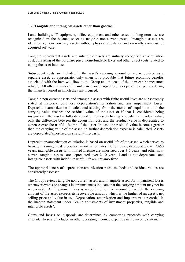# **1.7. Tangible and intangible assets other than goodwill**

Land, buildings, IT equipment, office equipment and other assets of long-term use are recognized in the balance sheet as tangible non-current assets. Intangible assets are identifiable, non-monetary assets without physical substance and currently comprise of acquired software.

Tangible non-current assets and intangible assets are initially recognised at acquisition cost, consisting of the purchase price, nonrefundable taxes and other direct costs related to taking the asset into use.

Subsequent costs are included in the asset's carrying amount or are recognised as a separate asset, as appropriate, only when it is probable that future economic benefits associated with the item will flow to the Group and the cost of the item can be measured reliably. All other repairs and maintenance are charged to other operating expenses during the financial period in which they are incurred.

Tangible non-current assets and intangible assets with finite useful lives are subsequently stated at historical cost less depreciation/amortization and any impairment losses. Depreciation/amortization is calculated starting from the month of acquisition until the carrying value reaches the residual value of the asset or if that is considered being insignificant the asset is fully depreciated. For assets having a substantial residual value, only the difference between the acquisition cost and the residual value is depreciated to expense over the useful lifetime of the asset. In case the residual value becomes greater than the carrying value of the asset, no further depreciation expense is calculated. Assets are depreciated/amortized on straight-line-basis.

Depreciation/amortization calculation is based on useful life of the asset, which serves as basis for forming the depreciation/amortization rates. Buildings are depreciated over 20-50 years, intangible assets with limited lifetime are amortized over 3-5 years, and other noncurrent tangible assets are depreciated over 2-10 years. Land is not depreciated and intangible assets with indefinite useful life are not amortized.

The appropriateness of depreciation/amortization rates, methods and residual values are consistently assessed.

The Group reviews tangible non-current assets and intangible assets for impairment losses whenever events or changes in circumstances indicate that the carrying amount may not be recoverable. An impairment loss is recognized for the amount by which the carrying amount of the asset exceeds its recoverable amount, which is the higher of an asset's net selling price and value in use. Depreciation, amortization and impairment is recorded in the income statement under "Value adjustments of investment properties, tangible and intangible assets".

Gains and losses on disposals are determined by comparing proceeds with carrying amount. These are included in other operating income / expenses in the income statement.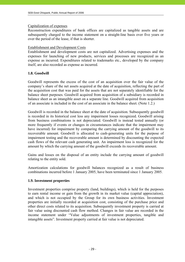#### Capitalization of expenses

Reconstruction expenditures of bank offices are capitalized as tangible assets and are subsequently charged to the income statement on a straight-line basis over five years or over the period of the lease, if that is shorter.

#### Establishment and Development Costs

Establishment and development costs are not capitalized. Advertising expenses and the expenses for launching of new products, services and processes are recognized as an expense as incurred. Expenditures related to trademarks etc., developed by the company itself, are also recorded as expense as incurred.

#### **1.8. Goodwill**

Goodwill represents the excess of the cost of an acquisition over the fair value of the company's share of the net assets acquired at the date of acquisition, reflecting the part of the acquisition cost that was paid for the assets that are not separately identifiable for the balance sheet purposes. Goodwill acquired from acquisition of a subsidiary is recorded in balance sheet as an intangible asset on a separate line. Goodwill acquired from acquisition of an associate is included in the cost of an associate in the balance sheet. (Note 1.2.)

Goodwill is recorded in the balance sheet at the date of acquisition. Subsequently goodwill is recorded in its historical cost less any impairment losses recognized. Goodwill arising from business combinations is not depreciated. Goodwill is instead tested annually (or more frequently if events or changes in circumstances indicate that the impairment may have incurred) for impairment by comparing the carrying amount of the goodwill to its recoverable amount. Goodwill is allocated to cash-generating units for the purpose of impairment testing and the recoverable amount is determined by discounting the expected cash flows of the relevant cash generating unit. An impairment loss is recognized for the amount by which the carrying amount of the goodwill exceeds its recoverable amount.

Gains and losses on the disposal of an entity include the carrying amount of goodwill relating to the entity sold.

Amortization calculations for goodwill balances recognized as a result of business combinations incurred before 1 January 2005, have been terminated since 1 January 2005.

#### **1.9. Investment properties**

Investment properties comprise property (land, buildings), which is held for the purposes to earn rental income or gain from the growth in its market value (capital appreciation), and which is not occupied by the Group for its own business activities. Investment properties are initially recorded at acquisition cost, consisting of the purchase price and other direct costs related to its acquisition. Subsequently investment property is carried at fair value using discounted cash flow method. Changes in fair value are recorded in the income statement under "Value adjustments of investment properties, tangible and intangible assets". Investment property carried at fair value is not depreciated.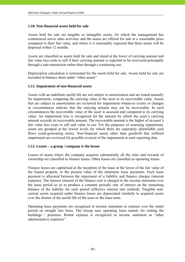#### **1.10. Non-financial assets held for sale**

Assets held for sale are tangible or intangible assets, for which the management has commenced active sales activities and the assets are offered for sale at a reasonable price compared to their fair value, and where it is reasonably expected that these assets will be disposed within 12 months.

Assets are classified as assets held for sale and stated at the lower of carrying amount and fair value less costs to sell if their carrying amount is expected to be recovered principally through a sale transaction rather than through a continuing use.

Depreciation calculation is terminated for the assets held for sale. Assets held for sale are recorded in balance sheet under "other assets".

#### **1.11. Impairment of non-financial assets**

Assets with an indefinite useful life are not subject to amortization and are tested annually for impairment, comparing the carrying value of the asset to its recoverable value. Assets that are subject to amortization are reviewed for impairment whenever events or changes in circumstances indicate that the carrying amount may not be recoverable. In such circumstances the recoverable value of the asset is assessed and compared to its carrying value. An impairment loss is recognized for the amount by which the asset's carrying amount exceeds its recoverable amount. The recoverable amount is the higher of an asset's fair value less costs to sell and value in use. For the purposes of assessing impairment, assets are grouped at the lowest levels for which there are separately identifiable cash flows (cash-generating units). Non-financial assets other than goodwill that suffered impairment are reviewed for possible reversal of the impairment at each reporting date.

#### **1.12. Leases – a group / company is the lessee**

Leases of assets where the company acquires substantially all the risks and rewards of ownership are classified as finance leases. Other leases are classified as operating leases.

Finance leases are capitalised at the inception of the lease at the lower of the fair value of the leased property or the present value of the minimum lease payments. Each lease payment is allocated between the repayment of a liability and finance charges (interest expense). The interest element of the finance cost is charged to the income statement over the lease period so as to produce a constant periodic rate of interest on the remaining balance of the liability for each period (effective interest rate method). Tangible noncurrent assets acquired under finance leases are depreciated similarly to acquired assets over the shorter of the useful life of the asset or the lease term.

Operating lease payments are recognised in income statement as expense over the rental period on straight line basis. The Group uses operating lease mainly for renting the buildings / premises. Rental expense is recognized in income statement as "other administrative expenses".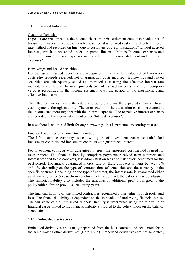### **1.13. Financial liabilities**

#### Customer Deposits

Deposits are recognized in the balance sheet on their settlement date at fair value net of transaction costs and are subsequently measured at amortized cost using effective interest rate method and recorded on line "due to customers of credit institutions" without accrued interests, which is presented under a separate line in liabilities "accrued expenses and deferred income". Interest expenses are recorded in the income statement under "Interest expenses".

# Borrowings and issued securities

Borrowings and issued securities are recognized initially at fair value net of transaction costs (the proceeds received, net of transaction costs incurred). Borrowings and issued securities are subsequently stated at amortized cost using the effective interest rate method; any difference between proceeds (net of transaction costs) and the redemption value is recognized in the income statement over the period of the instrument using effective interest rate.

The effective interest rate is the rate that exactly discounts the expected stream of future cash payments through maturity. The amortization of the transaction costs is presented in the income statement together with the interest expenses. The respective interest expenses are recorded in the income statement under "Interest expenses".

In case there is an unused limit for any borrowings, this is presented as contingent asset.

#### Financial liabilities of an investment contract

The life insurance company issues two types of investment contracts: unit-linked investment contracts and investment contracts with guaranteed interest.

For investment contracts with guaranteed interest, the amortised cost method is used for measurement. The financial liability comprises payments received from contracts and interest credited to the contracts, less administration fees and risk covers accounted for the past period. The annual guaranteed interest rate on these contracts remains between 3% and 4%, depending on the type of contract, time of conclusion and the currency of the specific contract. Depending on the type of contract, the interest rate is guaranteed either until maturity or for 5 years from conclusion of the contract, thereafter it may be adjusted. The financial liability also includes the amounts of additional profits assigned to the policyholders for the previous accounting years.

The financial liability of unit-linked contracts is recognised at fair value through profit and loss. The financial liability is dependent on the fair value of underlying financial assets. The fair value of the unit-linked financial liability is determined using the fair value of financial assets linked to the financial liability attributed to the policyholder on the balance sheet date.

#### **1.14. Embedded derivatives**

Embedded derivatives are usually separated from the host contract and accounted for in the same way as other derivatives (Note 1.5.2.). Embedded derivatives are not separated,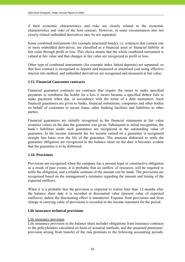if their economic characteristics and risks are closely related to the economic characteristics and risks of the host contract. However, in some circumstances also not closely related embedded derivatives may be not separated.

Some combined instruments (for example structured bonds), i.e. contracts that contain one or more embedded derivatives, are classified as a financial asset or financial liability at fair value through profit or loss. This choice means that the whole combined instrument is valued at fair value and that changes in fair value are recognized in profit or loss.

Other type of combined instruments (for example index linked deposits) are separated, so that host contract is recognised as deposit and measured at amortised cost using effective interest rate method, and embedded derivatives are recognised and measured at fair value.

# **1.15. Financial Guarantee contracts**

Financial guarantee contracts are contracts that require the issuer to make specified payments to reimburse the holder for a loss it incurs because a specified debtor fails to make payments when due, in accordance with the terms of a debt instrument. Such financial guarantees are given to banks, financial institutions, companies and other bodies on behalf of customers to secure loans, other banking facilities and liabilities to other parties.

Financial guarantees are initially recognised in the financial statements at fair value (contract value) on the date the guarantee was given. Subsequent to initial recognition, the bank's liabilities under such guarantees are recognized at the outstanding value of guarantee. In the income statement the fee income earned on a guarantee is recognised straight line basis over the life of the guarantee. The amounts disbursed to settle the guarantee obligation are recognized in the balance sheet on the date it becomes evident that the guarantee is to be disbursed.

# **1.16. Provisions**

Provisions are recognised when the company has a present legal or constructive obligation as a result of past events, it is probable that an outflow of resources will be required to settle the obligation, and a reliable estimate of the amount can be made. The provisions are recognised based on the management's estimates regarding the amount and timing of the expected outflows.

When it is a probable that the provision is expected to realise later than 12 months after the balance sheet date it is recorded at discounted value (present value of expected outflows), unless the discounting effect is immaterial. Expense from provisions and from change in carrying value of provisions is recorded in the income statement for the period.

#### **Life insurance technical provisions**

#### Life insurance provision

Life insurance provision in the balance sheet includes obligations from insurance contracts to the policyholders calculated on basis of actuarial methods, and the unearned premiums' provision arising from transfer of the risk premium to the following accounting periods.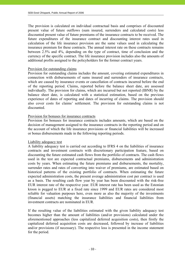The provision is calculated on individual contractual basis and comprises of discounted present value of future outflows (sum insured, surrenders and calculated costs) less discounted present value of future premiums of the insurance contracts to be received. The future expenditures of the insurance contract and discounting interest rates used in calculation of the life insurance provision are the same values used in calculating the insurance premium for these contracts. The annual interest rate on these contracts remains between 2.5% and 4%, depending on the type of contract, time of conclusion and the currency of the specific contract. The life insurance provision includes also the amounts of additional profits assigned to the policyholders for the former contract years.

#### Provision for outstanding claims

Provision for outstanding claims includes the amount, covering estimated expenditures in connection with disbursements of sums insured and surrenders of insurance contracts, which are caused by insurance events or cancellation of contracts incurred before the end of the reporting period. Claims, reported before the balance sheet date, are assessed individually. The provision for claims, which are incurred but not reported (IBNR) by the balance sheet date, is calculated with a statistical estimation, based on the previous experience of dates of reporting and dates of incurring of claims. The provision should also cover costs for claims' settlement. The provision for outstanding claims is not discounted.

#### Provision for bonuses for insurance contracts

Provision for bonuses for insurance contracts includes amounts, which are based on the decision of management assigned to the insurance contracts in the reporting period and on the account of which the life insurance provisions or financial liabilities will be increased or bonus disbursements made in the following reporting periods.

#### Liability adequacy test

A liability adequacy test is carried out according to IFRS 4 on the liabilities of insurance contracts and investment contracts with discretionary participation feature, based on discounting the future estimated cash flows from the portfolio of contracts. The cash flows used in the test are expected contractual premiums, disbursements and administration costs by years. When estimating the future premiums and disbursements, the mortality, surrender rates and rates of converting into waiver of premiums, are estimated based on historical patterns of the existing portfolio of contracts. When estimating the future expected administration costs, the present average administration cost per contract is used as a basis. The resulting cash flow year by year has been discounted with the risk-free EUR interest rate of the respective year. EUR interest rate has been used as the Estonian kroon is pegged to EUR at a fixed rate since 1999 and EUR rates are considered most reliable for valuation purposes here, even more as also the majority of the investments (financial assets) matching the insurance liabilities and financial liabilities from investment contracts are nominated in EUR.

If the resulting value of the liabilities estimated with the given liability adequacy test becomes higher than the amount of liabilities (and/or provisions) calculated under the aforementioned approaches (less capitalized deferred acquisition costs), then firstly the capitalized deferred acquisition costs are decreased, followed by increase of liabilities and/or provisions (if necessary). The respective loss is presented in the income statement for the period.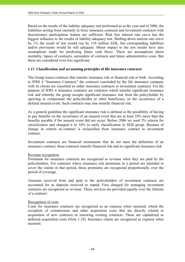Based on the results of the liability adequacy test performed as at the year end of 2006, the liabilities arising from currently in force insurance contracts and investment contracts with discretionary participation feature are sufficient. Risk free interest rate curve has the biggest influence to the results of liability adequacy test. Shifting down interest rate curve by 1% the result of test would rise by 118 million EEK, but corresponding liabilities and/or provisions would be still adequate. Minor impact to the test results have also assumptions made for predicting future cash flows. These are assumptions about mortality, lapses of contracts, surrenders of contracts and future administrative costs. But these are considered even less significant.

#### **1.17. Classification and accounting principles of life insurance contracts**

The Group issues contracts that transfer insurance risk or financial risk or both. According to IFRS 4 "Insurance Contracts" the contracts concluded by the life insurance company with its clients are classified as either insurance contracts or investment contracts. For the purpose of IFRS 4 insurance contracts are contracts which transfer significant insurance risk and whereby the group accepts significant insurance risk from the policyholder by agreeing to compensate the policyholder or other beneficiary on the occurrence of a defined insured event. Such contracts may also transfer financial risk.

As a general guideline the significant insurance risk is defined as the possibility of having to pay benefits on the occurrence of an insured event that are at least 10% more than the benefits payable if the insured event did not occur. Before 2006 we used 5% criteria for classification and changed it to 10% to unify classification in SEB group. Because of change in criteria no contract is reclassified from insurance contract to investment contract.

Investment contracts are financial instruments that do not meet the definition of an insurance contract; those contracts transfer financial risk and no significant insurance risk.

#### Revenue recognition

Premiums for insurance contracts are recognized as revenue when they are paid by the policyholders. For contracts where insurance risk premiums in a period are intended to cover the claims in that period, those premiums are recognized proportionally over the period of coverage.

Amounts received from and paid to the policyholders of investment contracts are accounted for as deposits received or repaid. Fees charged for managing investment contracts are recognized as revenue. These services are provided equally over the lifetime of a contract.

#### Recognition of costs

Costs for insurance contracts are recognized as an expense when incurred, which the exception of commissions and other acquisition costs that are directly related to acquisition of new contracts or renewing existing contracts. These are capitalized as deferred acquisition costs (Note 1.18). Insurance claims are recognized as expense when incurred.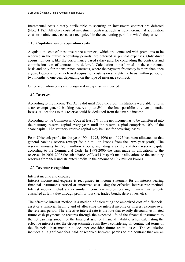Incremental costs directly attributable to securing an investment contract are deferred (Note 1.18.). All other costs of investment contracts, such as non-incremental acquisition costs or maintenance costs, are recognized in the accounting period in which they arise.

# **1.18. Capitalisation of acquisition costs**

Acquisition costs of these insurance contracts, which are connected with premiums to be received in the future accounting periods, are deferred as prepaid expenses. Only direct acquisition costs, like the performance based salary paid for concluding the contracts and commission fees of contracts are deferred. Calculation is performed on the contractual basis and only for the insurance contracts, where the payment frequency is more than once a year. Depreciation of deferred acquisition costs is on straight-line basis, within period of two months to one year depending on the type of insurance contract.

Other acquisition costs are recognized in expense as incurred.

#### **1.19. Reserves**

According to the Income Tax Act valid until 2000 the credit institutions were able to form a tax exempt general banking reserve up to 5% of the loan portfolio to cover potential losses. Allocations to this reserve could be deducted from the taxable income.

According to the Commercial Code at least 5% of the net income has to be transferred into the statutory reserve capital every year, until the reserve capital comprises 10% of the share capital. The statutory reserve capital may be used for covering losses.

Eesti Ühispank profit for the year 1994, 1995, 1996 and 1997 has been allocated to that general banking reserve (except for 6.2 million kroons from the 1995-year profit). The reserve amounts to 298.5 million kroons, including also the statutory reserve capital according to the Commercial Code. In 1998-2006 the bank made no allocations to the reserves. In 2001-2006 the subsidiaries of Eesti Ühispank made allocations to the statutory reserves from their undistributed profits in the amount of 19.7 million kroons.

#### **1.20. Revenue recognition**

#### Interest income and expense

Interest income and expense is recognized in income statement for all interest-bearing financial instruments carried at amortized cost using the effective interest rate method. Interest income includes also similar income on interest bearing financial instruments classified at fair value through profit or loss (i.e. traded bonds, derivatives, etc).

The effective interest method is a method of calculating the amortized cost of a financial asset or a financial liability and of allocating the interest income or interest expense over the relevant period. The effective interest rate is the rate that exactly discounts estimated future cash payments or receipts through the expected life of the financial instrument to the net carrying amount of the financial asset or financial liability. When calculating the effective interest rate, the Group estimates cash flows considering all contractual terms of the financial instrument, but does not consider future credit losses. The calculation includes all significant fees paid or received between parties to the contract that are an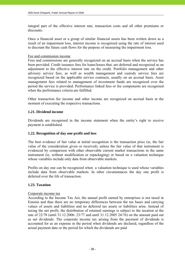integral part of the effective interest rate, transaction costs and all other premiums or discounts.

Once a financial asset or a group of similar financial assets has been written down as a result of an impairment loss, interest income is recognized using the rate of interest used to discount the future cash flows for the purpose of measuring the impairment loss.

#### Fee and commission income

Fees and commissions are generally recognized on an accrual basis when the service has been provided. Credit issuance fees for loans/leases that, are deferred and recognized as an adjustment to the effective interest rate on the credit. Portfolio management and other advisory service fees, as well as wealth management and custody service fees are recognized based on the applicable service contracts, usually on an accrual basis. Asset management fees related to management of investment funds are recognized over the period the service is provided. Performance linked fees or fee components are recognised when the performance criteria are fulfilled.

Other transaction fee income and other income are recognized on accrual basis at the moment of executing the respective transactions.

# **1.21. Dividend income**

Dividends are recognised in the income statement when the entity's right to receive payment is established.

#### **1.22. Recognition of day one profit and loss**

The best evidence of fair value at initial recognition is the transaction price (ie, the fair value of the consideration given or received), unless the fair value of that instrument is evidenced by comparison with other observable current market transactions in the same instrument (ie, without modification or repackaging) or based on a valuation technique whose variables include only data from observable markets.

Profits on day one can be recognized when a valuation technique is used whose variables include data from observable markets. In other circumstances the day one profit is deferred over the life of transaction.

#### **1.23. Taxation**

### Corporate income tax

According to the Income Tax Act, the annual profit earned by enterprises is not taxed in Estonia and thus there are no temporary differences between the tax bases and carrying values of assets and liabilities and no deferred tax assets or liabilities arise. Instead of taxing the net profit, the distribution of retained earnings is subject to the taxation at the rate of 22/78 (until 31.12.2006: 23/77 and until 31.12.2005 24/76) on the amount paid out as net dividends. The corporate income tax arising from the payment of dividends is accounted for as an expense in the period when dividends are declared, regardless of the actual payment date or the period for which the dividends are paid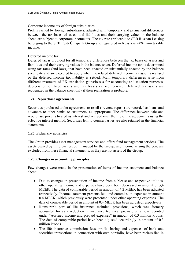### Corporate income tax of foreign subsidiaries

Profits earned by foreign subsidiaries, adjusted with temporary and permanent differences between the tax bases of assets and liabilities and their carrying values in the balance sheet, are subject to corporate income tax. The tax rate applicable to SEB Russian Leasing belonging to the SEB Eesti Ühispank Group and registered in Russia is 24% from taxable income.

### Deferred income tax

Deferred tax is provided for all temporary differences between the tax bases of assets and liabilities and their carrying values in the balance sheet. Deferred income tax is determined using tax rates (and laws) that have been enacted or substantially enacted by the balance sheet date and are expected to apply when the related deferred income tax asset is realised or the deferred income tax liability is settled. Main temporary differences arise from different treatment of FX translation gains/losses for accounting and taxation purposes, depreciation of fixed assets and tax losses carried forward. Deferred tax assets are recognized in the balance sheet only if their realization is probable.

# **1.24 Repurchase agreements**

Securities purchased under agreements to resell ('reverse repos') are recorded as loans and advances to other banks or customers, as appropriate. The difference between sale and repurchase price is treated as interest and accrued over the life of the agreements using the effective interest method. Securities lent to counterparties are also retained in the financial statements.

# **1.25. Fiduciary activities**

The Group provides asset management services and offers fund management services. The assets owned by third parties, but managed by the Group, and income arising thereon, are excluded from these financial statements, as they are not assets of the Group.

# **1.26. Changes in accounting principles**

Few changes were made in the presentation of items of income statement and balance sheet:

- Due to changes in presentation of income from sublease and respective utilities, other operating income and expenses have been both decreased in amount of 3,4 MEEK. The data of comparable period in amount of 4.2 MEEK has been adjusted respectively. Income statement presents fee- and commission expenses in amount 0.4 MEEK, which previously were presented under other operating expenses. The data of comparable period in amount of 0.4 MEEK has been adjusted respectively.
- Reinsurer's part of life insurance technical provisions, which was formery accounted for as a reduction in insurance technical provisions is now recorded under "Accrued income and prepaid expenses" in amount of 0.3 million kroons. The data of comparable period have been adjusted accordingly in amount of 0.3 million kroons.
- The life insurance commission fees, profit sharing and expenses of bank and securities transactions in connection with own portfolio, have been reclassified in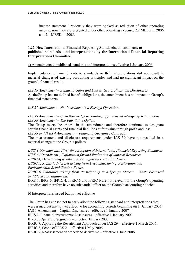income statement. Previously they were booked as reduction of other operating income, now they are presented under other operating expense: 2.2 MEEK in 2006 and 2.1 MEEK in 2005.

### **1.27. New International Financial Reporting Standards, amendments to published standards and interpretations by the International Financial Reporting Interpretations Committee.**

#### a) Amendments to published standards and interpretations effective 1 January 2006

Implementation of amendments to standards or their interpretations did not result in material changes of existing accounting principles and had no significant impact on the group's financial result.

*IAS 19 Amendment – Actuarial Gains and Losses, Group Plans and Disclosures.*  As theGroup has no defined benefit obligations, the amendment has no impact on Group's financial statements.

*IAS 21 Amendment – Net Investment in a Foreign Operation.* 

*IAS 39 Amendment – Cash flow hedge accounting of forecasted intragroup transactions. IAS 39 Amendment – The Fair Value Option.* 

The Group meets the criteria in the amendment and therefore continues to designate certain financial assets and financial liabilities at fair value through profit and loss.

*IAS 39 and IFRS 4 Amendment − Financial Guarantee Contracts.* 

The measurement and disclosure requirements under IAS 39 have not resulted in a material change to the Group's polices.

*IFRS 1 (Amendment), First-time Adoption of International Financial Reporting Standards IFRS 6 (Amendment), Exploration for and Evaluation of Mineral Resources.* 

*IFRIC 4, Determining whether an Arrangement contains a Lease.* 

*IFRIC 5, Rights to Interests arising from Decommissioning, Restoration and Environmental Rehabilitation Funds.* 

*IFRIC 6, Liabilities arising from Participating in a Specific Market – Waste Electrical and Electronic Equipment.* 

IFRS 1, IFRS 6, IFRIC 4, IFRIC 5 and IFRIC 6 are not relevant to the Group's operating activities and therefore have no substantial effect on the Group's accounting policies.

b) Interpretations issued but not yet effective

The Group has chosen not to early adopt the following standard and interpretations that were issued but are not yet effective for accounting periods beginning on 1. January 2006: IAS 1 Amendment – Capital Disclosures - effective 1 January 2007

IFRS 7, Financial instruments: Disclosures – effective 1 January 2007

IFRS 8, Operating Segments – effective January 2008.

IFRIC 7, Applying the Restatement Approach under IAS 29 – effective 1 March 2006.

IFRIC 8, Scope of IFRS 2 – effective 1 May 2006.

IFRIC 9, Reassessment of embedded derivative – effective 1 June 2006.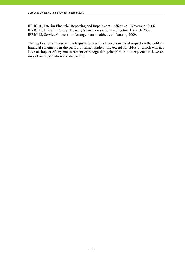IFRIC 10, Interim Financial Reporting and Impairment – effective 1 November 2006. IFRIC 11, IFRS 2 − Group Treasury Share Transactions – effective 1 March 2007. IFRIC 12, Service Concession Arrangements – effective 1 January 2009.

The application of these new interpretations will not have a material impact on the entity's financial statements in the period of initial application, except for IFRS 7, which will not have an impact of any measurement or recognition principles, but is expected to have an impact on presentation and disclosure.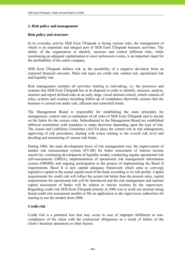# **2. Risk policy and management**

### **Risk policy and structure**

In its everyday activity SEB Eesti Ühispank is facing various risks, the management of which is an important and integral part of SEB Eesti Ühispank business activities. The ability of the organisation to identify, measure and control different risks, while maintaining an adequate capitalisation to meet unforeseen events, is an important input for the profitability of the entire company.

SEB Eesti Ühispank defines risk as the possibility of a negative deviation from an expected financial outcome. Main risk types are credit risk, market risk, operational risk and liquidity risk.

Risk management includes all activities relating to risk-taking, i.e. the processes and systems that SEB Eesti Ühispank has at its disposal in order to identify, measure, analyse, monitor and report defined risks at an early stage. Good internal control, which consists of rules, systems and routines including follow-up of compliance therewith, ensures that the business is carried out under safe, efficient and controlled forms.

The Management Board is responsible for establishing the main principles for management, control and co-ordination of all risks of SEB Eesti Ühispank and to decide on the limits for the various risks. Subordinated to the Management Board are established different committees with mandates to make decisions depending upon the type of risk. The Assets and Liabilities Committee (ALCO) plays the central role in risk management, approving of risk procedures, dealing with issues relating to the overall risk level and deciding and monitoring of various risk limits.

During 2006, the main development focus of risk management was: the improvement of market risk measurement system (EVAR) for better assessment of interest income sensitivity, continuing development of liquidity model, conducting regular operational risk self-assessments (ORSA), implementation of operational risk management information system (ORMIS) and ongoing participation in the project of implementing the Basel II requirements. Basel II is new capital adequacy framework which aims to converge regulative capital to the actual capital need of the bank according to its risk profile. Capital requirements for credit risk will reflect the actual risk better than the present rules, capital requirements for operational risk will be introduced and the risk management and internal capital assessment of banks will be subject to stricter scrutiny by the supervisors. Regarding credit risk SEB Eesti Ühispank priority in 2006 was to work out internal rating based credit risk assessment models to file an application to the supervisory authorities for starting to use the models from 2008.

# **Credit risk**

Credit risk is a potential loss that may occur in case of improper fulfilment or noncompliance of the client with the contractual obligations as a result of failure of the client's business operations or other factors.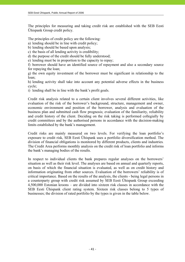The principles for measuring and taking credit risk are established with the SEB Eesti Ühispank Group credit policy.

The principles of credit policy are the following:

a) lending should be in line with credit policy;

b) lending should be based upon analysis;

c) the basis of all lending activity is credibility;

d) the purpose of the credit should be fully understood;

e) lending must be in proportion to the capacity to repay;

f) borrower should have an identified source of repayment and also a secondary source for repaying the loan;

g) the own equity investment of the borrower must be significant in relationship to the loan;

h) lending activity shall take into account any potential adverse effects in the business cycle;

i) lending shall be in line with the bank's profit goals.

Credit risk analysis related to a certain client involves several different activities, like evaluation of the risk of the borrower's background, structure, management and owner, economic environment and position of the borrower, analysis and evaluation of the business plan and submitted cash flow prognosis; evaluation of the familiarity, reliability and credit history of the client. Deciding on the risk taking is performed collegially by credit committees and by the authorised persons in accordance with the decision-making limits established by the bank's management.

Credit risks are mainly measured on two levels. For verifying the loan portfolio's exposure to credit risk, SEB Eesti Ühispank uses a portfolio diversification method. The division of financial obligations is monitored by different products, clients and industries*.*  The Credit Area performs monthly analysis on the credit risk of loan portfolio and informs the bank's managing bodies of the results.

In respect to individual clients the bank prepares regular analyses on the borrowers' situation as well as their risk level. The analyses are based on annual and quarterly reports, on basis of which the financial situation is evaluated, as well as on credit history and information originating from other sources. Evaluation of the borrowers' reliability is of critical importance. Based on the results of the analysis, the clients - being legal persons in a counterparty group with credit risk assumed by SEB Eesti Ühispank Group exceeding 4,500,000 Estonian kroons – are divided into sixteen risk classes in accordance with the SEB Eesti Ühispank client rating system. Sixteen risk classes belong to 5 types of businesses; the division of rated portfolio by the types is given in the table below.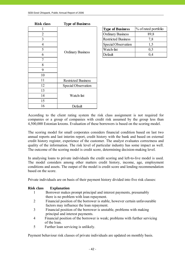| <b>Risk class</b> | <b>Type of Business</b>    |                            |               |
|-------------------|----------------------------|----------------------------|---------------|
| 1                 |                            | <b>Type of Business</b>    | % of rated po |
| $\overline{2}$    |                            | <b>Ordinary Business</b>   | 89,8          |
| 3                 |                            | <b>Restricted Business</b> | 7,8           |
| $\overline{4}$    |                            | Special Observation        | 1,5           |
| 5                 | <b>Ordinary Business</b>   | Watch-list                 | 0,5           |
| 6                 |                            | Default                    | 0,4           |
| $\tau$            |                            |                            |               |
| 8                 |                            |                            |               |
| 9                 |                            |                            |               |
| 10                |                            |                            |               |
| 11                | <b>Restricted Business</b> |                            |               |
| 12                | Special Observation        |                            |               |
| 13                |                            |                            |               |
| 14                | Watch-list                 |                            |               |
| 15                |                            |                            |               |
| 16                | Default                    |                            |               |

|   |                          | <b>Type of Business</b>    | % of rated portfolio |
|---|--------------------------|----------------------------|----------------------|
|   |                          | <b>Ordinary Business</b>   | 89,8                 |
|   |                          | <b>Restricted Business</b> | 7,8                  |
| 4 |                          | <b>Special Observation</b> |                      |
|   |                          | Watch-list                 | 0,5                  |
| 6 | <b>Ordinary Business</b> | Default                    |                      |
|   |                          |                            |                      |

According to the client rating system the risk class assignment is not required for companies or a group of companies with credit risk assumed by the group less than 4,500,000 Estonian kroons. Evaluation of these borrowers is based on the scoring model.

The scoring model for small corporates considers financial condition based on last two annual reports and last interim report, credit history with the bank and based on external credit history register, experience of the customer. The analyst evaluates correctness and quality of the information. The risk level of particular industry has some impact as well. The outcome of the scoring model is credit score, determining decision-making level.

In analysing loans to private individuals the credit scoring and left-to-live model is used. The model considers among other matters credit history, income, age, employment conditions and assets. The output of the model is credit score and lending recommendation based on the score.

Private individuals are on basis of their payment history divided into five risk classes:

#### **Risk class Explanation**

- 1 Borrower makes prompt principal and interest payments, presumably there is no problem with loan repayment.
- 2 Financial position of the borrower is stable, however certain unfavourable factors may influence the loan repayment.
- 3 Financial position of the borrower is unstable, problems with making principal and interest payments.
- 4 Financial position of the borrower is weak; problems with further servicing of the loan.
- 5 Further loan servicing is unlikely.

Payment behaviour risk classes of private individuals are updated on monthly basis.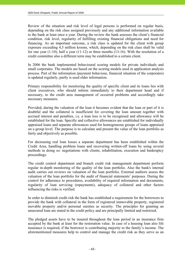Review of the situation and risk level of legal persons is performed on regular basis, depending on the risk class assigned previously and any additional information available to the bank at least once a year. During the review the bank assesses the client's financial condition, risk level, regularity of fulfilling existing financial obligations and need for financing. As an important outcome, a risk class is updated for the client with group exposure exceeding 4,5 million kroons, which, depending on the risk class shall be valid for one year (1-10), half a year (11-12) or three months (13-16). With the resolution of a credit committee also a different term may be established to a certain client.

In 2006 the bank implemented behavioural scoring models for private individuals and small corporates. The models are based on the scoring models used in application analysis process. Part of the information (payment behaviour, financial situation of the corporates) is updated regularly, partly is used older information.

Primary responsibility for monitoring the quality of specific client and its loans lies with client executives, who should inform immediately to their department head and if necessary, to the credit area management of occurred problems and accordingly take necessary measures.

Provided, during the valuation of the loan it becomes evident that the loan or part of it is doubtful and the collateral is insufficient for covering the loan amount together with accrued interest and penalties, i.e. a loan loss is to be recognised and allowance will be established for the loan. Specific and collective allowances are established for individually appraised loans and separate allowances used for homogeneous groups of loans appraised on a group level. The purpose is to calculate and present the value of the loan portfolio as fairly and objectively as possible.

For decreasing real loan losses a separate department has been established within the Credit Area, handling problem loans and recovering written-off loans by using several methods in doing so: negotiations with clients, rehabilitation, execution and bankruptcy proceedings.

The credit control department and branch credit risk management department perform regular in-depth monitoring of the quality of the loan portfolio. Also the bank's internal audit carries out reviews on valuation of the loan portfolio. External auditors assess the valuation of the loan portfolio for the audit of financial statements' purposes. During the control for adherence to procedures, availability of required information and documents, regularity of loan servicing (repayments), adequacy of collateral and other factors influencing the risks is verified.

In order to diminish credit risk the bank has established a requirement for the borrowers to provide the bank with collateral in the form of registered immovable property, registered movable property and/or personal sureties as security. The principles for granting an unsecured loan are stated in the credit policy and are principally limited and restricted.

The pledged assets have to be insured throughout the loan period in an insurance firm accepted by the bank at least for the restoration value. In case of a housing loan also life insurance is required, if the borrower is contributing majority to the family's income. The aforementioned measures help to control and manage the credit risk as they serve as an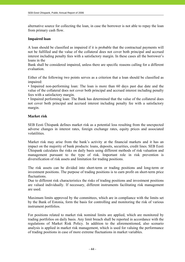alternative source for collecting the loan, in case the borrower is not able to repay the loan from primary cash flow.

# **Impaired loan**

A loan should be classified as impaired if it is probable that the contractual payments will not be fulfilled and the value of the collateral does not cover both principal and accrued interest including penalty fees with a satisfactory margin. In these cases all the borrower's loans in the

Bank shall be considered impaired, unless there are specific reasons calling for a different evaluation.

Either of the following two points serves as a criterion that a loan should be classified as impaired:

• Impaired non-performing loan: The loan is more than 60 days past due date and the value of the collateral does not cover both principal and accrued interest including penalty fees with a satisfactory margin.

• Impaired performing loan: The Bank has determined that the value of the collateral does not cover both principal and accrued interest including penalty fee with a satisfactory margin.

#### **Market risk**

SEB Eesti Ühispank defines market risk as a potential loss resulting from the unexpected adverse changes in interest rates, foreign exchange rates, equity prices and associated volatilities.

Market risk may arise from the bank's activity at the financial markets and it has an impact on the majority of bank products: loans, deposits, securities, credit lines. SEB Eesti Ühispank calculates the risks on daily basis using different methods of risk valuation and management pursuant to the type of risk. Important role in risk prevention is diversification of risk assets and limitation for trading positions.

The risk assets can be divided into short-term or trading positions and long-term or investment positions. The purpose of trading positions is to earn profit on short-term price fluctuations.

Due to different risk characteristics the risks of trading positions and investment positions are valued individually. If necessary, different instruments facilitating risk management are used.

Maximum limits approved by the committees, which are in compliance with the limits set by the Bank of Estonia, form the basis for controlling and monitoring the risk of various instrument portfolios.

For positions related to market risk nominal limits are applied, which are monitored by trading portfolios on daily basis. Any limit breach shall be reported in accordance with the regulations of Market Risk Policy. In addition to the aforementioned, also scenario analysis is applied in market risk management, which is used for valuing the performance of trading positions in case of more extreme fluctuations in market variables.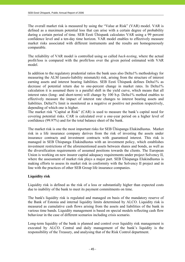The overall market risk is measured by using the "Value at Risk" (VAR) model. VAR is defined as a maximum potential loss that can arise with a certain degree of probability during a certain period of time. SEB Eesti Ühispank calculates VAR using a 99 percent confidence level and a ten-day time horizon. VAR model enables to effectively measure market risks associated with different instruments and the results are homogeneously comparable.

The reliability of VAR model is controlled using so called *back-testing*, where the actual profit/loss is compared with the profit/loss over the given period estimated with VAR model.

In addition to the regulatory prudential ratios the bank uses also Delta1% methodology for measuring the ALM (assets-liability mismatch) risk, arising from the structure of interest earning assets and interest bearing liabilities. SEB Eesti Ühispank defines Delta1% as decrease of potential return due to one-percent change in market rates. In Delta1% calculation it is assumed there is a parallel shift in the yield curve, which means that all interest rates (long- and short-term) will change by 100 b.p. Delta1% method enables to effectively measure the impact of interest rate changes to interest bearing assets and liabilities. Delta1% limit is monitored as a negative or positive net position respectively, depending of which one is higher.

The market risk "Capital at Risk" (CAR) is used to measure the bank's capital need for covering potential risks. CAR is calculated over a one-year period on a higher level of confidence (99.97%) and for the total balance sheet of the bank.

The market risk is one the most important risks for SEB Ühispanga Elukindlustus. Market risk in a life insurance company derives from the risk of investing the assets under insurance contracts and investment contracts with guaranteed interest. This risk is managed in SEB Ühispanga Elukindlustus with an investment policy, which establishes investment restrictions of the aforementioned assets between shares and bonds, as well as the diversification requirements of assumed positions towards the clients. The European Union is working on new insurer capital adequacy requirements under project Solvency II, where the assessment of market risk plays a major part. SEB Ühispanga Elukindlustus is making efforts to assess its market risk in conformity with the Solvency II project and in line with the practices of other SEB Group life insurance companies.

# **Liquidity risk**

Liquidity risk is defined as the risk of a loss or substantially higher than expected costs due to inability of the bank to meet its payment commitments on time.

The bank's liquidity risk is regulated and managed on basis of the mandatory reserve of the Bank of Estonia and internal liquidity limits determined by ALCO. Liquidity risk is measured as cumulative cash flows arising from the assets and liabilities of the bank in various time bands. Liquidity management is based on special models reflecting cash flow behaviour in the case of different scenarios including crisis scenario.

Long-term liquidity of the bank is planned and control over liquidity risk management is executed by ALCO. Central and daily management of the bank's liquidity is the responsibility of the Treasury, and analysing that of the Risk Control department.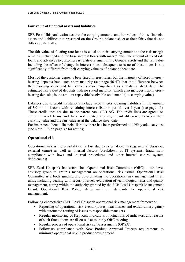### **Fair value of financial assets and liabilities**

SEB Eesti Ühispank estimates that the carrying amounts and fair values of those financial assets and liabilities not presented on the Group's balance sheet at their fair value do not differ substantially.

The fair value of floating rate loans is equal to their carrying amount as the risk margin remains unchanged and the base interest floats with market rate. The amount of fixed rate loans and advances to customers is relatively small in the Group's assets and the fair value including the effect of change in interest rates subsequent to issue of these loans is not significantly different from their carrying value as of balance sheet date.

Most of the customer deposits bear fixed interest rates, but the majority of fixed interestbearing deposits have such short maturity (see page 46-47) that the difference between their carrying value and fair value is also insignificant as at balance sheet date. The estimated fair value of deposits with no stated maturity, which also includes non-interestbearing deposits, is the amount repayable/receivable on demand (i.e. carrying value).

Balances due to credit institutions include fixed interest-bearing liabilities in the amount of 3,9 billion kroons with remaining interest fixation period over 1-year (see page 46). These credit lines are due to the parent bank SEB AG. The credit lines are agreed on current market terms and have not created any significant difference between their carrying value and the fair value as at the balance sheet date.

For insurance clients' financial liability there has been performed a liability adequacy test (see Note 1.16 on page 32 for results).

# **Operational risk**

Operational risk is the possibility of a loss due to external events (e.g. natural disasters, external crime) as well as internal factors (breakdown of IT systems, fraud, noncompliance with laws and internal procedures and other internal control system deficiencies).

SEB Eesti Ühispank has established Operational Risk Committee (ORC) – top level advisory group to group's management on operational risk issues. Operational Risk Committee is a body guiding and co-ordinating the operational risk management in all units, including dealing with security issues, evaluation of technological risks and quality management, acting within the authority granted by the SEB Eesti Ühispank Management Board. Operational Risk Policy states minimum standards for operational risk management.

Following characterizes SEB Eesti Ühispank operational risk management framework:

- Reporting of operational risk events (losses, near misses and extraordinary gains) with automated routing of issues to responsible managers.
- Regular monitoring of Key Risk Indicators. Fluctuations of indicators and reasons of such fluctuations are discussed at monthly ORC meetings.
- Regular process of operational risk self-assessments (ORSA).
- Follow-up compliance with New Product Approval Process requirements to minimize operational risk in product development.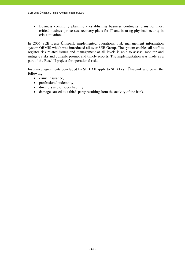• Business continuity planning - establishing business continuity plans for most critical business processes, recovery plans for IT and insuring physical security in crisis situations.

In 2006 SEB Eesti Ühispank implemented operational risk management information system ORMIS which was introduced all over SEB Group. The system enables all staff to register risk-related issues and management at all levels is able to assess, monitor and mitigate risks and compile prompt and timely reports. The implementation was made as a part of the Basel II project for operational risk.

Insurance agreements concluded by SEB AB apply to SEB Eesti Ühispank and cover the following:

- crime insurance,
- professional indemnity,
- directors and officers liability,
- damage caused to a third party resulting from the activity of the bank.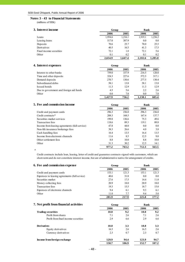#### **Notes 3 - 43 to Financial Statements**

(millions of EEK)

| 3. Interest income      |         | Group   |         |         |
|-------------------------|---------|---------|---------|---------|
|                         | 2006    | 2005    | 2006    | 2005    |
| Loans                   | 1,954.6 | 1,216.1 | 1,919.1 | 1,236.2 |
| Leasing loans           | 517.0   | 387.9   | 0.0     | 0.0     |
| Deposits                | 70.6    | 25.7    | 70.0    | 25.5    |
| Derivatives             | 40.5    | 16.5    | 41.3    | 17.5    |
| Fixed income securities | 72.1    | 1.0     | 72.1    | 5.6     |
| Other                   | 0.1     | 0.2     | 0.1     | 0.2     |
|                         | 2,654.9 | 1,647.4 | 2,102.6 | 1.285.0 |

| 4. Interest expenses                    | Group   |       | <b>Bank</b> |       |
|-----------------------------------------|---------|-------|-------------|-------|
|                                         | 2006    | 2005  | 2006        | 2005  |
| Interest to other banks                 | 759.0   | 337.9 | 216.5       | 120.8 |
| Time and other deposits                 | 324.3   | 227.6 | 572.5       | 317.1 |
| Demand deposits                         | 270.7   | 130.6 | 277.5       | 130.4 |
| Subordinated debts                      | 58.1    | 13.8  | 58.1        | 13.8  |
| Issued bonds                            | 11.3    | 12.9  | 11.3        | 12.9  |
| Due to government and foreign aid funds | 4.5     | 5.6   | 2.2         | 2.6   |
| Other                                   | 0.0     | 7.8   | 0.0         | 7.8   |
|                                         | 1.427.9 | 736.2 | 1.138.1     | 605.4 |

| 5. Fee and commission income                  | Group |       | <b>Bank</b> |       |
|-----------------------------------------------|-------|-------|-------------|-------|
|                                               | 2006  | 2005  | 2006        | 2005  |
| Credit and payment cards                      | 296.3 | 236.0 | 296.3       | 236.0 |
| Credit contracts*                             | 208.3 | 168.5 | 167.4       | 137.7 |
| Securities market services                    | 199.8 | 136.6 | 75.3        | 49.6  |
| Transaction fees                              | 118.6 | 89.3  | 119.1       | 89.8  |
| Income from leasing agreements (full service) | 47.8  | 44.0  | 0.0         | 0.0   |
| Non-life insurance brokerage fees             | 38.3  | 26.6  | 4.0         | 3.8   |
| Cash handling fees                            | 16.4  | 13.5  | 16.4        | 13.5  |
| Income from electronic channels               | 11.6  | 8.5   | 12.5        | 9.0   |
| Other settlement fees                         | 8.8   | 10.0  | 8.8         | 10.0  |
| Other                                         | 31.3  | 30.2  | 12.5        | 14.1  |
|                                               | 977.2 | 763.2 | 712.3       | 563.5 |

Credit contracts include loan, leasing, letter of credit and guarantee contracts signed with customers, which are short-term and do not constitute interest income, but are of administrative native for arrangement of credits.

| 6. Fee and commission expense                | Group |       | <b>Bank</b> |       |
|----------------------------------------------|-------|-------|-------------|-------|
|                                              | 2006  | 2005  | 2006        | 2005  |
| Credit and payment cards                     | 153.1 | 121.3 | 153.1       | 121.3 |
| Expenses to leasing agreements (full sevice) | 40.6  | 31.8  | 0.0         | 0.0   |
| Securities market                            | 27.6  | 17.5  | 14.4        | 11.8  |
| Money collecting fees                        | 20.9  | 18.0  | 20.9        | 18.0  |
| Transaction fees                             | 19.3  | 15.5  | 18.7        | 15.0  |
| Expenses of electronic channels              | 9.4   | 6.1   | 9.3         | 6.1   |
| Other                                        | 11.0  | 7.7   | 9.4         | 5.0   |
|                                              | 281.9 | 217.9 | 225.8       | 177.2 |

#### **7.** Net profit from financial activities **Group** Group Bank

|                                     | 2006  | 2005  | 2006  | 2005             |
|-------------------------------------|-------|-------|-------|------------------|
| <b>Trading securities</b>           | 10.0  | 9.2   | 10.0  | 9.2              |
| Profit from shares                  | 7.1   | 2.6   | 7.1   | 2.6              |
| Profit from fixed income securities | 2.9   | 6.6   | 2.9   | 6.6              |
| <b>Derivatives</b>                  | 18.8  | 3.3   | 18.8  | 3.3 <sub>1</sub> |
| Equity derivatives                  | 16.5  | 2.6   | 16.5  | 2.6              |
| Currency derivatives                | 2.3   | 0.7   | 2.3   | 0.7              |
| Income from foreign exchange        | 129.9 | 94.4  | 123.9 | 94.7             |
|                                     | 158.7 | 106.9 | 152.7 | 107.2            |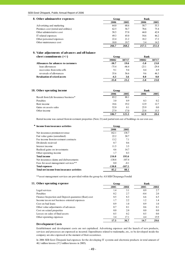| 8. Other adminastrive expenses       | Group |       | <b>Bank</b> |       |
|--------------------------------------|-------|-------|-------------|-------|
|                                      | 2006  | 2005  | 2006        | 2005  |
| Advertizing and marketing            | 64.0  | 68.6  | 58.7        | 55.3  |
| Premises cost (rental and utilities) | 62.5  | 56.7  | 78.6        | 75.4  |
| Other administrative cost            | 58.5  | 57.0  | 44.0        | 42.8  |
| IT related expenses                  | 49.3  | 45.0  | 54.6        | 46.2  |
| Other personnel expenses             | 22.4  | 21.2  | 18.2        | 17.2  |
| Other maintenance cost               | 10.0  | 19.7  | 3.4         | 14.5  |
|                                      | 266.7 | 268.2 | 257.5       | 251.4 |

#### **9. Value adjustments of advances and off-balance**

| sheet commitments $(+/-)$            | Group   |         | <b>Bank</b> |         |
|--------------------------------------|---------|---------|-------------|---------|
|                                      | 39082   | 38717   | 39082       | 38717   |
| Allowances for advances to customers | $-30.7$ | 19.6    | $-5.0$      | 23.8    |
| loan allowances                      | $-75.4$ | $-46.4$ | $-23.1$     | $-29.4$ |
| recoveries from write-offs           | 9.1     | 9.4     | 8.4         | 6.9     |
| reversals of allowances              | 35.6    | 56.6    | 9.6         | 46.3    |
| <b>Revaluation of seized assets</b>  | $-4.3$  | 3.6     | 0.0         | 0.0     |
|                                      | $-35.0$ | 23.2    | -5.0        | 23.8    |

| 10. Other operating income           | Group |       | Bank |      |
|--------------------------------------|-------|-------|------|------|
|                                      | 2006  | 2005  | 2006 | 2005 |
| Result from Life Insurance business* | 85.2  | 88.1  | -    |      |
| Penalties                            | 3.0   | 0.9   | 0.3  | 0.2  |
| Rent income                          | 18.6  | 19.2  | 12.9 | 12.7 |
| Gains on assets sales                | 52.0  | 0.1   | 25.9 | 0.0  |
| Other income                         | 27.9  | 17.0  | 23.8 | 15.5 |
|                                      | 186.7 | 125.3 | 62.9 | 28.4 |

Rental income was earned from investment properties (Note 21) and partial rent-out of buildings in our own use.

| ∗<br>Income from insurance activities      | Group    |          |
|--------------------------------------------|----------|----------|
|                                            | 2006     | 2005     |
| Net insurance premium revenue              | 162.1    | 138.7    |
| Fair value gains (unrealized)              | 22.2     | 30.7     |
| Fee income from investment contracts       | 13.2     | 7.1      |
| Dividends recieved                         | 0.7      | 0.6      |
| Interest income                            | 11.5     | 3.5      |
| Realised gains on investments              | 4.6      | 14.7     |
| Other operating income                     | 1.7      | 0.3      |
| <b>Total income</b>                        | 216.0    | 195.6    |
| Net insurance claims and disbursements     | $-130.8$ | $-107.4$ |
| Fees for asset management services**       | 0.0      | $-0.1$   |
| <b>Total expenses</b>                      | $-130.8$ | $-107.5$ |
| Total net income from insurance activities | 85.2     | 88.1     |

\*\*asset management services are provided within the group by AS SEB Ühispanga Fondid

| 11. Other operating expense                           | Group |      | <b>Bank</b> |      |
|-------------------------------------------------------|-------|------|-------------|------|
|                                                       | 2005  | 2004 | 2005        | 2004 |
| Legal services                                        | 1.4   | 3.1  | 0.9         | 2.7  |
| Penalties                                             | 0.2   | 2.7  | $-0.4$      | 2.0  |
| Finance Inspection and Deposit quarantee (float) cost | 8.5   | 8.3  | 6.6         | 6.5  |
| Income tax on not business oriented expenses          | 1.7   | 2.2  | 1.2         | 1.4  |
| Cost on bad loans                                     | 0.9   | 1.0  | 0.9         | 1.0  |
| Other value adjustments of advances                   | 0.7   | 0.1  | 0.6         | 0.1  |
| Cost on seized properties                             | 0.0   | 2.0  | 0.0         | 0.0  |
| Losses on sales of fixed assets                       | 0.5   | 0.2  | 0.5         | 0.0  |
| Other operating expenses                              | 3.4   | 17.1 | 4.4         | 15.9 |
|                                                       | 17.3  | 36.7 | 14.7        | 29.6 |

#### **Development Costs**

Establishment and development costs are not capitalised. Advertising expenses and the launch of new products, services and processes are expensed as incurred. Expenditures related to trademarks, etc., to be developed inside the company are also expensed at the moment of their occurrence.

In 2006 SEB Eesti Ühispank had expenses for the developing IT systems and electronic products in total amount of 40,1 million kroons (37,3 million kroons in 2005).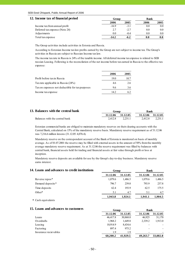| 12. Income tax of financial period | Group   |        | <b>Bank</b> |         |
|------------------------------------|---------|--------|-------------|---------|
|                                    | 2006    | 2005   | 2006        | 2005    |
| Income tax from annual profit      | $-16.9$ | $-3.1$ | 0.0         | $0.0\,$ |
| Deferred tax expense (Note 24)     | 2.7     | $-2.7$ | 0.0         | $0.0\,$ |
| Adjustments                        | 0.0     | -0.4   | 0.0         | $0.0\,$ |
| Total tax expense                  | $-14.2$ | $-6.2$ |             |         |

The Group activities include activities in Estonia and Russia.

According to Estonian Income tax law profits earned by the Group are not subject to income tax. The Group's activities in Russia are subject to Russian Income tax law.

The income tax rate in Russia is 24% of the taxable income. All deferred income tax expense is related to SEB russian Leasing. Following is the reconcilation of the net income before tax earned in Russia to the effective tax expense:

|                                                 | 2006  | 2005 |
|-------------------------------------------------|-------|------|
| Profit before tax in Russia                     | 19.0  | 10.7 |
| Tax rate applicable in Russia (24%)             | 4.6   | 2.6  |
| Tax on expenses not deductible for tax purposes | 96    | 3.6  |
| Income tax expense                              | 14 2. | 62   |

| 13. Balances with the central bank | Group             |         | Bank    |                   |
|------------------------------------|-------------------|---------|---------|-------------------|
|                                    | 31.12.06 31.12.05 |         |         | 31.12.06 31.12.05 |
| Balances with the central bank     | 2.412.8           | 2.231.1 | 2.412.8 | 2.231.1           |

Estonian commercial banks are obliged to maintain mandatory reserves on their clearing accounts with the Central Bank, calculated on 15% of the mandatory reserve basis. Mandatory reserve requirement as of 31.12.06 was 7,216.6 million kroons (31.12.05: 4,076.4).

Mandatory reserve on the correspondent account of the Bank of Estonia is monitored on basis of monthly average. As of 01.07.2001 the reserve may be filled with external assets in the amount of 50% from the monthly average mandatory reserve requirement. As at 31.12.06 the reserve requirement was filled by balances with central bank, financial assets held for trading and financial assets at fair value through profit or loss at inception.

Mandatory reserve deposits are available for use by the Group's day-to-day business. Mandatory reserve earns interest.

| 14. Loans and advances to credit institutions | Group    |          | <b>Bank</b> |          |
|-----------------------------------------------|----------|----------|-------------|----------|
|                                               | 31.12.06 | 31.12.05 | 31.12.06    | 31.12.05 |
| Reverse repos <sup>*</sup>                    | 1,079.6  | 1.486.5  | 1,079.6     | 1,486.5  |
| Demand deposits*                              | 796.7    | 239.0    | 793.9       | 237.8    |
| Time deposits                                 | 62.4     | 193.9    | 62.5        | 175.5    |
| $Other*$                                      | 5.1      | 4.7      | 5.1         | 4.7      |
|                                               | 1.943.8  | 1.924.1  | 1.941.1     | 1.904.5  |

**\*** Cash equivalents

# **15. Loans and advances to customers Group Bank**

|                       | 31.12.06 | 31.12.05 | 31.12.06                 | 31.12.05 |
|-----------------------|----------|----------|--------------------------|----------|
| Loans                 | 46,417.8 | 30,868.0 | 46.925                   | 31,170   |
| Overdrafts            | 1,968.2  | 1.649.8  | 2,339.2                  | 1,913.0  |
| Leasing               | 10.914.9 | 8.434.6  |                          |          |
| Factoring             | 897.4    | 975.2    | $\overline{\phantom{0}}$ |          |
| Insurance recievables | 1.9      | 1.9      | $\overline{\phantom{0}}$ |          |
|                       | 60.200.2 | 41,929.5 | 49,263.7                 | 33,082.8 |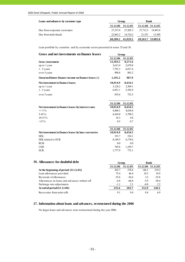| Loans and advances by customer type |          | Group             |        |                   |
|-------------------------------------|----------|-------------------|--------|-------------------|
|                                     |          | 31.12.06 31.12.05 |        | 31.12.06 31.12.05 |
| Due from corporate customers        | 37.337.0 | 27.205.3          |        | 27.712.5 19.493.8 |
| Due from individuals                | 22,863.2 | 14.724.2          | 21.551 | 13,589            |
|                                     |          | 60,200.2 41,929.5 |        | 49,263.7 33,082.8 |

Loan portfolio by countries and by economic sector presented in notes 35 and 36.

| Gross and net investments on finance leases                      | Group               |                    |
|------------------------------------------------------------------|---------------------|--------------------|
|                                                                  | 31.12.06            | 31.12.05           |
| <b>Gross investment</b>                                          | 12,393.5            | 9,571.6            |
| up to 1 year                                                     | 3,613.4             | 2,670.8            |
| $1 - 5$ years                                                    | 7,791.3             | 6,017.6            |
| over 5 years                                                     | 988.8               | 883.2              |
| Unearned future finance income on finance leases (-)             | 1,195.2             | 987.9              |
| Net investment in finance leases                                 | 10,914.9            | 8,434.5            |
| up to 1 year                                                     | 3,128.2             | 2,309.1            |
| $1 - 5$ years                                                    | 6,951.1             | 5,392.9            |
| over 5 years                                                     | 835.6               | 732.5              |
|                                                                  |                     |                    |
|                                                                  | 31.12.06            | 31.12.05           |
| Net investment in finance leases by interest rates<br>$\leq$ 5 % | 10,914.9<br>4,488.1 | 8,434.5<br>4,638.8 |
| 5-10 $%$                                                         | 6,410.0             | 3,790.2            |
| $10-15%$                                                         | 16.3                | 4.8                |
| $>15\%$                                                          | 0.5                 | 0.7                |
|                                                                  |                     |                    |
|                                                                  | 31.12.06            | 31.12.05           |
| Net investment in finance leases by base currencies              | 10,914.9            | 8,434.5            |
| <b>EEK</b>                                                       | 191.7               | 224.1              |
| EEK related to EUR                                               | 8,149.5             | 6,178.6            |
| <b>RUB</b>                                                       | 0.0                 | 0.0                |
| <b>USD</b>                                                       | 795.8               | 1,259.7            |
| <b>EUR</b>                                                       | 1,777.9             | 772.1              |

# **16.** Allowances for doubtful debt **Group** Group Bank

|                                              | 31.12.06 | 31.12.05 | 31.12.06 | 31.12.05 |  |
|----------------------------------------------|----------|----------|----------|----------|--|
| At the beginning of period $(31.12.05)$      | 203.7    | 278.6    | 146.1    | 219.2    |  |
| Loan allowances provided                     | 75.4     | 46.4     | 10.3     | 18.9     |  |
| Reversals of allowances                      | $-35.6$  | $-56.6$  | 3.2      | $-35.8$  |  |
| Allowances on loans and advances written off | $-6.8$   | $-66.8$  | $-5.9$   | $-58.4$  |  |
| Exchange rate adjustments                    | $-1.1$   | 2.1      | $-0.8$   | 2.2      |  |
| At end of period $(31.12.06)$                | 235.6    | 203.7    | 152.9    | 146.1    |  |
| Recoveries from write-offs                   | 9.1      | 9.4      | 8.4      | 6.9      |  |

#### **17. Information about loans and advances, restructured during the 2006**

No larger loans and advances were restructured during the year 2006.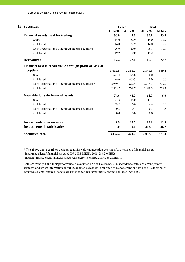| 18. Securities                                           | Group    |          | <b>Bank</b> |                   |  |
|----------------------------------------------------------|----------|----------|-------------|-------------------|--|
|                                                          | 31.12.06 | 31.12.05 |             | 31.12.06 31.12.05 |  |
| <b>Financial assets held for trading</b>                 | 90.0     | 43.8     | 90.1        | 43.8              |  |
| <b>Shares</b>                                            | 14.0     | 32.9     | 14.0        | 32.9              |  |
| incl. listed                                             | 14.0     | 32.9     | 14.0        | 32.9              |  |
| Debt securities and other fixed income securities        | 76.0     | 10.9     | 76.1        | 10.9              |  |
| incl. listed                                             | 19.2     | 0.0      | 19.2        | 0.0               |  |
| <b>Derivatives</b>                                       | 17.4     | 22.0     | 17.9        | 22.7              |  |
| Financial assets at fair value through profit or loss at |          |          |             |                   |  |
| inception                                                | 3,612.5  | 1,301.2  | 2,549.3     | 539.2             |  |
| <b>Shares</b>                                            | 673.4    | 478.8    | 0.0         | $0.0\,$           |  |
| incl. listed                                             | 194.6    | 406.3    | 0.0         | 0.0               |  |
| Debt securities and other fixed income securities *      | 2,939.1  | 822.4    | 2,549.3     | 539.2             |  |
| incl. listed                                             | 2,865.7  | 788.7    | 2,549.3     | 539.2             |  |
| Available for sale financial assets                      | 74.6     | 48.7     | 11.7        | 6.0               |  |
| <b>Shares</b>                                            | 74.3     | 48.0     | 11.4        | 5.2               |  |
| incl. listed                                             | 69.2     | 0.0      | 6.4         | 0.0               |  |
| Debt securities and other fixed income securities        | 0.3      | 0.7      | 0.3         | 0.8               |  |
| incl. listed                                             | 0.0      | 0.0      | 0.0         | 0.0               |  |
| <b>Investments in associates</b>                         | 42.9     | 28.5     | 19.9        | 12.9              |  |
| <b>Investments in subsidaries</b>                        | 0.0      | 0.0      | 303.9       | 346.7             |  |
| <b>Securities total</b>                                  | 3,837.4  | 1,444.2  | 2,992.8     | 971.3             |  |

\* The above debt securities designated at fair value at inception consist of two classes of financial assets:

- insurance clients' financial assets (2006: 389.8 MEEK, 2005: 283.2 MEEK).

- liquidity management financial assets (2006: 2549.3 MEEK, 2005: 539.2 MEEK).

Both are managed and their performance is evaluated on a fair value basis in accordance with a risk management strategy, and where information about these financial assets is reported to management on that basis. Additionally insurance clients' financial assets are matched to their investment contract liabilities (Note 28).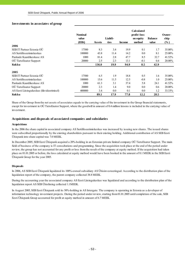#### **Investments in associates of group**

|                                           | <b>Nominal</b><br>value |        | Liabili- |               | <b>Calculated</b><br>profit/-loss<br>on equity | <b>Balance</b> | Owner-<br>ship |
|-------------------------------------------|-------------------------|--------|----------|---------------|------------------------------------------------|----------------|----------------|
| 2006                                      | (EEK)                   | Assets | ties     | <b>Income</b> | method                                         | value          | $(\%)$         |
| SEB IT Partner Estonia OU                 | 17500                   | 8.3    | 3.4      | 19.9          | 0.1                                            | 1.7            | 35.00%         |
| AS Sertifits eerimiskes kus               | 100000                  | 43.8   | 11.4     | 14.2          | 0.0                                            | 8.1            | 25.00%         |
| Pankade Kaardikeskuse AS                  | 1000                    | 81.4   | 2.8      | 47.7          | 8.5                                            | 32.7           | 41.52%         |
| OÜ TietoEnator Support                    | 20000                   | 2.5    | 2.3      | 13.1          | $-0.1$                                         | 0.4            | 20.00%         |
| Kokku                                     |                         | 136.0  | 19.9     | 94.9          | 8.5                                            | 42.9           |                |
| 2005                                      |                         |        |          |               |                                                |                |                |
| SEB IT Partner Estonia OÜ                 | 17500                   | 6.5    | 1.9      | 18.8          | 0.5                                            | 1.6            | 35.00%         |
| AS Sertifits eerimis kes kus              | 100000                  | 15.6   | 11.5     | 12.5          | $-0.8$                                         | 1.0            | 25.00%         |
| Pankade Kaardikeskuse AS                  | 1000                    | 61.3   | 3.1      | 37.4          | 5.8                                            | 24.1           | 41.52%         |
| OÜ TietoEnator Support                    | 20000                   | 2.3    | 1.4      | 9.0           | 0.0                                            | 0.6            | 20.00%         |
| AS Eesti Liisingukeskus (likvideerimisel) | 400000                  | 3.4    | 0.0      | 0.1           | 0.0                                            | 1.2            | 33.33%         |
| Kokku                                     |                         | 89.1   | 17.9     | 77.8          | 12.2                                           | 28.5           |                |

Share of the Group from the net assets of associates equals to the carrying value of the investment in the Group financial statements, except for investment in OÜ TietoEnator Support, where the goodwill in amount of 0.4 million kroons is included in the carrying value of investment.

#### **Acquisitions and disposals of associated companies and subsidaries**

#### **Acquisitions**

In the 2006 the share capital in associated company AS Sertifitseerimiskeskus was increased by issuing new shares. The issued shares were subscribed proportionally by the existing shareholders pursuant to their existing holding. Additional contribution of AS SEB Eesti Ühispank into share capital was 7.0 MEEK.

In December 2005, SEB Eesti Ühispank acquired a 20%-holding in an Estonian private limited company OÜ TietoEnator Support. The main field of business of the company is IT consultations and programming. Since the acquisition took place at the end of the period under review, the group has not accounted for any profit or loss from the result of the company at equity method. If the acquisition had taken place on 01.01.2005 or before, the loss calculated at equity method would have been booked in the amount of 0.1 MEEK in the SEB Eesti Ühispank Group for the year 2005.

#### **Disposals**

In 2006, AS SEB Eesti Ühispank liquidated its 100%-owned subsidiary AS Ühisinvesteeringud. According to the distribution plan of the liquidation report of the company, the parent company collected 38.8 MEEK.

During the accounting year the associated company AS Eesti Liisingukeskus was liquidated and according to the distribution plan of the liquidation report AS SEB Ühisliising collected 1.1MEEK.

In August 2005, SEB Eesti Ühispank sold its 50%-holding in AS Intergate. The company is operating in Estonia as a developer of information technology investment projects. During the period under review, starting from 01.01.2005 until completion of the sale, SEB Eesti Ühispank Group accounted for profit at equity method in amount of 6.7 MEEK.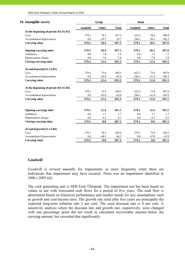| 19. Intangible assets                      |                 | Group        |              | <b>Bank</b>     |              |               |
|--------------------------------------------|-----------------|--------------|--------------|-----------------|--------------|---------------|
|                                            | <b>Goodwill</b> | <b>Other</b> | <b>Total</b> | <b>Goodwill</b> | <b>Other</b> | <b>Total</b>  |
| At the beginning of period $(01.01.05)$    |                 |              |              |                 |              |               |
| Cost                                       | 379.1           | 78.1         | 457.2        | 623.2           | 76.6         | 699.8         |
| Accumulated depreciation                   | 0.0             | $-59.7$      | $-59.7$      | $-244.1$        | $-58.1$      | $-302.2$      |
| <b>Carrying value</b>                      | 379.1           | 18.4         | 397.5        | 379.1           | 18.5         | 397.6         |
| Opening carrying value                     | 379.1           | 18.4         | 397.5        | 379.1           | 18.5         | 397.6         |
| <b>Additions</b>                           | 0.0             | 1.8          | 1.8          | 0.0             | 1.7          | $1.7^{\circ}$ |
| Depreciation charge                        | 0.0             | $-7.8$       | $-7.8$       | 0.0             | $-7.8$       | $-7.8$        |
| Closing carrying value                     | 379.1           | 12.4         | 391.5        | 379.1           | 12.4         | 391.5         |
| At end of period (31.12.05)                |                 |              |              |                 |              |               |
| Cost                                       | 379.1           | 75.4         | 454.5        | 623.2           | 73.8         | 697.0         |
| Accumulated depreciation                   | 0.0             | $-63.0$      | $-63.0$      | $-244.1$        | $-61.4$      | $-305.5$      |
| <b>Carrying value</b>                      | 379.1           | 12.4         | 391.5        | 379.1           | 12.4         | 391.5         |
| At the beginning of period (01.01.06)      |                 |              |              |                 |              |               |
| Cost                                       | 379.1           | 75.4         | 454.5        | 623.2           | 73.8         | 697.0         |
| Accumulated depreciation                   | 0.0             | $-63.0$      | $-63.0$      | $-244.1$        | $-61.4$      | $-305.5$      |
| Carrying value                             | 379.1           | 12.4         | 391.5        | 379.1           | 12.4         | 391.5         |
|                                            | 379.1           | 12.4         | 391.5        | 379.1           | 12.4         | 391.5         |
| Opening carrying value<br><b>Additions</b> | 0.0             | 1.7          | 1.7          | 0.0             | 1.7          | 1.7           |
| Depreciation charge                        | 0.0             | $-6.1$       | $-6.1$       | 0.0             | $-6.1$       | $-6.1$        |
| Closing carrying value                     | 379.1           | 8.0          | 387.1        | 379.1           | 8.0          | 387.1         |
|                                            |                 |              |              |                 |              |               |
| At end of period (31.12.06)                |                 |              |              |                 |              |               |
| Cost                                       | 379.1           | 76.5         | 455.6        | 379.1           | 75.0         | 454.1         |
| Accumulated depreciation                   | 0.0             | $-68.5$      | $-68.5$      | 0.0             | $-67.0$      | $-67.0$       |
| Carrying value                             | 379.1           | 8.0          | 387.1        | 379.1           | 8.0          | 387.1         |

#### **Goodwill**

Goodwill is revised annually for impairment, or more frequently when there are indications that impairment may have occured. There was no impairment identified in 2006 ( 2005 nil).

The cash generating unit is SEB Eesti Ühispank. The impairment test has been based on values in use with forecasted cash flows for a period of five years. The cash flow is determined based on historical performance and market trends for key assumptions such as growth and cost/income ratio. The growth rate used after five years are principally the expected long-term inflation rate 2 per cent. The used discount rate is 9 per cent. A sensitivity analysis where the discount rate and growth rate, respectively, were changed with one percentage point did not result in calculated recoverable amount below the carrying amount, but exceeded that significantly.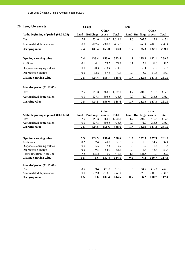# **20. Tangible assets Group Bank**

|                                         |                |                  | <b>Other</b>  |               |            |                              | Other         |               |
|-----------------------------------------|----------------|------------------|---------------|---------------|------------|------------------------------|---------------|---------------|
| At the beginning of period $(01.01.05)$ | Land           | <b>Buildings</b> | assets        | <b>Total</b>  |            | <b>Land Buildings assets</b> |               | <b>Total</b>  |
| Cost                                    | 7.4            | 551.0            | 453.0         | 1,011.4       | 1.6        | 203.7                        | 412.1         | 617.4         |
| Accumulated depreciation                | 0.0            | $-117.6$         | $-300.0$      | $-417.6$      | 0.0        | $-68.4$                      | $-280.0$      | $-348.4$      |
| <b>Carrying value</b>                   | 7.4            | 433.4            | 153.0         | 593.8         | 1.6        | 135.3                        | 132.1         | 269.0         |
|                                         | 7.4            | 433.4            | 153.0         | 593.8         | 1.6        | 135.3                        | 132.1         | 269.0         |
| Opening carrying value                  |                |                  |               |               |            |                              |               |               |
| Additions                               | 0.1            | 4.1              | 75.2          | 79.4          | 0.1        | 3.4                          | 51.0          | 54.5          |
| Disposals (carrying value)              | 0.0            | $-0.3$           | $-13.9$       | $-14.2$       | 0.0        | $-0.1$                       | $-5.5$        | $-5.6$        |
| Depreciation charge                     | 0.0            | $-12.8$          | $-57.6$       | $-70.4$       | 0.0        | $-5.7$                       | $-50.3$       | $-56.0$       |
| Closing carrying value                  | 7.5            | 424.4            | 156.7         | 588.6         | 1.7        | 132.9                        | 127.3         | 261.9         |
|                                         |                |                  |               |               |            |                              |               |               |
| At end of period (31.12.05)             |                |                  |               |               |            |                              |               |               |
| Cost                                    | 7.5            | 551.8            | 463.1         | 1,022.4       | 1.7        | 204.8                        | 410.8         | 617.3         |
| Accumulated depreciation                | 0.0            | $-127.3$         | $-306.5$      | $-433.8$      | 0.0        | $-71.9$                      | $-283.5$      | $-355.4$      |
| <b>Carrying value</b>                   | 7.5            | 424.5            | 156.6         | 588.6         | 1.7        | 132.9                        | 127.3         | 261.9         |
|                                         |                |                  |               |               |            |                              |               |               |
|                                         |                |                  | Other         |               |            |                              | Other         |               |
| At the beginning of period (01.01.06)   | Land           | <b>Buildings</b> | assets        | <b>Total</b>  |            | <b>Land Buildings assets</b> |               | <b>Total</b>  |
| Cost                                    | 7.5            | 551.8            | 463.1         | 1,022.4       | 1.7        | 204.8                        | 410.8         | 617.3         |
| Accumulated depreciation                | $0.0\,$<br>7.5 | $-127.3$         | $-306.5$      | $-433.8$      | 0.0        | $-71.9$                      | $-283.5$      | $-355.4$      |
| <b>Carrying value</b>                   |                | 424.5            | 156.6         | 588.6         | 1.7        | 132.9                        | 127.3         | 261.9         |
|                                         |                |                  |               |               |            |                              |               |               |
| Opening carrying value<br>Additions     | 7.5<br>0.2     | 424.5<br>2.4     | 156.6<br>48.0 | 588.6<br>50.6 | 1.7<br>0.2 | 132.9<br>2.5                 | 127.3<br>34.7 | 261.9<br>37.4 |
| Disposals (carrying value)              | $0.0\,$        | $-5.6$           | $-12.3$       | $-17.9$       | 0.0        | $-2.9$                       | $-5.5$        | $-8.4$        |
| Depreciation charge                     | $0.0\,$        | $-9.5$           | $-54.9$       | $-64.4$       | 0.0        | $-4.8$                       | $-45.8$       | $-50.6$       |
| Reclassification (Note 22)              | $-7.2$         | $-405.2$         | 0.0           | $-412.4$      | $-1.4$     | $-121.5$                     | 0.0           | $-122.9$      |
| Closing carrying value                  | 0.5            | 6.6              | 137.4         | 144.5         | 0.5        | 6.2                          | 110.7         | 117.4         |
| At end of period (31.12.06)             |                |                  |               |               |            |                              |               |               |
| Cost                                    | 0.5            | 39.4             | 471.0         | 510.9         | 0.5        | 34.2                         | 417.3         | 452.0         |
| Accumulated depreciation                | 0.0            | $-32.8$          | $-333.6$      | $-366.4$      | 0.0        | $-28.0$                      | $-306.6$      | $-334.6$      |
|                                         |                |                  |               |               |            |                              |               |               |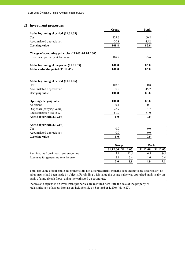#### **21. Investment properties**

|                                                    | Group                | <b>Bank</b>          |
|----------------------------------------------------|----------------------|----------------------|
| At the beginning of period $(01.01.05)$            |                      |                      |
| Cost                                               | 129.6                | 100.8                |
| Accumulated depreciation                           | $-20.8$              | $-15.2$              |
| Carrying value                                     | 108.8                | 85.6                 |
| Change of accounting principles (IAS40) 01.01.2005 |                      |                      |
| Investment property at fair value                  | 108.8                | 85.6                 |
| At the beginning of the period $(01.01.05)$        | 108.8                | 85.6                 |
| At the end of the period $(31.12.05)$              | 108.8                | 85.6                 |
| At the beginning of period $(01.01.06)$            |                      |                      |
| Cost                                               | 108.8                | 100.8                |
| Accumulated depreciation                           | 0.0                  | $-15.2$              |
| <b>Carrying value</b>                              | 108.8                | 85.6                 |
| Opening carrying value                             | 108.8                | 85.6                 |
| Additions                                          | 0.1                  | 0.1                  |
| Disposals (carrying value)                         | $-27.9$              | $-4.7$               |
| Reclassification (Note 22)                         | $-81.0$              | $-81.0$              |
| At end of period (31.12.06)                        | 0.0                  | 0.0                  |
| At end of period (31.12.06)                        |                      |                      |
| Cost                                               | 0.0                  | 0.0                  |
| Accumulated depreciation                           | 0.0                  | 0.0                  |
| <b>Carrying value</b>                              | 0.0                  | 0.0                  |
|                                                    | Group                | <b>Bank</b>          |
|                                                    | 31.12.06<br>31.12.05 | 31.12.06<br>31.12.05 |
| Rent income from investment properties             | 11.5<br>7.1          | 6.5<br>9.5           |
| Expenses for generating rent income                | 2.1<br>3.4           | 1.6<br>2.4           |
|                                                    | 5.0<br>8.1           | 4.9<br>7.1           |

Total fair value of real estate investments did not differ materially from the accounting value accordingly, no adjustments had been made by objects. For finding a fair value the usage value was appraised analytically on basis of annual cash flows, using the estimated discount rate.

Income and expenses on investment properties are recorded here until the sale of the property or reclassification of assets into assets held for sale on September 1, 2006 (Note 22).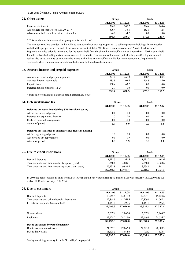| 22. Other assets                              | Group    |          | Bank     |          |  |
|-----------------------------------------------|----------|----------|----------|----------|--|
|                                               | 31.12.06 | 31.12.05 | 31.12.06 | 31.12.05 |  |
| Payments in transit                           | 396.9    | 240.7    | 396.4    | 240.6    |  |
| Assets held for sale (Notes 1.21, 20, 21) $*$ | 506.4    | 33.8     | 183.1    | 2.8      |  |
| Allowances for losses from other recievables  | $-69$    | $-4.2$   | 0.0      | 0.0      |  |
|                                               | 896.4    | 270.3    | 579.5    | 243.4    |  |

\* This number includes also other group assets held for sale

The management has decided, in line with its strategy of not owning properties, to sell the property holdings. In connection with that the properties at the end of the year in amount of 490,7 MEEK have been classifies as "Assets held for sale". Depreciation calculation is terminated for the assets held for sale since the reclassification on September 1, 2006. Assets held for sale reclassified in September were assessed to evaluate if the net realisable value (net of selling cost) is higher for each reclassified asset, than its current carrying value at the time of reclassification. No loss were recognised. Impairment is assessed, when there are any indications, but currently there have been none.

| 23. Accrued income and prepaid expenses | Group    |          | Bank     |          |  |
|-----------------------------------------|----------|----------|----------|----------|--|
|                                         | 31.12.06 | 31.12.05 | 31.12.06 | 31.12.05 |  |
| Accured revenue and prepaid expenses    | 371.4    | 461.9    | 118.9    | 83.5     |  |
| Accrued interest receivable             | 183.9    | 103.4    | 154.9    | 84.0     |  |
| Prepaid taxes                           | 138.4    | 63.2     | 0.0      | 0.0      |  |
| Deferred tax asset (Notes 12, 24)       | 2.7      | 0.0      | 0.0      | 0.0      |  |
|                                         | 696.4    | 628.5    | 273.8    | 167.5    |  |

\* maksude ettemaksed sisaldavad ainult käibemaksu nõuet

# **24. Deferred income tax Group Bank**

| 0.0 | 0.8    | 0.0 | 0.0 |
|-----|--------|-----|-----|
| 2.7 | 0.0    | 0.0 | 0.8 |
| 0.0 | $-0.8$ | 0.0 | 0.0 |
| 2.7 | 0.0    | 0.0 | 0.8 |
|     |        |     |     |
| 1.9 | 0.0    | 0.0 | 0.0 |
| 0.0 | 1.9    | 0.0 | 0.0 |
| 1.9 | 1.9    | 0.0 | 0.0 |
|     |        |     |     |

| 25. Due to credit institutions                      | Group    |          | Bank     |          |
|-----------------------------------------------------|----------|----------|----------|----------|
|                                                     | 31.12.06 | 31.12.05 | 31.12.06 | 31.12.05 |
| Demand deposits                                     | 1.792.3  | 161.6    | 1.792.2  | 161.6    |
| Time deposits and loans (maturity up to 1 year)     | 8.368.8  | 4.689.1  | 7.258.0  | 4,360.6  |
| Time deposits and loans (maturity more than 1 year) | 17.132.9 | 9.932.4  | 8.234.0  | 1.941.2  |
|                                                     | 27,294.0 | 14.783.1 | 17.284.2 | 6.463.4  |

In 2005 the bank took credit lines from KFW (Kreditanstalt für Wiederaufbau) 4.5 million EUR with maturity 15.09.2009 and 9,1 million EUR with maturity 15.09.2014.

#### **26. Due to customers Bank**

| 31.12.06 | 31.12.05 | 31.12.06 | 31.12.05 |
|----------|----------|----------|----------|
| 18.765.9 | 14,811.9 | 19.297.3 | 15,123.6 |
| 12,868.8 | 11,767.6 | 12,879.0 | 11,767.3 |
| 1,161.1  | 496.5    | 1,161.1  | 496.5    |
| 32,795.8 | 27,076.0 | 33.337.4 | 27,387.4 |
| 3,667.6  | 2,860.0  | 3,667.6  | 2,860.7  |
| 29,128.2 | 24,216.0 | 29,669.8 | 24,526.7 |
| 32,795.8 | 27,076.0 | 33.337.4 | 27,387.4 |
|          |          |          |          |
| 21,667.3 | 19,062.0 | 24,275.6 | 20,389.3 |
| 11,128.5 | 8,014.0  | 9,062    | 6,998    |
| 32,795.8 | 27,076.0 | 33,337.4 | 27,387.4 |
|          |          |          |          |

See by remaining maturity in table "Liquidity" on page 14.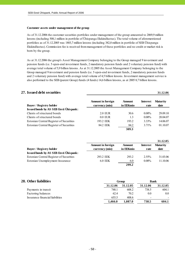#### **Customer assets under management of the group**

As of 31.12.2006 the customer securities portfolios under management of the group amounted to 2069,9 million kroons (including 508,1 million in portfolio of Ühispanga Elukindlustus). The total volume of aforementioned portfolios as of 31.12.2005 was 1803,7 million kroons (including 382,0 million in portfolio of SEB Ühispanga Elukindlustus). Commission fee is received from management of these portfolios and no credit or market risk is born by the group.

As at 31.12.2006 the group's Asset Management Company belonging to the Group managed 9 investment and pension funds (i.e. 5 open-end investment funds, 2 mandatory pension funds and 2 voluntary pension fund) with average total volume of 5,9 billion kroons. As at 31.12.2005 the Asset Management Company belonging to the Group managed 9 investment and pension funds (i.e. 5 open-end investment funds, 2 mandatory pension funds and 2 voluntary pension fund) with average total volume of 4,5 billion kroons. Investment management service is also performed to the SEB (parent Group) funds (4 funds) 14,6 billion kroons, as at 2005 8,7 billion kroons.

#### **27. Issued debt securities 31.12.06**

**Buyer / Registry holder Amount in foreign currency (mio) Amount in EEKmio Interest rate Maturity date Issued bonds by AS SEB Eesti Ühispank:** Clients of structured bonds 2.0 EUR 30.6 0.00% 29.09.10 Clients of structured bonds 0.0 EUR 1.3 0.00% 20.04.07 Estonian Central Register of Securities 193.2 EEK 193.2  $\frac{193.2 \text{ EEK}}{193.2 \text{ EEK}}$  193.2 3.33% 14.06.07 Estonian Central Register of Securities 84.2 EEK 84.2 3.71% 01.10.07 **309.3**

|                                               |                          |           |                 | 31.12.05        |
|-----------------------------------------------|--------------------------|-----------|-----------------|-----------------|
|                                               | <b>Amount in foreign</b> | Amount    | <b>Interest</b> | <b>Maturity</b> |
| <b>Buyer / Registry holder</b>                | currency (mio)           | in EEKmio | rate            | date            |
| <b>Issued bonds by AS SEB Eesti Ühispank:</b> |                          |           |                 |                 |
| Estonian Central Register of Securities       | 293.2 EEK                | 293.2     | $2.55\%$        | 31.03.06        |
| Estonian Unemployment Insurance               | $6.0$ EEK                | 6.0       | $0.00\%$        | 11.10.06        |
|                                               |                          | 299.2     |                 |                 |

| 28. Other liabilities           |          | Group    |          | <b>Bank</b> |  |
|---------------------------------|----------|----------|----------|-------------|--|
|                                 | 31.12.06 | 31.12.05 | 31.12.06 | 31.12.05    |  |
| Payments in transit             | 748.1    | 608.2    | 738.5    | 604.1       |  |
| Factoring balances              | 62.4     | 70.2     | 0.0      | 0.0         |  |
| Insurance financial liabilities | 655.5    | 408.6    | -        |             |  |
|                                 | 1.466.0  | 1.087.0  | 738.5    | 604.1       |  |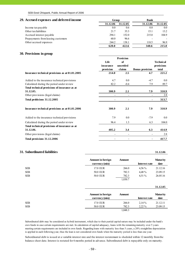#### **29. Accrued expenses and deferred income Group Bank 31.12.06 31.12.05 31.12.06 31.12.05** Income tax payable  $0.0 \t 0.0 \t 0.0 \t 0.0$ Other tax liabilities 21.7 35.3 15.1 13.2 Accrued interest payable 294.1 152.0 215.0 104.9

Prepayments from leasing customers 60.0  $96.6$ 

| 30. Provisions in group                                                                  |                                |                                               |                        |                                         |
|------------------------------------------------------------------------------------------|--------------------------------|-----------------------------------------------|------------------------|-----------------------------------------|
|                                                                                          | Life<br>insurance<br>provision | <b>Provision</b><br>of<br>unsettled<br>claims | <b>Bonus</b> provision | <b>Technical</b><br>provisions<br>total |
| Insurance technical provisions as at 01.01.2005                                          | 214.0                          | 2.5                                           | 4.7                    | 221.2                                   |
| Added to the insurance technical provisions<br>Calculated during the period under review | 4.7<br>82.2                    | 0.0<br>$-0.4$                                 | $-4.7$<br>7.9          | 0.0<br>89.7                             |
| Total technical provisions of insurance as at<br>31.12.05.                               | 300.9                          | 2.1                                           | 7.9                    | 310.9                                   |
| Other provisions (legal claims)                                                          | $\overline{\phantom{0}}$       |                                               |                        | 2.8                                     |
| Total probisions 31.12.2005                                                              | $\overline{\phantom{0}}$       | $\overline{a}$                                |                        | 313.7                                   |
| Insurance technical provisions as at 01.01.2006                                          | 300.9                          | 2.1                                           | 7.9                    | 310.9                                   |
| Added to the insurance technical provisions                                              | 7.9                            | 0.0                                           | $-7.9$                 | $0.0\,$                                 |
| Calculated during the period under review                                                | 96.4                           | 1.3                                           | 6.3                    | 104.0                                   |
| Total technical provisions of insurance as at<br>31.12.06.                               | 405.2                          | 3.4                                           | 6.3                    | 414.9                                   |
| Other provisions (legal claims)                                                          |                                | -                                             |                        | 2.8                                     |
| Total provisions 31.12.2006                                                              |                                |                                               |                        | 417.7                                   |

Other accrued expenses 244.2 138.1 118.5 96.9

**620.0 422.6 348.6 215.0**

#### **31. Subordinated liabilities 31.12.06**

|            | <b>Amount in foreign</b><br>currency (mio) | <b>Amount</b> | <b>Interest rate</b> | <b>Maturity</b><br>date |
|------------|--------------------------------------------|---------------|----------------------|-------------------------|
| <b>SEB</b> | 17.0 EUR                                   | 266.0         | $4.56\%$             | 21.12.16                |
| <b>SEB</b> | <b>50.0 EUR</b>                            | 782.3         | 4,48%                | 23.09.15                |
| <b>SEB</b> | <b>50.0 EUR</b>                            | 782.3         | $4.51\%$             | 26.05.16                |
|            |                                            | 1,830.7       |                      |                         |
|            |                                            |               |                      | 31.12.05                |
|            | <b>Amount in foreign</b><br>currency (mio) | <b>Amount</b> | <b>Interest rate</b> | <b>Maturity</b><br>date |
| <b>SEB</b> | 17.0 EUR                                   | 266.0         | $2,14\%$             | 21.12.11                |
| <b>SEB</b> | <b>50.0 EUR</b>                            | 782.3         | $2.22\%$             | 23.09.15                |

#### 1,048.3

Subordinated debt may be considered as hybrid instrument, which due to their partial capital nature may be included under the bank's own funds in case certain requirements are met. In calculation of capital adequacy, loans with the remaining maturity over 5 years meeting certain requirements are included in own funds. Regarding loans with maturity less than 5 years, a 20% straightline depreciation is applied in each following year, thus the loan is not considered own funds when the maturity period is less than one year.

Subordinated debt is issued at a variable interest rate and the interest restatemant is sheduled within 12 monthly from the balance sheet date. Interest is restated for 6 months period in advance. Subordinated debt is repayable only on maturity.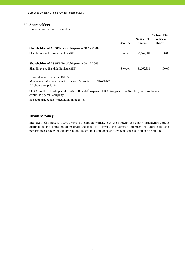#### **32. Shareholders**

Names, countries and ownership

|                                                                                             | Country | Number of<br>shares | % from total<br>number of<br>shares |
|---------------------------------------------------------------------------------------------|---------|---------------------|-------------------------------------|
| Shareholders of AS SEB Eesti Ühispank at 31.12.2006:<br>Skandinaviska Enskilda Banken (SEB) | Sweden  | 66,562,381          | 100.00                              |
| Shareholders of AS SEB Eesti Ühispank at 31.12.2005:<br>Skandinaviska Enskilda Banken (SEB) | Sweden  | 66,562,381          | 100.00                              |

Nominal value of shares: 10 EEK Maximum number of shares in articles of association: 240,000,000 All shares are paid for.

SEB AB is the ultimate parent of AS SEB Eesti Ühispank. SEB AB (registered in Sweden) does not have a controlling parent company.

See capital adequacy calculation on page 13.

#### **33. Dividend policy**

SEB Eesti Ühispank is 100%-owned by SEB. In working out the strategy for equity management, profit distribution and formation of reserves the bank is following the common approach of future risks and performance strategy of the SEB Group. The Group has not paid any dividend since aquisition by SEB AB.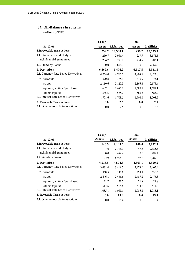# **34. Off-Balance sheet items**

(millions of EEK)

|                                      | Group         |                    | <b>Bank</b> |                    |
|--------------------------------------|---------------|--------------------|-------------|--------------------|
| 31.12.06                             | <b>Assets</b> | <b>Liabilities</b> | Assets      | <b>Liabilities</b> |
| 1. Irrevocable transactions          | 259.7         | 10,588.1           | 259.7       | 10,539.3           |
| 1.1. Guarantees and pledges          | 259.7         | 2,981.4            | 259.7       | 3,171.5            |
| incl. financial guarantees           | 234.7         | 783.1              | 234.7       | 783.1              |
| 1.2. Stand-by Loans                  | 0.0           | 7,606.7            | 0.0         | 7,367.8            |
| 2. Derivatives                       | 6,462.6       | 6,476.2            | 6,517.5     | 6,531.5            |
| 2.1. Currency Rate based Derivatives | 4,754.0       | 4,767.7            | 4,808.9     | 4,823.0            |
| incl forwards                        | 370.8         | 375.1              | 370.9       | 375.1              |
| swaps                                | 2,110.6       | 2,120.3            | 2,165.4     | 2,175.6            |
| options, written / purchased         | 1,687.1       | 1,687.1            | 1,687.1     | 1,687.1            |
| others (spots)                       | 585.5         | 585.2              | 585.5       | 585.2              |
| 2.2. Interest Rate based Derivatives | 1,708.6       | 1,708.5            | 1,708.6     | 1,708.5            |
| <b>3. Revocable Transactions</b>     | 0.0           | 2.5                | 0.0         | 2.5                |
| 3.1. Other revocable transactions    | 0.0           | 2.5                | 0.0         | 2.5                |

|                                      | Group         |                    | <b>Bank</b>   |                    |
|--------------------------------------|---------------|--------------------|---------------|--------------------|
| 31.12.05                             | <b>Assets</b> | <b>Liabilities</b> | <b>Assets</b> | <b>Liabilities</b> |
| 1. Irrevocable transactions          | 140.5         | 9,149.6            | 140.4         | 9,172.3            |
| 1.1. Guarantees and pledges          | 47.6          | 2,195.3            | 47.6          | 2,385.3            |
| incl. financial guarantees           | 0.0           | 489.4              | 0.0           | 489.4              |
| 1.2. Stand-by Loans                  | 92.9          | 6,954.3            | 92.8          | 6,787.0            |
| 2. Derivatives                       | 4,516.5       | 4,504.8            | 4,563.1       | 4,550.5            |
| 2.1. Currency Rate based Derivatives | 3,431.4       | 3,419.7            | 3,478.0       | 3,465.4            |
| incl forwards                        | 448.3         | 446.6              | 454.4         | 452.5              |
| swaps                                | 2,446.8       | 2,436.6            | 2,487.2       | 2,476.3            |
| options, written / purchased         | 21.7          | 21.7               | 21.8          | 21.8               |
| others (spots)                       | 514.6         | 514.8              | 514.6         | 514.8              |
| 2.2. Interest Rate based Derivatives | 1,085.1       | 1,085.1            | 1,085.1       | 1,085.1            |
| 3. Revocable Transactions            | 0.0           | 15.4               | 0.0           | 15.4               |
| 3.1. Other revocable transactions    | 0.0           | 15.4               | 0.0           | 15.4               |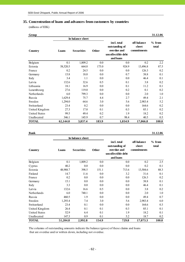# **35. Concentration of loans and advances from customers by countries**

(millions of EEK)

| Group                |                  |                   |              |                                                                                 |                                     | 31.12.06          |
|----------------------|------------------|-------------------|--------------|---------------------------------------------------------------------------------|-------------------------------------|-------------------|
|                      | In balance sheet |                   |              |                                                                                 |                                     |                   |
| Country              | Loans            | <b>Securities</b> | <b>Other</b> | incl. total<br>outstanding of<br>overdue and<br>uncollectible debt<br>and loans | off-balance<br>sheet<br>commitments | $%$ from<br>total |
| Belgium              | 0.1              | 1,809.2           | 0.0          | 0.0                                                                             | 0.2                                 | 2.2               |
| Estonia              | 58,520.5         | 664.0             | 175.0        | 924.9                                                                           | 13,496.8                            | 87.5              |
| France               | 0.2              | 24.5              | 0.0          | 0.0                                                                             | 126.3                               | 0.2               |
| Germany              | 15.8             | 18.0              | 0.0          | 0.7                                                                             | 38.8                                | 0.1               |
| Italy                | 3.4              | 1.1               | $0.0\,$      | 0.0                                                                             | 46.4                                | 0.1               |
| Latvia               | 132.6            | 32.6              | 0.5          | 0.1                                                                             | 3.8                                 | 0.2               |
| Lithuania            | 18.1             | 16.9              | 0.0          | 0.1                                                                             | 11.2                                | 0.1               |
| Luxembourg           | 27.6             | 119.0             | 0.0          | 0.2                                                                             | 0.1                                 | 0.2               |
| Netherlands          | 6.0              | 799.3             | 0.0          | 0.0                                                                             | 2.0                                 | 1.0               |
| Russia               | 1,629.4          | 75.7              | 4.4          | 2.7                                                                             | 49.4                                | 2.1               |
| Sweden               | 1,294.0          | 64.6              | 3.0          | 5.6                                                                             | 2,983.4                             | 5.2               |
| Switzerland          | 23.4             | 0.2               | 0.0          | 0.0                                                                             | 164.6                               | 0.2               |
| United Kingdom       | 27.3             | 17.0              | 0.1          | 0.3                                                                             | 85.1                                | 0.2               |
| <b>United States</b> | 99.5             | 49.4              | 0.2          | 1.9                                                                             | 18.2                                | 0.2               |
| Unallocated          | 346.1            | 145.9             | 0.7          | 98.4                                                                            | 40.5                                | 0.5               |
| <b>TOTAL</b>         | 62,144.0         | 3,837.4           | 183.9        | 1,034.9                                                                         | 17,066.8                            | 100.0             |

**Bank 31.12.06**

| In balance sheet     |          |                   |       |                                                                                 |                                     |                   |
|----------------------|----------|-------------------|-------|---------------------------------------------------------------------------------|-------------------------------------|-------------------|
| Country              | Loans    | <b>Securities</b> | Other | incl. total<br>outstanding of<br>overdue and<br>uncollectible debt<br>and loans | off-balance<br>sheet<br>commitments | $%$ from<br>total |
| Belgium              | 0.1      | 1,809.2           | 0.0   | $0.0\,$                                                                         | 0.2                                 | 2.5               |
| Cyprus               | 40.2     | 0.0               | 0.0   | 0.0                                                                             | 0.2                                 | 0.1               |
| Estonia              | 48,988.7 | 398.5             | 151.1 | 713.6                                                                           | 13,504.6                            | 88.3              |
| Finland              | 14.7     | 11.6              | 0.0   | 3.2                                                                             | 31.6                                | 0.1               |
| France               | 0.2      | 0.0               | 0.0   | 0.0                                                                             | 126.3                               | 0.2               |
| Germany              | 15.1     | $0.0\,$           | 0.0   | $0.0\,$                                                                         | 38.8                                | 0.1               |
| Italy                | 3.3      | 0.0               | 0.0   | 0.0                                                                             | 46.4                                | 0.1               |
| Latvia               | 132.6    | 16.6              | 0.5   | 0.0                                                                             | 3.8                                 | 0.2               |
| Netherlands          | 6.0      | 740.1             | 0.0   | 0.0                                                                             | 2.0                                 | 1.0               |
| Russia               | 460.5    | 1.9               | 0.0   | 0.0                                                                             | 49.4                                | 0.7               |
| Sweden               | 1,293.4  | 7.4               | 3.0   | 5.6                                                                             | 2,983.4                             | 6.0               |
| Switzerland          | 23.4     | 0.1               | 0.0   | $0.0\,$                                                                         | 164.6                               | 0.3               |
| United Kingdom       | 26.4     | 0.1               | 0.1   | 0.3                                                                             | 85.1                                | 0.1               |
| <b>United States</b> | 52.9     | 6.4               | 0.1   | 1.9                                                                             | 18.2                                | 0.1               |
| Unallocated          | 147.3    | 0.9               | 0.1   | 5.2                                                                             | 18.7                                | 0.2               |
| <b>TOTAL</b>         | 51,204.8 | 2,992.8           | 154.9 | 729.8                                                                           | 17,073.3                            | 100.0             |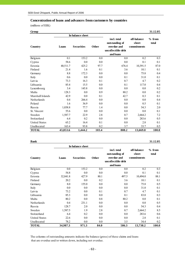#### **Concentration of loans and advances from customers by countries**

(millions of EEK)

| Group                |          |                   |       |                                                                                 |                                     | 31.12.05          |
|----------------------|----------|-------------------|-------|---------------------------------------------------------------------------------|-------------------------------------|-------------------|
|                      |          | In balance sheet  |       |                                                                                 |                                     |                   |
| Country              | Loans    | <b>Securities</b> | Other | incl. total<br>outstanding of<br>overdue and<br>uncollectible debt<br>and loans | off-balance<br>sheet<br>commitments | $%$ from<br>total |
| Belgium              | 0.1      | 153.2             | 0.0   | 0.0                                                                             | 0.2                                 | 0.3               |
| Cyprus               | 58.6     | 0.0               | 0.0   | 0.0                                                                             | 0.1                                 | 0.1               |
| Estonia              | 40,511.7 | 425.2             | 97.7  | 676.4                                                                           | 10,391.5                            | 87.0              |
| Finland              | 21.4     | 1.6               | 0.1   | 3.6                                                                             | 10.1                                | 0.1               |
| Germany              | 8.8      | 172.3             | 0.0   | 0.0                                                                             | 75.8                                | 0.4               |
| Italy                | 0.6      | 0.0               | 0.0   | 0.1                                                                             | 31.0                                | 0.1               |
| Latvia               | 73.3     | 16.3              | 0.1   | 0.7                                                                             | 4.7                                 | 0.2               |
| Lithuania            | 85.4     | 15.5              | 0.0   | 0.1                                                                             | 117.0                               | 0.4               |
| Luxembourg           | 3.4      | 145.8             | 0.0   | 0.0                                                                             | 0.0                                 | 0.2               |
| Malta                | 128.3    | 0.0               | 0.9   | 80.2                                                                            | 0.0                                 | 0.2               |
| Marshall Islands     | 42.9     | 0.0               | 0.1   | 42.7                                                                            | 0.3                                 | 0.1               |
| Netherlands          | 0.4      | 266.4             | 0.0   | 0.0                                                                             | 0.0                                 | 0.4               |
| Poland               | 1.6      | 36.9              | 0.0   | 0.0                                                                             | 0.5                                 | 0.1               |
| Russia               | 1,038.8  | 77.7              | 1.4   | 0.0                                                                             | 54.3                                | 2.0               |
| St. Vincent          | 55.6     | 0.0               | 0.0   | 0.0                                                                             | 0.0                                 | 0.1               |
| Sweden               | 1,587.7  | 22.9              | 2.8   | 0.7                                                                             | 2,664.2                             | 7.2               |
| Switzerland          | 6.4      | 0.2               | 0.0   | 0.0                                                                             | 283.6                               | 0.5               |
| <b>United States</b> | 65.2     | 16.4              | 0.1   | 0.0                                                                             | 2.8                                 | 0.1               |
| Unallocated          | 163.4    | 93.8              | 0.2   | 3.7                                                                             | 33.7                                | 0.5               |
| <b>TOTAL</b>         | 43,853.6 | 1,444.2           | 103.4 | 808.2                                                                           | 13,669.8                            | 100.0             |

**Bank 31.12.05**

|                      |          | In balance sheet  |              |                                                                                 |                                     |                   |
|----------------------|----------|-------------------|--------------|---------------------------------------------------------------------------------|-------------------------------------|-------------------|
| Country              | Loans    | <b>Securities</b> | <b>Other</b> | incl. total<br>outstanding of<br>overdue and<br>uncollectible debt<br>and loans | off-balance<br>sheet<br>commitments | $%$ from<br>total |
| <b>Belgium</b>       | 0.0      | 153.2             | 0.0          | $0.0\,$                                                                         | 0.2                                 | 0.3               |
| Cyprus               | 54.8     | 0.0               | 0.0          | $0.0\,$                                                                         | 0.1                                 | 0.1               |
| Estonia              | 32,841.8 | 427.9             | 80.1         | 497.5                                                                           | 10,494.0                            | 88.1              |
| Finland              | 20.2     | 0.0               | 0.2          | 3.6                                                                             | 10.1                                | 0.1               |
| Germany              | 8.0      | 155.0             | 0.0          | 0.0                                                                             | 75.8                                | 0.5               |
| Italy                | 0.0      | 0.0               | 0.0          | $0.0\,$                                                                         | 31.0                                | 0.1               |
| Latvia               | 73.2     | 0.0               | 0.1          | 0.7                                                                             | 4.7                                 | 0.1               |
| Lithuania            | 85.3     | 0.0               | 0.0          | 0.1                                                                             | 83.0                                | 0.3               |
| Malta                | 80.2     | 0.0               | 0.8          | 80.2                                                                            | 0.0                                 | 0.1               |
| Netherlands          | 0.4      | 231.1             | 0.0          | 0.0                                                                             | 0.0                                 | 0.5               |
| Russia               | 128.7    | 2.0               | 0.0          | $0.0\,$                                                                         | 54.3                                | 0.4               |
| Sweden               | 1,587.5  | 1.9               | 2.8          | 0.7                                                                             | 2,664.2                             | 8.5               |
| Switzerland          | 6.4      | 0.2               | 0.0          | 0.0                                                                             | 283.6                               | 0.6               |
| <b>United States</b> | 22.6     | 0.0               | 0.0          | $0.0\,$                                                                         | 2.8                                 | 0.1               |
| Unallocated          | 78.2     | 0.0               | 0.0          | 3.5                                                                             | 34.4                                | 0.2               |
| <b>TOTAL</b>         | 34,987.3 | 971.3             | 84.0         | 586.3                                                                           | 13,738.2                            | 100.0             |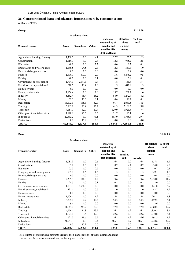#### **36. Concentration of loans and advances from customers by economic sector**

(millions of EEK)

| Group                          |          |                   |       |                                                                                 |                                          | 31.12.06          |
|--------------------------------|----------|-------------------|-------|---------------------------------------------------------------------------------|------------------------------------------|-------------------|
|                                |          | In balance sheet  |       |                                                                                 |                                          |                   |
| <b>Economic sector</b>         | Loans    | <b>Securities</b> | Other | incl. total<br>outstanding of<br>overdue and<br>uncollectible<br>debt and loans | off-balance<br>sheet<br>commit-<br>ments | $%$ from<br>total |
| Agriculture, hunting, forestry | 1,768.5  | 0.0               | 4.1   | 37.7                                                                            | 163.5                                    | 2.3               |
| Construction                   | 1,119.3  | 9.9               | 2.6   | 12.2                                                                            | 965.2                                    | 2.5               |
| Education                      | 40.1     | 0.0               | 2.7   | 0.0                                                                             | 0.7                                      | 0.1               |
| Energy, gas and water plants   | 1,188.5  | 24.5              | 2.3   | 2.2                                                                             | 349.3                                    | 1.9               |
| Exterritorial organisations    | 0.0      | 0.0               | 0.0   | 0.0                                                                             | 0.4                                      | 0.0               |
| Finance                        | 1,639.7  | 803.9             | 2.9   | 3.6                                                                             | 5,478.2                                  | 9.5               |
| Fishing                        | 40.2     | 0.0               | 0.1   | 6.0                                                                             | 3.8                                      | 0.1               |
| Government, soc.insurance      | 1,734.9  | 2,647.6           | 0.4   | 1.8                                                                             | 141.8                                    | 5.4               |
| Health services, social work   | 628.7    | 11.4              | 1.0   | 1.9                                                                             | 442.8                                    | 1.3               |
| Home services                  | 0.0      | 0.0               | 0.0   | 0.0                                                                             | 0.0                                      | 0.0               |
| Hotels, restaurants            | 1,156.4  | 0.0               | 2.0   | 15.7                                                                            | 201.2                                    | 1.6               |
| Industry                       | 5,482.4  | 66.4              | 18.2  | 84.9                                                                            | 1,272.4                                  | 8.2               |
| Mining                         | 39.3     | 13.6              | 0.1   | 0.4                                                                             | 10.2                                     | 0.1               |
| Real estate                    | 13,173.1 | 138.6             | 32.7  | 91.7                                                                            | 2,063.5                                  | 18.5              |
| Trading                        | 5,983.2  | 23.4              | 17.7  | 41.3                                                                            | 2,108.3                                  | 9.8               |
| Transport                      | 4,157.7  | 32.7              | 17.4  | 129.9                                                                           | 1,921.8                                  | 7.4               |
| Other gov. & social services   | 1,128.8  | 47.5              | 6.6   | 21.7                                                                            | 195.1                                    | 1.6               |
| Individuals                    | 22,863.2 | 0.0               | 73.1  | 583.9                                                                           | 1,748.6                                  | 29.7              |
| Derivatives                    | 0.0      | 17.9              | 0.0   | 0.0                                                                             | 0.0                                      | $0.0\,$           |
| <b>TOTAL</b>                   | 62,144.0 | 3,837.4           | 183.9 | 1,034.9                                                                         | 17,066.8                                 | 100.0             |

|                                |          | In balance sheet  |              |                                                                                 |                             |         |                                          |                   |
|--------------------------------|----------|-------------------|--------------|---------------------------------------------------------------------------------|-----------------------------|---------|------------------------------------------|-------------------|
| <b>Economic sector</b>         | Loans    | <b>Securities</b> | <b>Other</b> | incl. total<br>outstanding of<br>overdue and<br>uncollectible<br>debt and loans | incl.<br>uncollec-<br>tible | overdue | off-balance<br>sheet<br>commit-<br>ments | $%$ from<br>total |
| Agriculture, hunting, forestry | 1,081.9  | 0.0               | 2.6          | 16.4                                                                            | 0.0                         | 16.4    | 137.8                                    | 1.7               |
| Construction                   | 635.1    | 0.5               | 1.5          | 8.2                                                                             | 2.4                         | 8.2     | 954.0                                    | 2.2               |
| Education                      | 25.0     | 0.0               | 2.7          | 0.0                                                                             | 0.0                         | 0.0     | 0.7                                      | 0.1               |
| Energy, gas and water plants   | 735.8    | 0.6               | 1.6          | 1.5                                                                             | 0.0                         | 1.5     | 349.1                                    | 1.5               |
| Exterritorial organisations    | 0.0      | 0.0               | 0.0          | 0.0                                                                             | 0.0                         | 0.0     | 0.4                                      | 0.0               |
| Finance                        | 2,389.9  | 140.0             | 4.2          | 3.6                                                                             | 3.6                         | 3.6     | 5,938.8                                  | 11.9              |
| Fishing                        | 24.5     | 0.0               | 0.1          | 0.8                                                                             | 0.0                         | 0.8     | 2.0                                      | 0.0               |
| Government, soc.insurance      | 1,531.3  | 2,550.0           | 0.0          | 0.0                                                                             | 0.0                         | 0.0     | 141.8                                    | 5.9               |
| Health services, social work   | 391.4    | 0.0               | 0.7          | 1.0                                                                             | 0.0                         | 1.0     | 442.7                                    | 1.2               |
| Home services                  | 0.0      | 0.0               | 0.0          | 0.0                                                                             | 0.0                         | 0.0     | 0.0                                      | 0.0               |
| Hotels, restaurants            | 1,106.4  | 0.0               | 1.9          | 15.4                                                                            | 0.0                         | 15.4    | 201.1                                    | 1.8               |
| Industry                       | 3,205.0  | 4.7               | 10.3         | 54.3                                                                            | 0.2                         | 54.3    | 1,159.5                                  | 6.1               |
| Mining                         | 9.1      | 0.0               | 0.0          | 0.0                                                                             | 0.0                         | 0.0     | 3.6                                      | 0.0               |
| Real estate                    | 11,847.7 | 247.2             | 29.0         | 77.2                                                                            | 0.0                         | 77.2    | 2,060.5                                  | 19.9              |
| Trading                        | 4,156.4  | 11.8              | 13.5         | 26.2                                                                            | 6.9                         | 26.2    | 1,830.5                                  | 8.4               |
| Transport                      | 1,893.0  | 1.6               | 12.0         | 22.6                                                                            | 0.0                         | 22.6    | 1,910.8                                  | 5.4               |
| Other gov. $&$ social services | 621.0    | 18.6              | 5.5          | 16.2                                                                            | 1.9                         | 14.6    | 191.5                                    | 1.2               |
| Individuals                    | 21,551.3 | 0.0               | 69.4         | 486.1                                                                           | 0.7                         | 486.1   | 1,748.6                                  | 32.7              |
| Derivatives                    | 0.0      | 17.9              | 0.0          | 0.0                                                                             | 0.0                         | 0.0     | 0.0                                      | 0.0               |
| <b>TOTAL</b>                   | 51,204.8 | 2,992.8           | 154.9        | 729.8                                                                           | 15.7                        | 728.1   | 17,073.3                                 | 100.0             |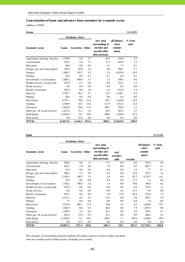#### **Concentration of loans and advances from customers by economic sector**

(millions of EEK)

| Group                          |          |                         |       |                                                                                 |                                          | 31.12.05          |
|--------------------------------|----------|-------------------------|-------|---------------------------------------------------------------------------------|------------------------------------------|-------------------|
|                                |          | In balance sheet        |       |                                                                                 |                                          |                   |
| <b>Economic sector</b>         | Loans    | <b>Securities Other</b> |       | incl. total<br>outstanding of<br>overdue and<br>uncollectible<br>debt and loans | off-balance<br>sheet<br>commit-<br>ments | $%$ from<br>total |
| Agriculture, hunting, forestry | 1,519.8  | 0.0                     | 2.7   | 28.3                                                                            | 194.8                                    | 2.9               |
| Construction                   | 539.3    | 1.0                     | 1.1   | 17.3                                                                            | 825.9                                    | 2.3               |
| Education                      | 30.0     | 0.0                     | 0.9   | 6.2                                                                             | 7.7                                      | 0.1               |
| Energy, gas and water plants   | 782.0    | 29.8                    | 1.0   | 0.6                                                                             | 398.2                                    | 2.1               |
| Finance                        | 1,488.5  | 538.7                   | 2.4   | 2.6                                                                             | 4,193.0                                  | 10.5              |
| Fishing                        | 45.8     | 0.0                     | 0.1   | 0.7                                                                             | 6.4                                      | 0.1               |
| Government, soc.insurance      | 1,868.2  | 644.4                   | 3.1   | 2.2                                                                             | 196.6                                    | 4.6               |
| Health services, social work   | 473.9    | 6.7                     | 0.8   | 0.8                                                                             | 276.1                                    | 1.3               |
| Home services                  | 0.0      | 0.0                     | 0.0   | 0.0                                                                             | 0.5                                      | 0.0               |
| Hotels, restaurants            | 582.9    | 0.0                     | 1.0   | 6.5                                                                             | 212.4                                    | 1.4               |
| Industry                       | 3,738.7  | 56.3                    | 8.7   | 52.2                                                                            | 1,146.1                                  | 8.4               |
| Mining                         | 20.4     | 0.0                     | 0.0   | 0.0                                                                             | 4.6                                      | 0.0               |
| Real estate                    | 8,791.1  | 79.0                    | 16.2  | 89.7                                                                            | 2,244.0                                  | 18.8              |
| Trading                        | 5,784.9  | 10.5                    | 13.8  | 117.9                                                                           | 1.761.4                                  | 12.8              |
| Transport                      | 3,483.9  | 24.6                    | 11.6  | 148.1                                                                           | 754.8                                    | 7.2               |
| Other gov. $&$ social services | 1,012.2  | 31.2                    | 1.6   | 34.3                                                                            | 203.3                                    | 2.1               |
| Individuals                    | 13,692.0 | 0.1                     | 38.4  | 300.8                                                                           | 1,244.0                                  | 25.4              |
| Derivatives                    | 0.0      | 21.9                    | 0.0   | 0.0                                                                             | 0.0                                      | 0.0               |
| <b>TOTAL</b>                   | 43,853.6 | 1,444.2                 | 103.4 | 808.2                                                                           | 13,669.8                                 | 100.0             |

**Bank 31.12.05**

|                                | In balance sheet |                         |      |                                                                                 |                             |         |                                          |                   |
|--------------------------------|------------------|-------------------------|------|---------------------------------------------------------------------------------|-----------------------------|---------|------------------------------------------|-------------------|
| <b>Economic sector</b>         | Loans            | <b>Securities Other</b> |      | incl. total<br>outstanding of<br>overdue and<br>uncollectible<br>debt and loans | incl.<br>uncollec-<br>tible | overdue | off-balance<br>sheet<br>commit-<br>ments | $%$ from<br>total |
| Agriculture, hunting, forestry | 820.6            | 0.0                     | 1.5  | 17.5                                                                            | 0.0                         | 0.0     | 158.5                                    | 2.0               |
| Construction                   | 242.2            | 1.0                     | 0.6  | 7.9                                                                             | 0.0                         | 0.3     | 802.7                                    | 2.1               |
| Education                      | 19.4             | 0.0                     | 0.8  | 6.0                                                                             | 0.0                         | 1.9     | 7.7                                      | 0.1               |
| Energy, gas and water plants   | 304.2            | 2.5                     | 0.6  | 0.3                                                                             | 6.0                         | 21.0    | 397.5                                    | 1.4               |
| Finance                        | 2,189.3          | 108.7                   | 3.5  | 2.6                                                                             | 0.0                         | 82.2    | 4,726.7                                  | 14.1              |
| Fishing                        | 19.9             | 0.0                     | 0.0  | 0.4                                                                             | 0.0                         | 17.5    | 1.2                                      | 0.0               |
| Government, soc.insurance      | 1,536.2          | 549.5                   | 2.5  | 1.9                                                                             | 0.0                         | 70.0    | 196.6                                    | 4.6               |
| Health services, social work   | 367.9            | 0.0                     | 0.6  | 0.0                                                                             | 0.0                         | 6.0     | 275.9                                    | 1.3               |
| Home services                  | 0.0              | 0.0                     | 0.0  | 0.0                                                                             | 4.2                         | 21.5    | 0.5                                      | 0.0               |
| Hotels, restaurants            | 545.5            | 0.0                     | 0.9  | 5.8                                                                             | 15.0                        | 46.4    | 212.4                                    | 1.5               |
| Industry                       | 2,513.1          | 2.6                     | 5.6  | 23.0                                                                            | 0.0                         | 0.0     | 959.1                                    | 7.0               |
| Mining                         | 7.0              | 0.0                     | 0.0  | 0.0                                                                             | 0.0                         | 0.4     | 1.8                                      | 0.0               |
| Real estate                    | 7,276.6          | 266.1                   | 11.9 | 70.0                                                                            | 2.6                         | 2.6     | 2,244.0                                  | 19.7              |
| Trading                        | 3,304.9          | 0.0                     | 8.3  | 46.4                                                                            | 0.0                         | 7.9     | 1,559.7                                  | 9.8               |
| Transport                      | 1,594.9          | 2.2                     | 8.0  | 82.2                                                                            | 0.0                         | 5.8     | 749.5                                    | 4.7               |
| Other gov. $&$ social services | 656.5            | 15.8                    | 0.9  | 23.3                                                                            | 0.0                         | 0.0     | 200.5                                    | 1.8               |
| Individuals                    | 13,589.0         | 0.1                     | 38.2 | 298.9                                                                           | 1.7                         | 298.9   | 1,244.0                                  | 29.9              |
| Derivatives                    | 0.0              | 22.7                    | 0.0  | 0.0                                                                             | 0.0                         | 0.0     | 0.0                                      | 0.0               |
| <b>TOTAL</b>                   | 34,987.3         | 971.3                   | 84.0 | 586.3                                                                           | 29.5                        | 582.5   | 13,738.2                                 | 100.0             |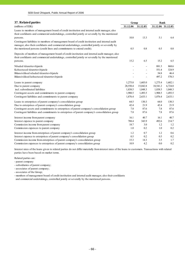| 37. Related parties                                                                                                                                                                                                                                                        | Group    |          | <b>Bank</b>   |                   |  |
|----------------------------------------------------------------------------------------------------------------------------------------------------------------------------------------------------------------------------------------------------------------------------|----------|----------|---------------|-------------------|--|
| (millions of EEK)                                                                                                                                                                                                                                                          | 31.12.06 | 31.12.05 |               | 31.12.06 31.12.05 |  |
| Loans to members of management board of credit institution and internal audit manager, also<br>their confidants and commercial undertakings, controlled jointly or severally by the mentioned<br>persons.                                                                  | 10.8     | 13.3     | 5.1           | 6.4               |  |
| Contingent liabilities to members of management board of credit institution and internal audit<br>manager, also their confidants and commercial undertakings, controlled jointly or severally by<br>the mentioned persons (credit lines and commitments to extend credit). | 0.5      | 0.8      | 0.5           | 0.8               |  |
| Deposits of members of management board of credit institution and internal audit manager, also<br>their confidants and commercial undertakings, controlled jointly or severally by the mentioned<br>persons.                                                               | 15.2     | 6.5      | 15.2          | 6.5               |  |
|                                                                                                                                                                                                                                                                            |          |          |               |                   |  |
| Nõuded tütarettevõtjatele                                                                                                                                                                                                                                                  |          |          | 881.3         | 868.6             |  |
| Kohustused tütarettevõtjatele                                                                                                                                                                                                                                              |          |          | 551.4<br>54.8 | 324.9<br>46.4     |  |
| Bilansivälised nõuded tütarettevõtjatele<br>Bilansivälised kohustused tütarettevõtjatele                                                                                                                                                                                   |          |          | 497.2         | 570.3             |  |
| Loans to parent company                                                                                                                                                                                                                                                    | 1,275.8  | 1,603.0  | 1,275.4       | 1,602.1           |  |
| Due to parent company                                                                                                                                                                                                                                                      | 28,550.4 | 15,042.8 | 18,541.2      | 6,724.0           |  |
| incl. subordinated liabilities                                                                                                                                                                                                                                             | 1,838.5  | 1,048.3  | 1,838.5       | 1,048.3           |  |
| Contingent assets and commitments to parent company                                                                                                                                                                                                                        | 1,908.5  | 1,493.5  | 1,908.5       | 1,493.5           |  |
| Contingent liabilities and commitments to parent company                                                                                                                                                                                                                   | 1,876.4  | 2,633.1  | 1,876.4       | 2,633.1           |  |
| Loans to enterprises of parent company's consolidation group                                                                                                                                                                                                               | 64.5     | 130.3    | 64.0          | 130.3             |  |
| Due to enterprises of parent company's consolidation group                                                                                                                                                                                                                 | 42.4     | 21.9     | 42.4          | 21.9              |  |
| Contingent assets and commitments to enterprises of parent company's consolidation group                                                                                                                                                                                   | 7.8      | 87.6     | 7.8           | 87.6              |  |
| Contingent liabilities and commitments to enterprises of parent company's consolidation group                                                                                                                                                                              | 7.8      | 87.6     | 7.8           | 87.6              |  |
| Interest income from parent company                                                                                                                                                                                                                                        | 16.1     | 40.7     | 16.1          | 40.7              |  |
| Interest expence to parent company                                                                                                                                                                                                                                         | 788.4    | 343.9    | 492.6         | 214.7             |  |
| Commission income from parent company                                                                                                                                                                                                                                      | 18.7     | 3.0      | 1.2           | 1.2               |  |
| Commission expences to parent company                                                                                                                                                                                                                                      | 1.0      | 0.2      | 1.0           | 0.2               |  |
| Interest income from enterprises of parent company's consolidation group                                                                                                                                                                                                   | 1.2      | 0.7      | 1.2           | 0.6               |  |
| Interest expence to enterprises of parent company's consolidation group                                                                                                                                                                                                    | 0.5      | 0.2      | 0.5           | 0.2               |  |
| Commission income from enterprises of parent company's consolidation group                                                                                                                                                                                                 | 15.3     | 14.3     | 3.5           | 1.7               |  |
| Commission expences to enterprises of parent company's consolidation group                                                                                                                                                                                                 | 10.9     | 4.2      | 0.0           | 0.2               |  |

Interest rates of the loans given to related parties do not differ materially from interest rates of the loans to customers. Transactions with related parties have been based on market terms.

- Related parties are:
- parent company
- subsidiaries of parent company;
- associates of parent company;
- associates of the Group;

- members of management board of credit institution and internal audit manager, also their confidants and commercial undertakings, controlled jointly or severally by the mentioned persons.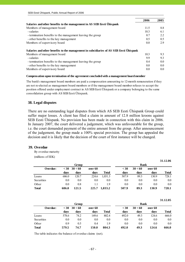|                                                                                        | 2006 | 2005          |
|----------------------------------------------------------------------------------------|------|---------------|
| Salaries and other benefits to the management in AS SEB Eesti Unispank                 |      |               |
| Members of management board                                                            | 11.5 | 8.8           |
| - salaries                                                                             | 10.3 | 6.1           |
| - termination benefits to the management leaving the group                             | 0.7  | 2.2           |
| - other benefits to the key management                                                 | 0.5  | $0.5^{\circ}$ |
| Members of supervisory board                                                           | 0.0  | 2.9           |
| Salaries and other benefits to the management in subsidiaries of AS SEB Eesti Ühispank |      |               |
| Members of management board                                                            | 10.3 | 9.3           |
| - salaries                                                                             | 9.9  | 9.3           |
| - termination benefits to the management leaving the group                             | 0.4  | 0.0           |
| - other benefits to the key management                                                 | 0.0  | $0.0\,$       |
| Members of supervisory board                                                           | 0.0  | 0.0           |

#### **Compensation upon termination of the agreement concluded with a management board member**

The bank's management board members are paid a compensation amounting to 12-month remuneration if they are not re-elected as management board members or if the management board member refuses to accept the position offered under employment contract in AS SEB Eesti Ühispank or a company belonging to the same consolidation group with AS SEB Eesti Ühispank.

#### **38. Legal disputes**

There are no outstanding legal disputes from which AS SEB Eesti Ühispank Group could suffer major losses. A client has filed a claim in amount of 12.8 million kroons against SEB Eesti Ühispank. No provision has been made in connection with this claim in 2006. In January 2007, the court delivered a judgement, which was unfavourable for the group, i.e. the court demanded payment of the entire amount from the group. After announcement of the judgement, the group made a 100% special provision. The group has appealed the decision and it is likely that the decision of the court of first instance will be changed.

#### **39. Overdue**

By overdue maturity

(millions of EEK)

|              | <b>Bank</b>  |                 |                 |              |                |                 |                 |              |
|--------------|--------------|-----------------|-----------------|--------------|----------------|-----------------|-----------------|--------------|
| Overdue:     | $30$<br>davs | 30 < 60<br>days | over 60<br>days | <b>Total</b> | $<$ 30<br>days | 30 < 60<br>days | over 60<br>days | <b>Total</b> |
| Loans        | 686.0        | 120.7           | 224.6           | 1,031.3      | 507.9          | 89.3            | 130.9           | 728.1        |
| Securities   | 0.0          | 0.0             | 0.0             | 0.0          | 0.0            | 0.0             | 0.0             | $0.0\,$      |
| Other        | 0.0          | 0.8             |                 | 19           | 0.0            | 0.0             | 0.0             | 0.0          |
| <b>Total</b> | 686.0        | 121.5           | 225.7           | 1.033.2      | 507.9          | 89.3            | 130.9           | 728.1        |

**31.12.06**

**31.12.05**

|              | Bank         |                 |                 |              |                |                 |                 |              |
|--------------|--------------|-----------------|-----------------|--------------|----------------|-----------------|-----------------|--------------|
| Overdue:     | $30$<br>davs | 30 < 60<br>days | over 60<br>days | <b>Total</b> | $<$ 30<br>davs | 30 < 60<br>davs | over 60<br>days | <b>Total</b> |
| Loans        | 578.6        | 74.2            | 149.6           | 802.4        | 492.0          | 49.3            | 124.6           | 666.0        |
| Securities   | 0.0          | 0.0             | 0.0             | 0.0          | 0.0            | 0.0             | 0.0             | 0.0          |
| Other        | 0.9          | 0.5             | 0.4             | 1.9          | 0.0            | 0.0             | 0.0             | 0.0          |
| <b>Total</b> | 579.5        | 74.7            | 150.0           | 804.3        | 492.0          | 49.3            | 124.6           | 666.0        |

The table indicates the balance of overdue claims (net).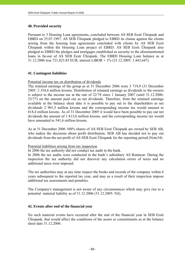# **40. Provided security**

Pursuant to 3 Housing Loan agreements, concluded between AS SEB Eesti Ühispank and EBRD on 25.07.1997, AS SEB Ühispank pledged to EBRD its claims against the clients arising from the housing loan agreements concluded with clients by AS SEB Eesti Ühispank within the Housing Loan project of EBRD. AS SEB Eesti Ühispank also pledged to EBRD the pledges and mortgages established as security to the aforementioned loans in favour of AS SEB Eesti Ühispank. The EBRD Housing Loan balance as at 31.12.2006 was 721,823.85 EUR, interest LIBOR + 1% (31.12.2005: 1,443,647).

# **41. Contingent liabilities**

#### Potential income tax on distribution of dividends

The retained earnings of the group as at 31 December 2006 were 3 719,9 (31 December 2005: 2 354,6 million kroons. Distribution of retained earnings as dividends to the owners is subject to the income tax at the rate of 22/78 since 1 January 2007 (until 31.12.2006: 23/77) on the amount paid out as net dividends. Therefore, from the retained earnings available at the balance sheet date it is possible to pay out to the shareholders as net dividends 2 901,5 million kroons and the corresponding income tax would amount to 818,4 million kroons. As of 31 December 2005 it would have been possible to pay out net dividends the amount of 1 813,0 million kroons, and the corresponding income tax would have amounted to 541,6 million kroons.

As at 31 December 2006 100% shares of AS SEB Eesti Ühispank are owned by SEB AB, who makes the decisions about profit distribution. SEB AB has decided not to pay out dividends from the net profit of AS SEB Eesti Ühispank for the reporting period (Note34).

#### Potential liabilities arising from tax inspection

In 2006 the tax authority did not conduct tax audit in the bank.

In 2006 the tax audits were conducted in the bank's subsidiary AS Rentacar. During the inspection the tax authority did not discover any calculation errors of taxes and no additional taxes were imposed.

The tax authorities may at any time inspect the books and records of the company within 6 years subsequent to the reported tax year, and may as a result of their inspection impose additional tax assessments and penalties.

The Company's management is not aware of any circumstances which may give rise to a potential material liability as of 31.12.2006 (31.12.2005: Nil).

#### **42. Events after end of the financial year**

No such material events have occurred after the end of the financial year in SEB Eesti Ühispank, that would affect the conditions of the assets or commitments as at the balance sheet date 31.12.2006.